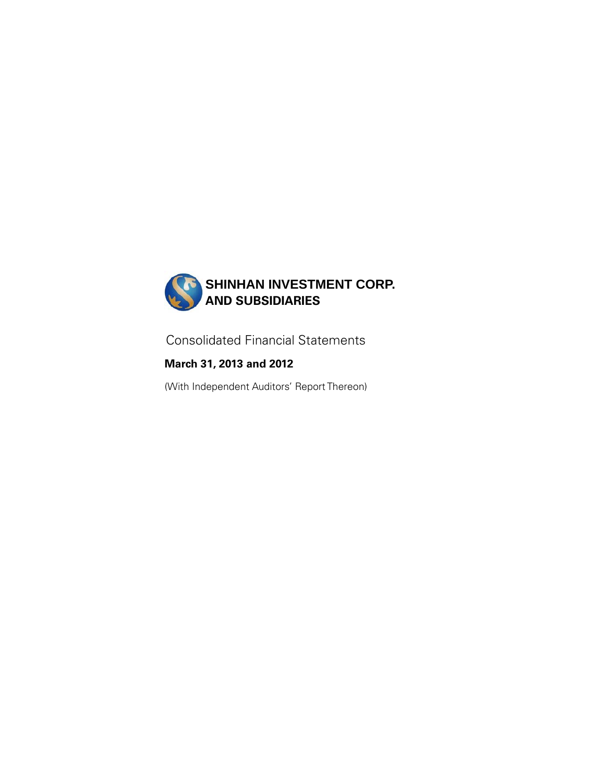

Consolidated Financial Statements

**March 31, 2013 and 2012** 

(With Independent Auditors' Report Thereon)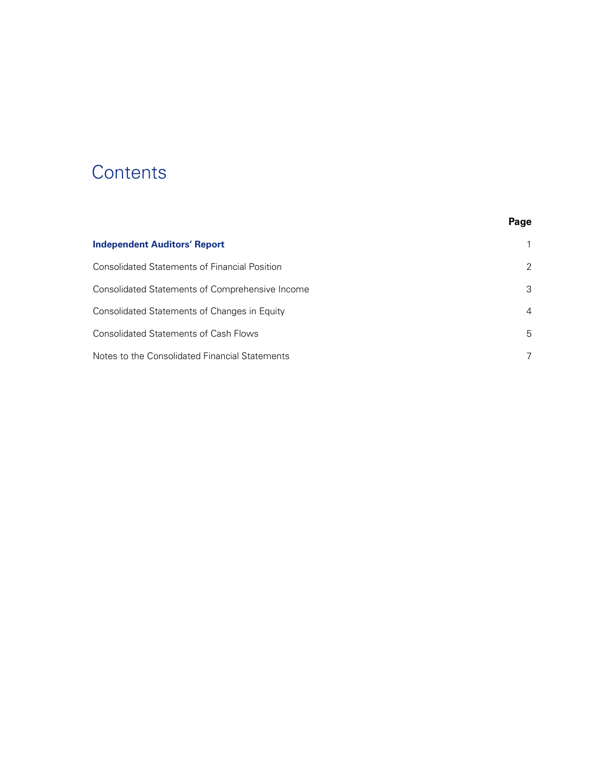# **Contents**

|                                                 | Page           |
|-------------------------------------------------|----------------|
| <b>Independent Auditors' Report</b>             |                |
| Consolidated Statements of Financial Position   | 2              |
| Consolidated Statements of Comprehensive Income | 3              |
| Consolidated Statements of Changes in Equity    | $\overline{4}$ |
| <b>Consolidated Statements of Cash Flows</b>    | 5              |
| Notes to the Consolidated Financial Statements  | 7              |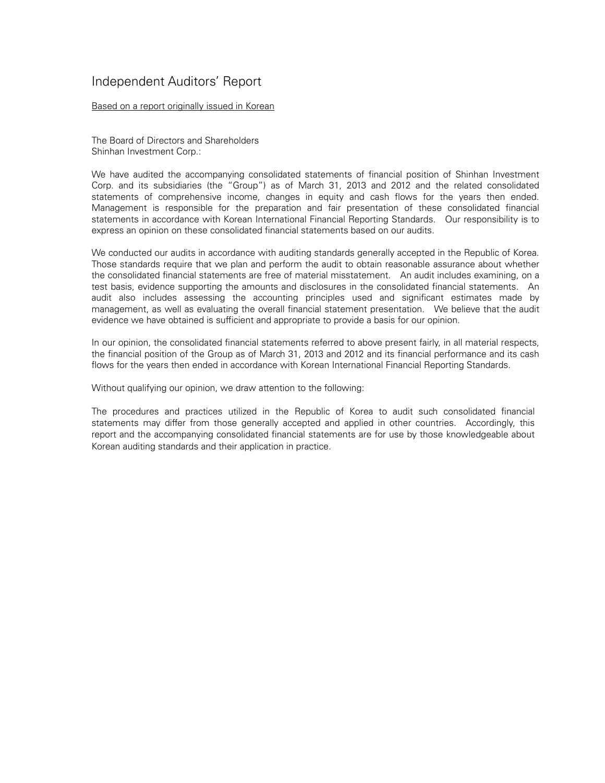## Independent Auditors' Report

#### Based on a report originally issued in Korean

The Board of Directors and Shareholders Shinhan Investment Corp.:

We have audited the accompanying consolidated statements of financial position of Shinhan Investment Corp. and its subsidiaries (the "Group") as of March 31, 2013 and 2012 and the related consolidated statements of comprehensive income, changes in equity and cash flows for the years then ended. Management is responsible for the preparation and fair presentation of these consolidated financial statements in accordance with Korean International Financial Reporting Standards. Our responsibility is to express an opinion on these consolidated financial statements based on our audits.

We conducted our audits in accordance with auditing standards generally accepted in the Republic of Korea. Those standards require that we plan and perform the audit to obtain reasonable assurance about whether the consolidated financial statements are free of material misstatement. An audit includes examining, on a test basis, evidence supporting the amounts and disclosures in the consolidated financial statements. An audit also includes assessing the accounting principles used and significant estimates made by management, as well as evaluating the overall financial statement presentation. We believe that the audit evidence we have obtained is sufficient and appropriate to provide a basis for our opinion.

In our opinion, the consolidated financial statements referred to above present fairly, in all material respects, the financial position of the Group as of March 31, 2013 and 2012 and its financial performance and its cash flows for the years then ended in accordance with Korean International Financial Reporting Standards.

Without qualifying our opinion, we draw attention to the following:

The procedures and practices utilized in the Republic of Korea to audit such consolidated financial statements may differ from those generally accepted and applied in other countries. Accordingly, this report and the accompanying consolidated financial statements are for use by those knowledgeable about Korean auditing standards and their application in practice.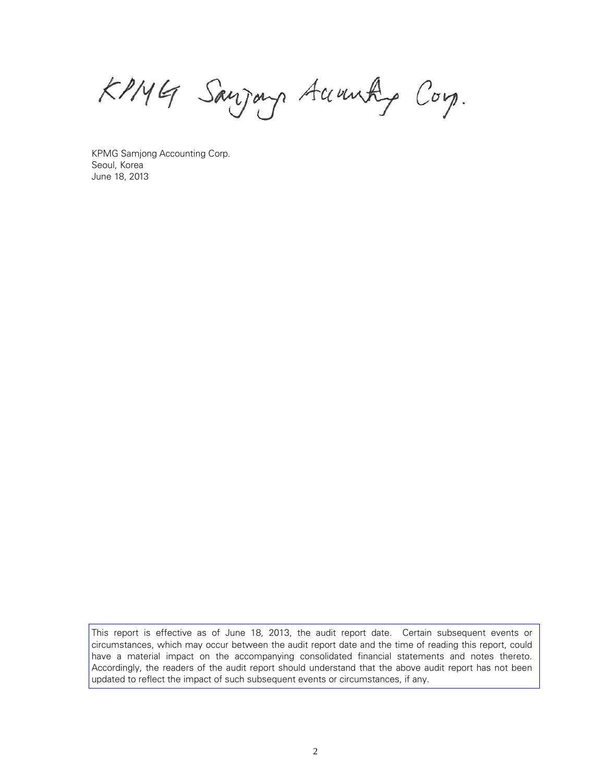KPMG Sanjong Accounty Corp.

KPMG Samjong Accounting Corp. Seoul, Korea June 18, 2013

This report is effective as of June 18, 2013, the audit report date. Certain subsequent events or circumstances, which may occur between the audit report date and the time of reading this report, could have a material impact on the accompanying consolidated financial statements and notes thereto. Accordingly, the readers of the audit report should understand that the above audit report has not been updated to reflect the impact of such subsequent events or circumstances, if any.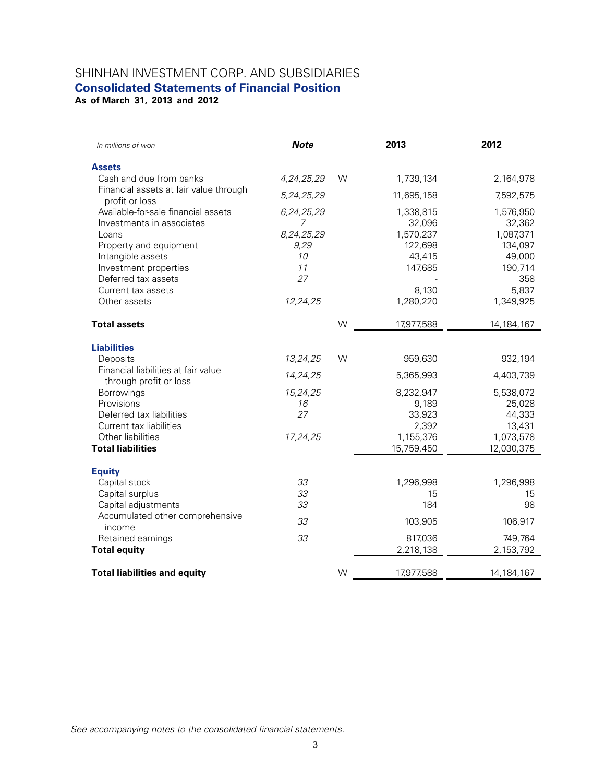## SHINHAN INVESTMENT CORP. AND SUBSIDIARIES **Consolidated Statements of Financial Position**

**As of March 31, 2013 and 2012** 

| In millions of won                        | <b>Note</b>    |   | 2013       | 2012         |
|-------------------------------------------|----------------|---|------------|--------------|
| <b>Assets</b>                             |                |   |            |              |
| Cash and due from banks                   | 4,24,25,29     | W | 1,739,134  | 2,164,978    |
| Financial assets at fair value through    |                |   |            |              |
| profit or loss                            | 5,24,25,29     |   | 11,695,158 | 7,592,575    |
| Available-for-sale financial assets       | 6,24,25,29     |   | 1,338,815  | 1,576,950    |
| Investments in associates                 | $\overline{7}$ |   | 32,096     | 32,362       |
| Loans                                     | 8,24,25,29     |   | 1,570,237  | 1,087,371    |
| Property and equipment                    | 9,29           |   | 122,698    | 134,097      |
| Intangible assets                         | 10             |   | 43,415     | 49,000       |
| Investment properties                     | 11             |   | 147,685    | 190,714      |
| Deferred tax assets                       | 27             |   |            | 358          |
| Current tax assets                        |                |   | 8,130      | 5,837        |
| Other assets                              | 12,24,25       |   | 1,280,220  | 1,349,925    |
| <b>Total assets</b>                       |                | W | 17,977,588 | 14, 184, 167 |
| <b>Liabilities</b>                        |                |   |            |              |
| Deposits                                  | 13,24,25       | W | 959,630    | 932,194      |
| Financial liabilities at fair value       |                |   |            |              |
| through profit or loss                    | 14,24,25       |   | 5,365,993  | 4,403,739    |
| Borrowings                                | 15,24,25       |   | 8,232,947  | 5,538,072    |
| Provisions                                | 16             |   | 9,189      | 25,028       |
| Deferred tax liabilities                  | 27             |   | 33,923     | 44,333       |
| Current tax liabilities                   |                |   | 2,392      | 13,431       |
| Other liabilities                         | 17,24,25       |   | 1,155,376  | 1,073,578    |
| <b>Total liabilities</b>                  |                |   | 15,759,450 | 12,030,375   |
|                                           |                |   |            |              |
| <b>Equity</b>                             |                |   |            |              |
| Capital stock                             | 33             |   | 1,296,998  | 1,296,998    |
| Capital surplus                           | 33             |   | 15         | 15           |
| Capital adjustments                       | 33             |   | 184        | 98           |
| Accumulated other comprehensive<br>income | 33             |   | 103,905    | 106,917      |
| Retained earnings                         | 33             |   | 817,036    | 749,764      |
| <b>Total equity</b>                       |                |   | 2,218,138  | 2,153,792    |
|                                           |                |   |            |              |
| <b>Total liabilities and equity</b>       |                | W | 17,977,588 | 14, 184, 167 |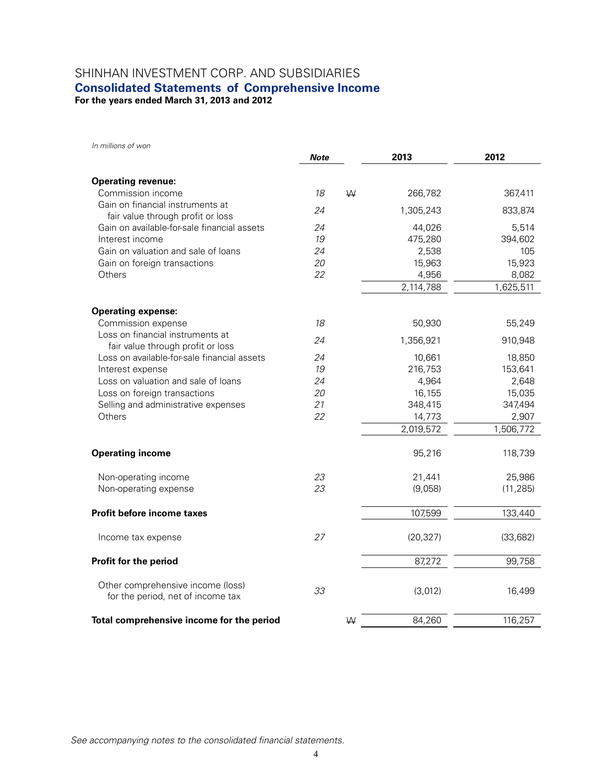## SHINHAN INVESTMENT CORP. AND SUBSIDIARIES

## **Consolidated Statements of Comprehensive Income**

**For the years ended March 31, 2013 and 2012** 

*In millions of won*

|                                                                        | <b>Note</b> |   | 2013      | 2012      |
|------------------------------------------------------------------------|-------------|---|-----------|-----------|
| <b>Operating revenue:</b>                                              |             |   |           |           |
| Commission income                                                      | 18          | W | 266,782   | 367,411   |
| Gain on financial instruments at                                       | 24          |   | 1,305,243 | 833,874   |
| fair value through profit or loss                                      |             |   |           |           |
| Gain on available-for-sale financial assets                            | 24          |   | 44,026    | 5,514     |
| Interest income                                                        | 19          |   | 475,280   | 394,602   |
| Gain on valuation and sale of loans                                    | 24          |   | 2,538     | 105       |
| Gain on foreign transactions                                           | 20          |   | 15,963    | 15,923    |
| Others                                                                 | 22          |   | 4,956     | 8,082     |
|                                                                        |             |   | 2,114,788 | 1,625,511 |
| <b>Operating expense:</b>                                              |             |   |           |           |
| Commission expense                                                     | 18          |   | 50,930    | 55,249    |
| Loss on financial instruments at<br>fair value through profit or loss  | 24          |   | 1,356,921 | 910,948   |
| Loss on available-for-sale financial assets                            | 24          |   | 10,661    | 18,850    |
| Interest expense                                                       | 19          |   | 216,753   | 153,641   |
| Loss on valuation and sale of loans                                    | 24          |   | 4,964     | 2,648     |
| Loss on foreign transactions                                           | 20          |   | 16,155    | 15,035    |
| Selling and administrative expenses                                    | 21          |   | 348,415   | 347,494   |
| Others                                                                 | 22          |   | 14,773    | 2,907     |
|                                                                        |             |   | 2,019,572 | 1,506,772 |
| <b>Operating income</b>                                                |             |   | 95,216    | 118,739   |
| Non-operating income                                                   | 23          |   | 21,441    | 25,986    |
| Non-operating expense                                                  | 23          |   | (9,058)   | (11, 285) |
| <b>Profit before income taxes</b>                                      |             |   | 107,599   | 133,440   |
| Income tax expense                                                     | 27          |   | (20, 327) | (33, 682) |
| Profit for the period                                                  |             |   | 87,272    | 99,758    |
| Other comprehensive income (loss)<br>for the period, net of income tax | 33          |   | (3,012)   | 16,499    |
| Total comprehensive income for the period                              |             | W | 84,260    | 116,257   |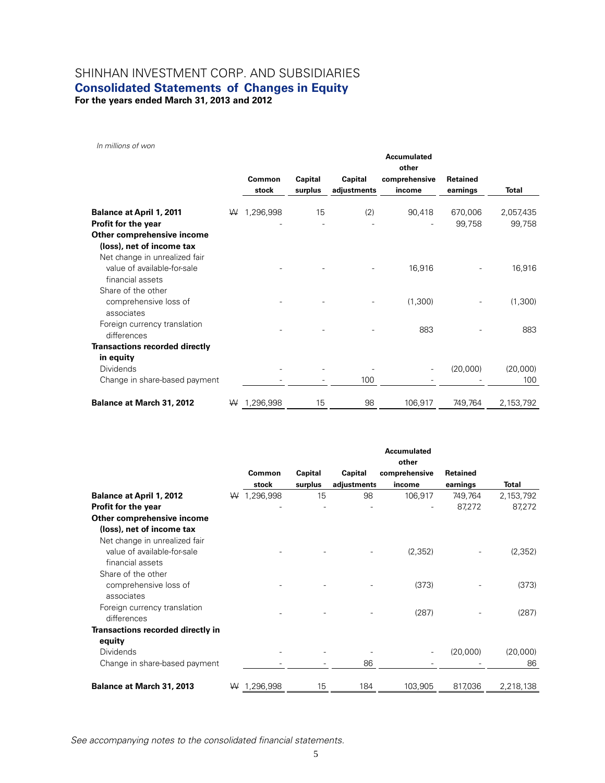## SHINHAN INVESTMENT CORP. AND SUBSIDIARIES **Consolidated Statements of Changes in Equity**

**For the years ended March 31, 2013 and 2012** 

*In millions of won* 

|                                                                                  |   | Common    | Capital | Capital     | <b>Accumulated</b><br>other<br>comprehensive | Retained |              |
|----------------------------------------------------------------------------------|---|-----------|---------|-------------|----------------------------------------------|----------|--------------|
|                                                                                  |   | stock     | surplus | adjustments | income                                       | earnings | <b>Total</b> |
| <b>Balance at April 1, 2011</b>                                                  | ₩ | 1,296,998 | 15      | (2)         | 90,418                                       | 670,006  | 2,057,435    |
| Profit for the year                                                              |   |           |         |             |                                              | 99,758   | 99,758       |
| Other comprehensive income                                                       |   |           |         |             |                                              |          |              |
| (loss), net of income tax                                                        |   |           |         |             |                                              |          |              |
| Net change in unrealized fair<br>value of available-for-sale<br>financial assets |   |           |         |             | 16,916                                       |          | 16,916       |
| Share of the other                                                               |   |           |         |             |                                              |          |              |
| comprehensive loss of<br>associates                                              |   |           |         |             | (1,300)                                      |          | (1,300)      |
| Foreign currency translation<br>differences                                      |   |           |         |             | 883                                          |          | 883          |
| <b>Transactions recorded directly</b>                                            |   |           |         |             |                                              |          |              |
| in equity                                                                        |   |           |         |             |                                              |          |              |
| <b>Dividends</b>                                                                 |   |           |         |             |                                              | (20,000) | (20,000)     |
| Change in share-based payment                                                    |   |           |         | 100         |                                              |          | 100          |
| Balance at March 31, 2012                                                        | W | 1,296,998 | 15      | 98          | 106,917                                      | 749,764  | 2,153,792    |

|                                                                                                               |   |                 |                    |                        | <b>Accumulated</b><br>other |                             |                     |
|---------------------------------------------------------------------------------------------------------------|---|-----------------|--------------------|------------------------|-----------------------------|-----------------------------|---------------------|
|                                                                                                               |   | Common<br>stock | Capital<br>surplus | Capital<br>adjustments | comprehensive<br>income     | <b>Retained</b><br>earnings | <b>Total</b>        |
| <b>Balance at April 1, 2012</b><br><b>Profit for the year</b><br>Other comprehensive income                   | ₩ | 1,296,998       | 15                 | 98                     | 106,917                     | 749,764<br>87,272           | 2,153,792<br>87,272 |
| (loss), net of income tax<br>Net change in unrealized fair<br>value of available-for-sale<br>financial assets |   |                 |                    |                        | (2,352)                     |                             | (2, 352)            |
| Share of the other<br>comprehensive loss of<br>associates                                                     |   |                 |                    |                        | (373)                       |                             | (373)               |
| Foreign currency translation<br>differences                                                                   |   |                 |                    |                        | (287)                       |                             | (287)               |
| Transactions recorded directly in<br>equity                                                                   |   |                 |                    |                        |                             |                             |                     |
| Dividends<br>Change in share-based payment                                                                    |   |                 |                    | 86                     |                             | (20,000)                    | (20,000)<br>86      |
| <b>Balance at March 31, 2013</b>                                                                              | ₩ | 1,296,998       | 15                 | 184                    | 103,905                     | 817,036                     | 2,218,138           |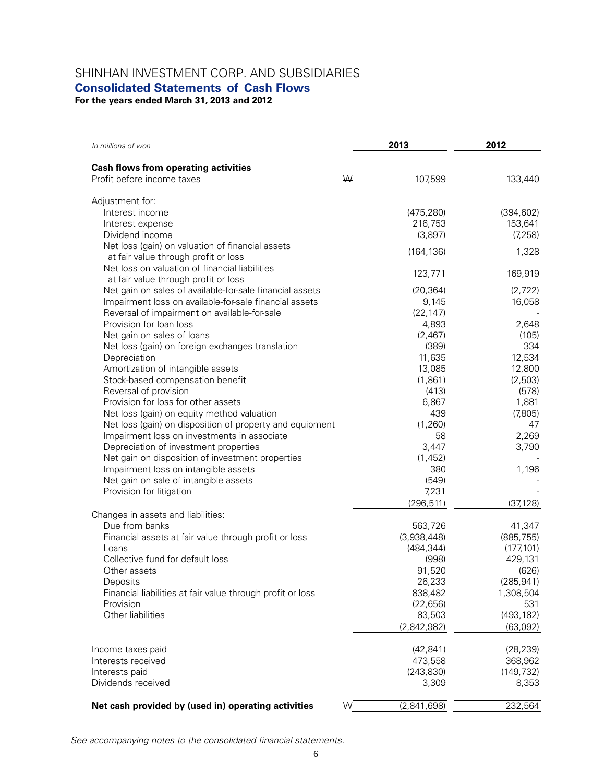## SHINHAN INVESTMENT CORP. AND SUBSIDIARIES

### **Consolidated Statements of Cash Flows**

**For the years ended March 31, 2013 and 2012** 

| In millions of won                                                    |   | 2013             | 2012             |  |
|-----------------------------------------------------------------------|---|------------------|------------------|--|
| <b>Cash flows from operating activities</b>                           |   |                  |                  |  |
| Profit before income taxes                                            | W | 107,599          | 133,440          |  |
| Adjustment for:                                                       |   |                  |                  |  |
| Interest income                                                       |   | (475, 280)       | (394, 602)       |  |
| Interest expense                                                      |   | 216,753          | 153,641          |  |
| Dividend income                                                       |   | (3,897)          | (7, 258)         |  |
| Net loss (gain) on valuation of financial assets                      |   | (164, 136)       | 1,328            |  |
| at fair value through profit or loss                                  |   |                  |                  |  |
| Net loss on valuation of financial liabilities                        |   | 123,771          | 169,919          |  |
| at fair value through profit or loss                                  |   |                  |                  |  |
| Net gain on sales of available-for-sale financial assets              |   | (20, 364)        | (2,722)          |  |
| Impairment loss on available-for-sale financial assets                |   | 9,145            | 16,058           |  |
| Reversal of impairment on available-for-sale                          |   | (22, 147)        |                  |  |
| Provision for loan loss                                               |   | 4,893            | 2,648            |  |
| Net gain on sales of loans                                            |   | (2,467)          | (105)            |  |
| Net loss (gain) on foreign exchanges translation                      |   | (389)            | 334              |  |
| Depreciation                                                          |   | 11,635<br>13,085 | 12,534<br>12,800 |  |
| Amortization of intangible assets<br>Stock-based compensation benefit |   | (1,861)          | (2,503)          |  |
| Reversal of provision                                                 |   | (413)            | (578)            |  |
| Provision for loss for other assets                                   |   | 6,867            | 1,881            |  |
| Net loss (gain) on equity method valuation                            |   | 439              | (7,805)          |  |
| Net loss (gain) on disposition of property and equipment              |   | (1,260)          | 47               |  |
| Impairment loss on investments in associate                           |   | 58               | 2,269            |  |
| Depreciation of investment properties                                 |   | 3,447            | 3,790            |  |
| Net gain on disposition of investment properties                      |   | (1, 452)         |                  |  |
| Impairment loss on intangible assets                                  |   | 380              | 1,196            |  |
| Net gain on sale of intangible assets                                 |   | (549)            |                  |  |
| Provision for litigation                                              |   | 7,231            |                  |  |
|                                                                       |   | (296, 511)       | (37, 128)        |  |
| Changes in assets and liabilities:                                    |   |                  |                  |  |
| Due from banks                                                        |   | 563,726          | 41,347           |  |
| Financial assets at fair value through profit or loss                 |   | (3,938,448)      | (885, 755)       |  |
| Loans                                                                 |   | (484, 344)       | (177, 101)       |  |
| Collective fund for default loss                                      |   | (998)            | 429,131          |  |
| Other assets                                                          |   | 91,520           | (626)            |  |
| Deposits                                                              |   | 26,233           | (285, 941)       |  |
| Financial liabilities at fair value through profit or loss            |   | 838,482          | 1,308,504        |  |
| Provision                                                             |   | (22, 656)        | 531              |  |
| Other liabilities                                                     |   | 83,503           | (493, 182)       |  |
|                                                                       |   | (2,842,982)      | (63,092)         |  |
| Income taxes paid                                                     |   | (42, 841)        | (28, 239)        |  |
| Interests received                                                    |   | 473,558          | 368,962          |  |
| Interests paid                                                        |   | (243, 830)       | (149, 732)       |  |
| Dividends received                                                    |   | 3,309            | 8,353            |  |
| Net cash provided by (used in) operating activities                   | ₩ | (2,841,698)      | 232,564          |  |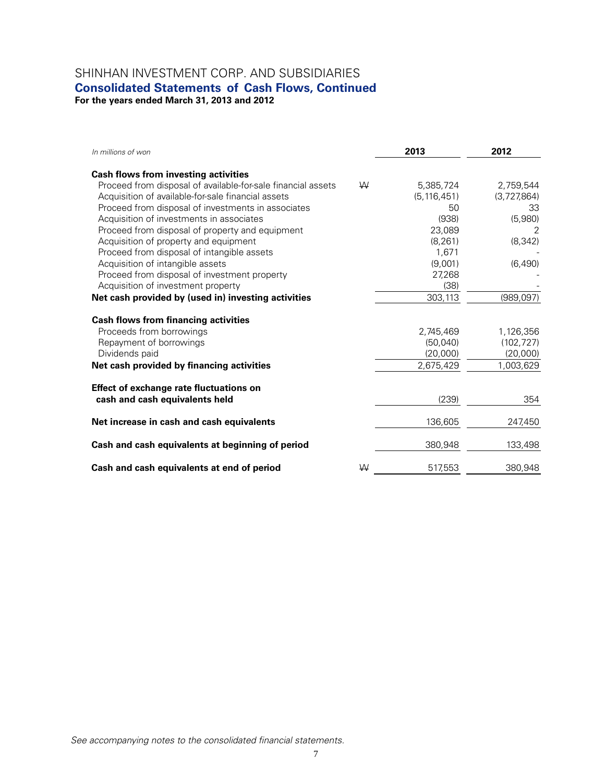## SHINHAN INVESTMENT CORP. AND SUBSIDIARIES

## **Consolidated Statements of Cash Flows, Continued**

**For the years ended March 31, 2013 and 2012** 

| In millions of won                                           |   | 2013          | 2012        |
|--------------------------------------------------------------|---|---------------|-------------|
| <b>Cash flows from investing activities</b>                  |   |               |             |
| Proceed from disposal of available-for-sale financial assets | W | 5,385,724     | 2,759,544   |
| Acquisition of available-for-sale financial assets           |   | (5, 116, 451) | (3,727,864) |
| Proceed from disposal of investments in associates           |   | 50            | 33          |
| Acquisition of investments in associates                     |   | (938)         | (5,980)     |
| Proceed from disposal of property and equipment              |   | 23,089        | 2           |
| Acquisition of property and equipment                        |   | (8, 261)      | (8, 342)    |
| Proceed from disposal of intangible assets                   |   | 1,671         |             |
| Acquisition of intangible assets                             |   | (9,001)       | (6,490)     |
| Proceed from disposal of investment property                 |   | 27,268        |             |
| Acquisition of investment property                           |   | (38)          |             |
| Net cash provided by (used in) investing activities          |   | 303,113       | (989, 097)  |
| <b>Cash flows from financing activities</b>                  |   |               |             |
| Proceeds from borrowings                                     |   | 2,745,469     | 1,126,356   |
| Repayment of borrowings                                      |   | (50,040)      | (102, 727)  |
| Dividends paid                                               |   | (20,000)      | (20,000)    |
| Net cash provided by financing activities                    |   | 2,675,429     | 1,003,629   |
| <b>Effect of exchange rate fluctuations on</b>               |   |               |             |
| cash and cash equivalents held                               |   | (239)         | 354         |
| Net increase in cash and cash equivalents                    |   | 136,605       | 247,450     |
| Cash and cash equivalents at beginning of period             |   | 380,948       | 133,498     |
| Cash and cash equivalents at end of period                   | W | 517,553       | 380,948     |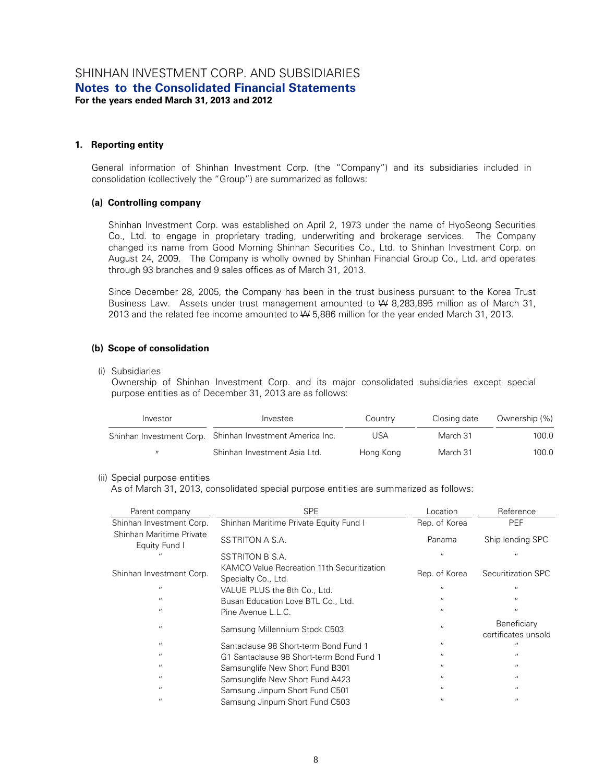#### **1. Reporting entity**

General information of Shinhan Investment Corp. (the "Company") and its subsidiaries included in consolidation (collectively the "Group") are summarized as follows:

#### **(a) Controlling company**

Shinhan Investment Corp. was established on April 2, 1973 under the name of HyoSeong Securities Co., Ltd. to engage in proprietary trading, underwriting and brokerage services. The Company changed its name from Good Morning Shinhan Securities Co., Ltd. to Shinhan Investment Corp. on August 24, 2009. The Company is wholly owned by Shinhan Financial Group Co., Ltd. and operates through 93 branches and 9 sales offices as of March 31, 2013.

Since December 28, 2005, the Company has been in the trust business pursuant to the Korea Trust Business Law. Assets under trust management amounted to W 8,283,895 million as of March 31, 2013 and the related fee income amounted to W 5,886 million for the year ended March 31, 2013.

#### **(b) Scope of consolidation**

(i) Subsidiaries

Ownership of Shinhan Investment Corp. and its major consolidated subsidiaries except special purpose entities as of December 31, 2013 are as follows:

| Investor | Investee                                                 | Country   | Closing date | Ownership (%) |
|----------|----------------------------------------------------------|-----------|--------------|---------------|
|          | Shinhan Investment Corp. Shinhan Investment America Inc. | USA       | March 31     | 100.0         |
|          | Shinhan Investment Asia Ltd.                             | Hong Kong | March 31     | 100.0         |

#### (ii) Special purpose entities

As of March 31, 2013, consolidated special purpose entities are summarized as follows:

| Parent company                            | <b>SPE</b>                                                        | Location          | Reference                                 |
|-------------------------------------------|-------------------------------------------------------------------|-------------------|-------------------------------------------|
| Shinhan Investment Corp.                  | Shinhan Maritime Private Equity Fund I                            | Rep. of Korea     | <b>PEF</b>                                |
| Shinhan Maritime Private<br>Equity Fund I | SS TRITON A S.A.                                                  | Panama            | Ship lending SPC                          |
|                                           | SS TRITON B S.A.                                                  | $^{\prime\prime}$ | $^{\prime\prime}$                         |
| Shinhan Investment Corp.                  | KAMCO Value Recreation 11th Securitization<br>Specialty Co., Ltd. | Rep. of Korea     | Securitization SPC                        |
| $^{\prime}$                               | VALUE PLUS the 8th Co., Ltd.                                      | $^{\prime\prime}$ | $^{\prime\prime}$                         |
| $\overline{\phantom{a}}$                  | Busan Education Love BTL Co., Ltd.                                | $^{\prime\prime}$ | $^{\prime\prime}$                         |
| $\blacksquare$                            | Pine Avenue L.L.C.                                                | $^{\prime\prime}$ | $^{\prime\prime}$                         |
| $^{\prime}$                               | Samsung Millennium Stock C503                                     | $\mathbf{u}$      | <b>Beneficiary</b><br>certificates unsold |
| $^{\prime\prime}$                         | Santaclause 98 Short-term Bond Fund 1                             | $\cdots$          | $\overline{1}$                            |
| $^{\prime\prime}$                         | G1 Santaclause 98 Short-term Bond Fund 1                          | $^{\prime\prime}$ | $^{\prime\prime}$                         |
| $^{\prime\prime}$                         | Samsunglife New Short Fund B301                                   | $^{\prime\prime}$ | $\cdots$                                  |
| $^{\prime\prime}$                         | Samsunglife New Short Fund A423                                   | $^{\prime\prime}$ | $^{\prime\prime}$                         |
| $^{\prime\prime}$                         | Samsung Jinpum Short Fund C501                                    | $^{\prime\prime}$ | $^{\prime\prime}$                         |
| $\overline{1}$                            | Samsung Jinpum Short Fund C503                                    | $\mathbf{u}$      | $^{\prime\prime}$                         |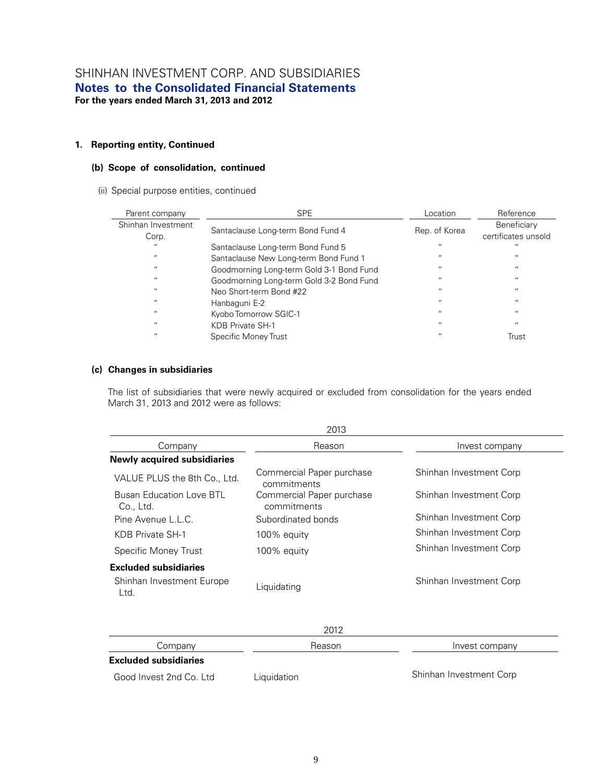#### **1. Reporting entity, Continued**

#### **(b) Scope of consolidation, continued**

(ii) Special purpose entities, continued

| Parent company              | <b>SPE</b>                               | Location          | Reference                          |
|-----------------------------|------------------------------------------|-------------------|------------------------------------|
| Shinhan Investment<br>Corp. | Santaclause Long-term Bond Fund 4        | Rep. of Korea     | Beneficiary<br>certificates unsold |
| $\overline{11}$             | Santaclause Long-term Bond Fund 5        | $^{\prime\prime}$ | $\cdots$                           |
| $\overline{11}$             | Santaclause New Long-term Bond Fund 1    | $^{\prime\prime}$ | $^{\prime\prime}$                  |
| $\overline{11}$             | Goodmorning Long-term Gold 3-1 Bond Fund | $^{\prime\prime}$ | $^{\prime\prime}$                  |
| $\overline{11}$             | Goodmorning Long-term Gold 3-2 Bond Fund | $\mathbf{u}$      | $^{\prime\prime}$                  |
| $\overline{11}$             | Neo Short-term Bond #22                  | $^{\prime\prime}$ | $^{\prime\prime}$                  |
| $\overline{11}$             | Hanbaguni E-2                            | $^{\prime\prime}$ | $^{\prime\prime}$                  |
| $\overline{11}$             | Kyobo Tomorrow SGIC-1                    | $^{\prime\prime}$ | $^{\prime\prime}$                  |
| $\overline{11}$             | KDB Private SH-1                         | $^{\prime\prime}$ | $\cdots$                           |
| $\overline{11}$             | Specific Money Trust                     | $^{\prime\prime}$ | Trust                              |

#### **(c) Changes in subsidiaries**

The list of subsidiaries that were newly acquired or excluded from consolidation for the years ended March 31, 2013 and 2012 were as follows:

|                                              | 2013                                     |                         |
|----------------------------------------------|------------------------------------------|-------------------------|
| Company                                      | Reason                                   | Invest company          |
| <b>Newly acquired subsidiaries</b>           |                                          |                         |
| VALUE PLUS the 8th Co., Ltd.                 | Commercial Paper purchase<br>commitments | Shinhan Investment Corp |
| <b>Busan Education Love BTL</b><br>Co., Ltd. | Commercial Paper purchase<br>commitments | Shinhan Investment Corp |
| Pine Avenue L.L.C.                           | Subordinated bonds                       | Shinhan Investment Corp |
| KDB Private SH-1                             | 100% equity                              | Shinhan Investment Corp |
| Specific Money Trust                         | 100% equity                              | Shinhan Investment Corp |
| <b>Excluded subsidiaries</b>                 |                                          |                         |
| Shinhan Investment Europe<br>Ltd.            | Liquidating                              | Shinhan Investment Corp |
|                                              | 2012                                     |                         |
| Company                                      | Reason                                   | Invest company          |

#### **Excluded subsidiaries**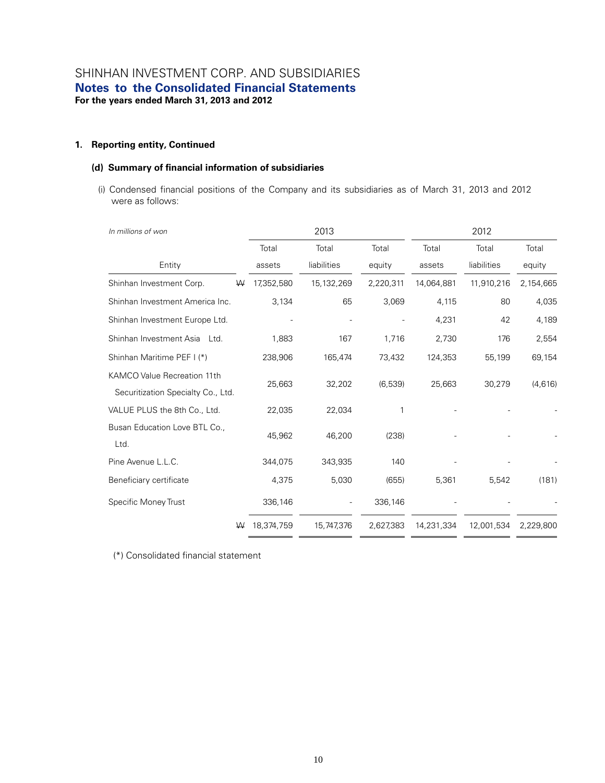#### **1. Reporting entity, Continued**

#### **(d) Summary of financial information of subsidiaries**

(i) Condensed financial positions of the Company and its subsidiaries as of March 31, 2013 and 2012 were as follows:

| In millions of won                    | 2013       |             |           | 2012       |             |           |  |
|---------------------------------------|------------|-------------|-----------|------------|-------------|-----------|--|
|                                       | Total      | Total       | Total     | Total      | Total       | Total     |  |
| Entity                                | assets     | liabilities | equity    | assets     | liabilities | equity    |  |
| Shinhan Investment Corp.<br>₩         | 17,352,580 | 15,132,269  | 2,220,311 | 14,064,881 | 11,910,216  | 2,154,665 |  |
| Shinhan Investment America Inc.       | 3,134      | 65          | 3,069     | 4,115      | 80          | 4,035     |  |
| Shinhan Investment Europe Ltd.        |            |             |           | 4,231      | 42          | 4,189     |  |
| Shinhan Investment Asia Ltd.          | 1,883      | 167         | 1,716     | 2,730      | 176         | 2,554     |  |
| Shinhan Maritime PEF I (*)            | 238,906    | 165,474     | 73,432    | 124,353    | 55,199      | 69,154    |  |
| KAMCO Value Recreation 11th           |            |             |           |            |             |           |  |
| Securitization Specialty Co., Ltd.    | 25,663     | 32,202      | (6,539)   | 25,663     | 30,279      | (4,616)   |  |
| VALUE PLUS the 8th Co., Ltd.          | 22,035     | 22,034      |           |            |             |           |  |
| Busan Education Love BTL Co.,<br>Ltd. | 45,962     | 46,200      | (238)     |            |             |           |  |
| Pine Avenue L.L.C.                    | 344,075    | 343,935     | 140       |            |             |           |  |
| Beneficiary certificate               | 4,375      | 5,030       | (655)     | 5,361      | 5,542       | (181)     |  |
| Specific Money Trust                  | 336,146    |             | 336,146   |            |             |           |  |
| ₩                                     | 18,374,759 | 15,747,376  | 2,627,383 | 14,231,334 | 12,001,534  | 2,229,800 |  |

(\*) Consolidated financial statement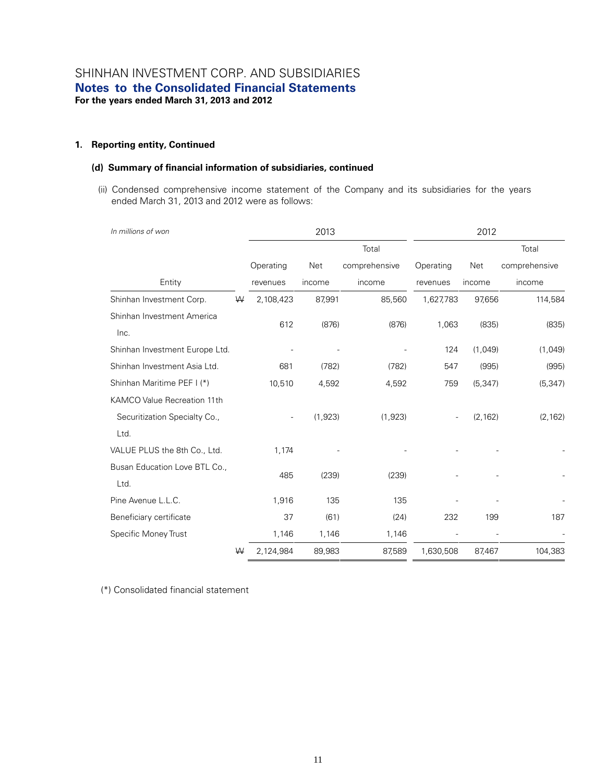#### **1. Reporting entity, Continued**

#### **(d) Summary of financial information of subsidiaries, continued**

(ii) Condensed comprehensive income statement of the Company and its subsidiaries for the years ended March 31, 2013 and 2012 were as follows:

| In millions of won             |   |           | 2013    |               | 2012      |          |               |
|--------------------------------|---|-----------|---------|---------------|-----------|----------|---------------|
|                                |   |           |         | Total         |           |          | Total         |
|                                |   | Operating | Net     | comprehensive | Operating | Net      | comprehensive |
| Entity                         |   | revenues  | income  | income        | revenues  | income   | income        |
| Shinhan Investment Corp.       | ₩ | 2,108,423 | 87,991  | 85,560        | 1,627,783 | 97,656   | 114,584       |
| Shinhan Investment America     |   |           |         |               |           |          |               |
| Inc.                           |   | 612       | (876)   | (876)         | 1,063     | (835)    | (835)         |
| Shinhan Investment Europe Ltd. |   |           |         |               | 124       | (1,049)  | (1,049)       |
| Shinhan Investment Asia Ltd.   |   | 681       | (782)   | (782)         | 547       | (995)    | (995)         |
| Shinhan Maritime PEF I (*)     |   | 10,510    | 4,592   | 4,592         | 759       | (5, 347) | (5, 347)      |
| KAMCO Value Recreation 11th    |   |           |         |               |           |          |               |
| Securitization Specialty Co.,  |   |           | (1,923) | (1, 923)      |           | (2, 162) | (2, 162)      |
| Ltd.                           |   |           |         |               |           |          |               |
| VALUE PLUS the 8th Co., Ltd.   |   | 1,174     |         |               |           |          |               |
| Busan Education Love BTL Co.,  |   |           |         |               |           |          |               |
| Ltd.                           |   | 485       | (239)   | (239)         |           |          |               |
| Pine Avenue L.L.C.             |   | 1,916     | 135     | 135           |           |          |               |
| Beneficiary certificate        |   | 37        | (61)    | (24)          | 232       | 199      | 187           |
| Specific Money Trust           |   | 1,146     | 1,146   | 1,146         |           |          |               |
|                                | ₩ | 2,124,984 | 89,983  | 87,589        | 1,630,508 | 87,467   | 104,383       |

(\*) Consolidated financial statement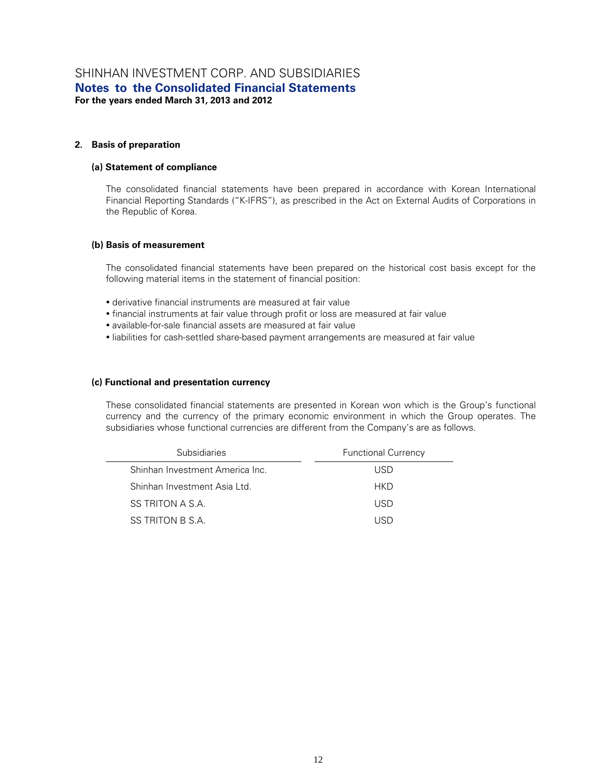#### **2. Basis of preparation**

#### **(a) Statement of compliance**

The consolidated financial statements have been prepared in accordance with Korean International Financial Reporting Standards ("K-IFRS"), as prescribed in the Act on External Audits of Corporations in the Republic of Korea.

#### **(b) Basis of measurement**

The consolidated financial statements have been prepared on the historical cost basis except for the following material items in the statement of financial position:

- derivative financial instruments are measured at fair value
- financial instruments at fair value through profit or loss are measured at fair value
- available-for-sale financial assets are measured at fair value
- liabilities for cash-settled share-based payment arrangements are measured at fair value

#### **(c) Functional and presentation currency**

These consolidated financial statements are presented in Korean won which is the Group's functional currency and the currency of the primary economic environment in which the Group operates. The subsidiaries whose functional currencies are different from the Company's are as follows.

| <b>Subsidiaries</b>             | <b>Functional Currency</b> |
|---------------------------------|----------------------------|
| Shinhan Investment America Inc. | USD.                       |
| Shinhan Investment Asia Ltd.    | <b>HKD</b>                 |
| SS TRITON A S.A.                | USD.                       |
| SS TRITON B S.A.                | LIRN                       |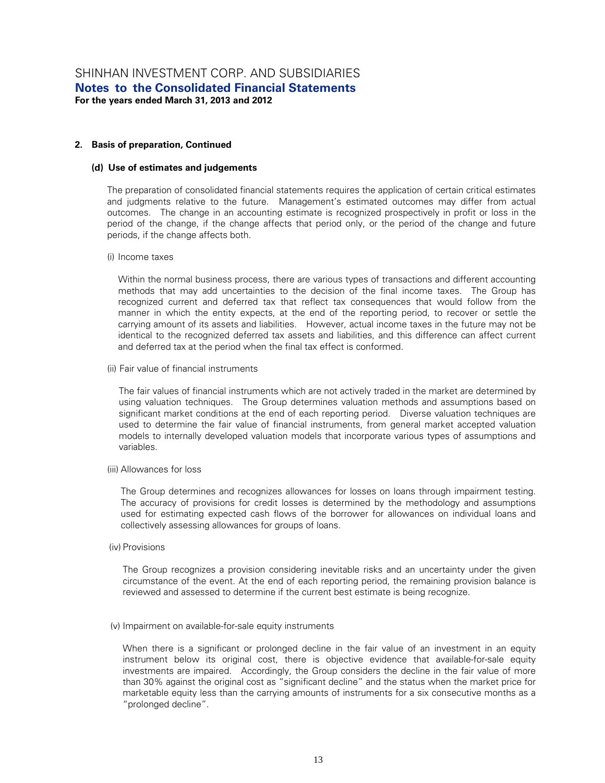#### **2. Basis of preparation, Continued**

#### **(d) Use of estimates and judgements**

The preparation of consolidated financial statements requires the application of certain critical estimates and judgments relative to the future. Management's estimated outcomes may differ from actual outcomes. The change in an accounting estimate is recognized prospectively in profit or loss in the period of the change, if the change affects that period only, or the period of the change and future periods, if the change affects both.

#### (i) Income taxes

Within the normal business process, there are various types of transactions and different accounting methods that may add uncertainties to the decision of the final income taxes. The Group has recognized current and deferred tax that reflect tax consequences that would follow from the manner in which the entity expects, at the end of the reporting period, to recover or settle the carrying amount of its assets and liabilities. However, actual income taxes in the future may not be identical to the recognized deferred tax assets and liabilities, and this difference can affect current and deferred tax at the period when the final tax effect is conformed.

(ii) Fair value of financial instruments

The fair values of financial instruments which are not actively traded in the market are determined by using valuation techniques. The Group determines valuation methods and assumptions based on significant market conditions at the end of each reporting period. Diverse valuation techniques are used to determine the fair value of financial instruments, from general market accepted valuation models to internally developed valuation models that incorporate various types of assumptions and variables.

(iii) Allowances for loss

The Group determines and recognizes allowances for losses on loans through impairment testing. The accuracy of provisions for credit losses is determined by the methodology and assumptions used for estimating expected cash flows of the borrower for allowances on individual loans and collectively assessing allowances for groups of loans.

(iv) Provisions

The Group recognizes a provision considering inevitable risks and an uncertainty under the given circumstance of the event. At the end of each reporting period, the remaining provision balance is reviewed and assessed to determine if the current best estimate is being recognize.

#### (v) Impairment on available-for-sale equity instruments

When there is a significant or prolonged decline in the fair value of an investment in an equity instrument below its original cost, there is objective evidence that available-for-sale equity investments are impaired. Accordingly, the Group considers the decline in the fair value of more than 30% against the original cost as "significant decline" and the status when the market price for marketable equity less than the carrying amounts of instruments for a six consecutive months as a "prolonged decline".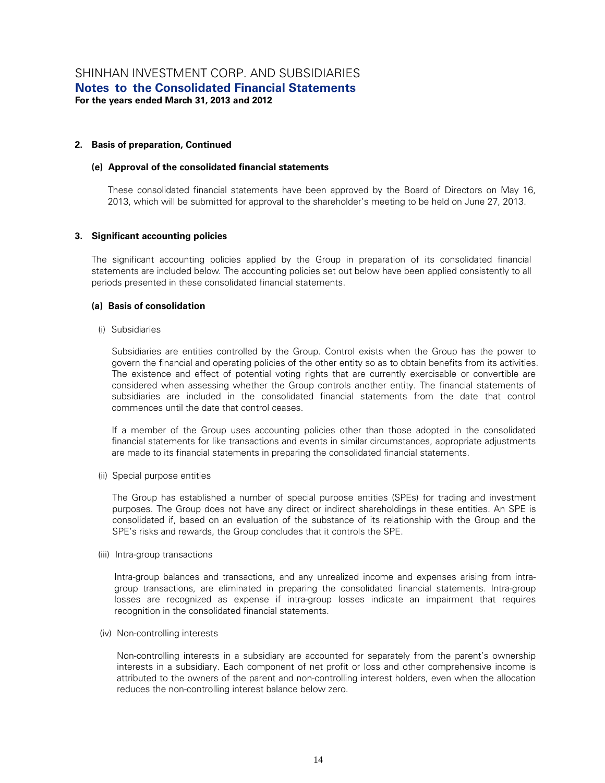#### **2. Basis of preparation, Continued**

#### **(e) Approval of the consolidated financial statements**

These consolidated financial statements have been approved by the Board of Directors on May 16, 2013, which will be submitted for approval to the shareholder's meeting to be held on June 27, 2013.

#### **3. Significant accounting policies**

The significant accounting policies applied by the Group in preparation of its consolidated financial statements are included below. The accounting policies set out below have been applied consistently to all periods presented in these consolidated financial statements.

#### **(a) Basis of consolidation**

(i) Subsidiaries

Subsidiaries are entities controlled by the Group. Control exists when the Group has the power to govern the financial and operating policies of the other entity so as to obtain benefits from its activities. The existence and effect of potential voting rights that are currently exercisable or convertible are considered when assessing whether the Group controls another entity. The financial statements of subsidiaries are included in the consolidated financial statements from the date that control commences until the date that control ceases.

If a member of the Group uses accounting policies other than those adopted in the consolidated financial statements for like transactions and events in similar circumstances, appropriate adjustments are made to its financial statements in preparing the consolidated financial statements.

(ii) Special purpose entities

The Group has established a number of special purpose entities (SPEs) for trading and investment purposes. The Group does not have any direct or indirect shareholdings in these entities. An SPE is consolidated if, based on an evaluation of the substance of its relationship with the Group and the SPE's risks and rewards, the Group concludes that it controls the SPE.

(iii) Intra-group transactions

Intra-group balances and transactions, and any unrealized income and expenses arising from intragroup transactions, are eliminated in preparing the consolidated financial statements. Intra-group losses are recognized as expense if intra-group losses indicate an impairment that requires recognition in the consolidated financial statements.

#### (iv) Non-controlling interests

Non-controlling interests in a subsidiary are accounted for separately from the parent's ownership interests in a subsidiary. Each component of net profit or loss and other comprehensive income is attributed to the owners of the parent and non-controlling interest holders, even when the allocation reduces the non-controlling interest balance below zero.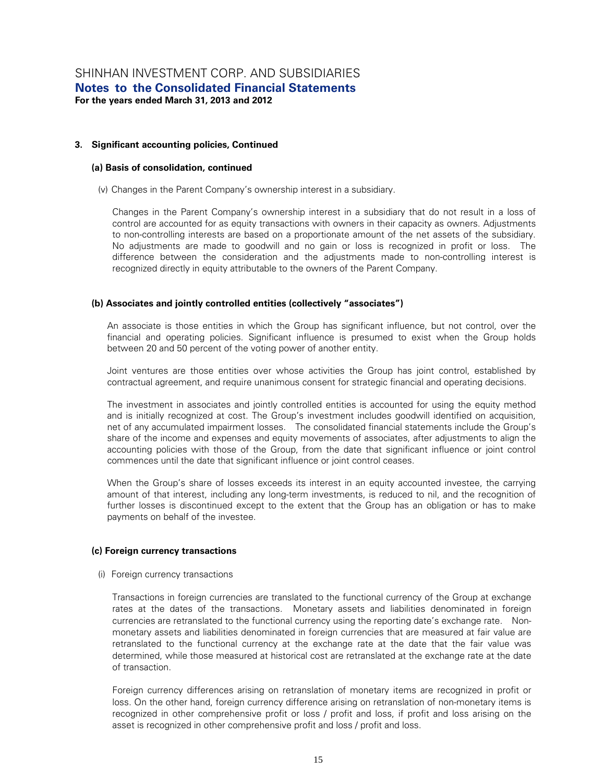#### **(a) Basis of consolidation, continued**

(v) Changes in the Parent Company's ownership interest in a subsidiary.

Changes in the Parent Company's ownership interest in a subsidiary that do not result in a loss of control are accounted for as equity transactions with owners in their capacity as owners. Adjustments to non-controlling interests are based on a proportionate amount of the net assets of the subsidiary. No adjustments are made to goodwill and no gain or loss is recognized in profit or loss. The difference between the consideration and the adjustments made to non-controlling interest is recognized directly in equity attributable to the owners of the Parent Company.

#### **(b) Associates and jointly controlled entities (collectively "associates")**

An associate is those entities in which the Group has significant influence, but not control, over the financial and operating policies. Significant influence is presumed to exist when the Group holds between 20 and 50 percent of the voting power of another entity.

Joint ventures are those entities over whose activities the Group has joint control, established by contractual agreement, and require unanimous consent for strategic financial and operating decisions.

The investment in associates and jointly controlled entities is accounted for using the equity method and is initially recognized at cost. The Group's investment includes goodwill identified on acquisition, net of any accumulated impairment losses. The consolidated financial statements include the Group's share of the income and expenses and equity movements of associates, after adjustments to align the accounting policies with those of the Group, from the date that significant influence or joint control commences until the date that significant influence or joint control ceases.

When the Group's share of losses exceeds its interest in an equity accounted investee, the carrying amount of that interest, including any long-term investments, is reduced to nil, and the recognition of further losses is discontinued except to the extent that the Group has an obligation or has to make payments on behalf of the investee.

#### **(c) Foreign currency transactions**

(i) Foreign currency transactions

Transactions in foreign currencies are translated to the functional currency of the Group at exchange rates at the dates of the transactions. Monetary assets and liabilities denominated in foreign currencies are retranslated to the functional currency using the reporting date's exchange rate. Nonmonetary assets and liabilities denominated in foreign currencies that are measured at fair value are retranslated to the functional currency at the exchange rate at the date that the fair value was determined, while those measured at historical cost are retranslated at the exchange rate at the date of transaction.

Foreign currency differences arising on retranslation of monetary items are recognized in profit or loss. On the other hand, foreign currency difference arising on retranslation of non-monetary items is recognized in other comprehensive profit or loss / profit and loss, if profit and loss arising on the asset is recognized in other comprehensive profit and loss / profit and loss.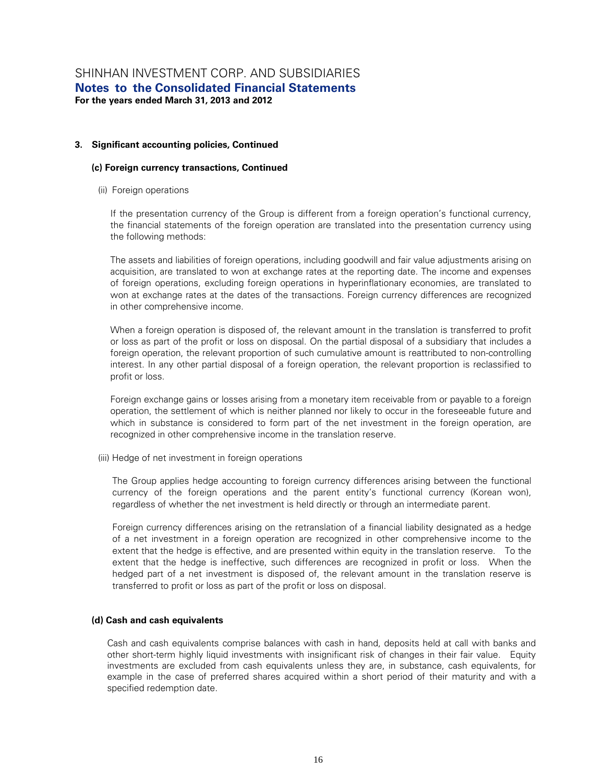#### **(c) Foreign currency transactions, Continued**

(ii) Foreign operations

If the presentation currency of the Group is different from a foreign operation's functional currency, the financial statements of the foreign operation are translated into the presentation currency using the following methods:

The assets and liabilities of foreign operations, including goodwill and fair value adjustments arising on acquisition, are translated to won at exchange rates at the reporting date. The income and expenses of foreign operations, excluding foreign operations in hyperinflationary economies, are translated to won at exchange rates at the dates of the transactions. Foreign currency differences are recognized in other comprehensive income.

When a foreign operation is disposed of, the relevant amount in the translation is transferred to profit or loss as part of the profit or loss on disposal. On the partial disposal of a subsidiary that includes a foreign operation, the relevant proportion of such cumulative amount is reattributed to non-controlling interest. In any other partial disposal of a foreign operation, the relevant proportion is reclassified to profit or loss.

Foreign exchange gains or losses arising from a monetary item receivable from or payable to a foreign operation, the settlement of which is neither planned nor likely to occur in the foreseeable future and which in substance is considered to form part of the net investment in the foreign operation, are recognized in other comprehensive income in the translation reserve.

(iii) Hedge of net investment in foreign operations

The Group applies hedge accounting to foreign currency differences arising between the functional currency of the foreign operations and the parent entity's functional currency (Korean won), regardless of whether the net investment is held directly or through an intermediate parent.

Foreign currency differences arising on the retranslation of a financial liability designated as a hedge of a net investment in a foreign operation are recognized in other comprehensive income to the extent that the hedge is effective, and are presented within equity in the translation reserve. To the extent that the hedge is ineffective, such differences are recognized in profit or loss. When the hedged part of a net investment is disposed of, the relevant amount in the translation reserve is transferred to profit or loss as part of the profit or loss on disposal.

#### **(d) Cash and cash equivalents**

Cash and cash equivalents comprise balances with cash in hand, deposits held at call with banks and other short-term highly liquid investments with insignificant risk of changes in their fair value. Equity investments are excluded from cash equivalents unless they are, in substance, cash equivalents, for example in the case of preferred shares acquired within a short period of their maturity and with a specified redemption date.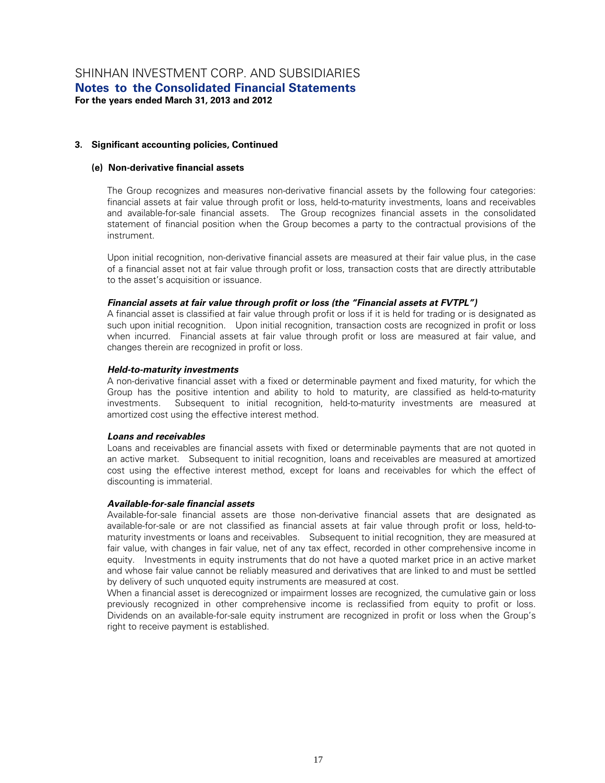#### **(e) Non-derivative financial assets**

The Group recognizes and measures non-derivative financial assets by the following four categories: financial assets at fair value through profit or loss, held-to-maturity investments, loans and receivables and available-for-sale financial assets. The Group recognizes financial assets in the consolidated statement of financial position when the Group becomes a party to the contractual provisions of the instrument.

Upon initial recognition, non-derivative financial assets are measured at their fair value plus, in the case of a financial asset not at fair value through profit or loss, transaction costs that are directly attributable to the asset's acquisition or issuance.

#### *Financial assets at fair value through profit or loss (the "Financial assets at FVTPL")*

A financial asset is classified at fair value through profit or loss if it is held for trading or is designated as such upon initial recognition. Upon initial recognition, transaction costs are recognized in profit or loss when incurred. Financial assets at fair value through profit or loss are measured at fair value, and changes therein are recognized in profit or loss.

#### *Held-to-maturity investments*

A non-derivative financial asset with a fixed or determinable payment and fixed maturity, for which the Group has the positive intention and ability to hold to maturity, are classified as held-to-maturity investments. Subsequent to initial recognition, held-to-maturity investments are measured at amortized cost using the effective interest method.

#### *Loans and receivables*

Loans and receivables are financial assets with fixed or determinable payments that are not quoted in an active market. Subsequent to initial recognition, loans and receivables are measured at amortized cost using the effective interest method, except for loans and receivables for which the effect of discounting is immaterial.

#### *Available-for-sale financial assets*

Available-for-sale financial assets are those non-derivative financial assets that are designated as available-for-sale or are not classified as financial assets at fair value through profit or loss, held-tomaturity investments or loans and receivables. Subsequent to initial recognition, they are measured at fair value, with changes in fair value, net of any tax effect, recorded in other comprehensive income in equity. Investments in equity instruments that do not have a quoted market price in an active market and whose fair value cannot be reliably measured and derivatives that are linked to and must be settled by delivery of such unquoted equity instruments are measured at cost.

When a financial asset is derecognized or impairment losses are recognized, the cumulative gain or loss previously recognized in other comprehensive income is reclassified from equity to profit or loss. Dividends on an available-for-sale equity instrument are recognized in profit or loss when the Group's right to receive payment is established.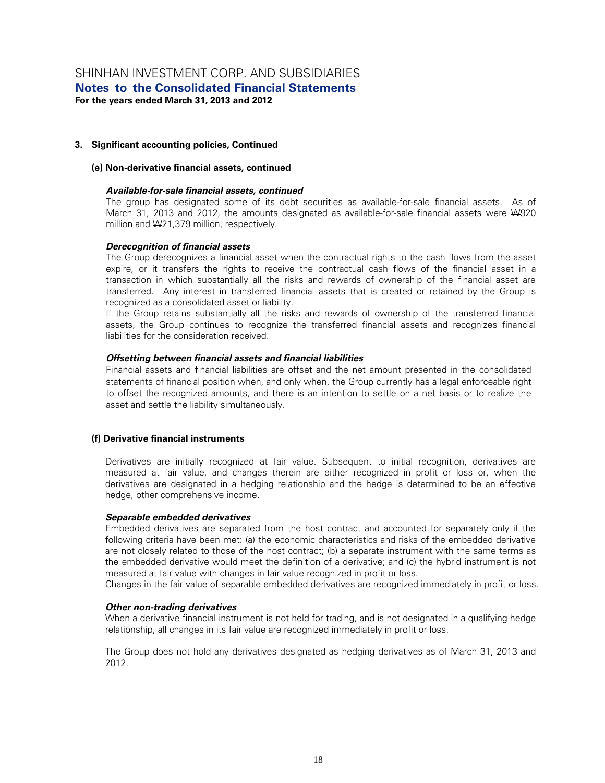#### **(e) Non-derivative financial assets, continued**

#### *Available-for-sale financial assets, continued*

The group has designated some of its debt securities as available-for-sale financial assets. As of March 31, 2013 and 2012, the amounts designated as available-for-sale financial assets were W920 million and W21,379 million, respectively.

#### *Derecognition of financial assets*

The Group derecognizes a financial asset when the contractual rights to the cash flows from the asset expire, or it transfers the rights to receive the contractual cash flows of the financial asset in a transaction in which substantially all the risks and rewards of ownership of the financial asset are transferred. Any interest in transferred financial assets that is created or retained by the Group is recognized as a consolidated asset or liability.

If the Group retains substantially all the risks and rewards of ownership of the transferred financial assets, the Group continues to recognize the transferred financial assets and recognizes financial liabilities for the consideration received.

#### *Offsetting between financial assets and financial liabilities*

Financial assets and financial liabilities are offset and the net amount presented in the consolidated statements of financial position when, and only when, the Group currently has a legal enforceable right to offset the recognized amounts, and there is an intention to settle on a net basis or to realize the asset and settle the liability simultaneously.

#### **(f) Derivative financial instruments**

Derivatives are initially recognized at fair value. Subsequent to initial recognition, derivatives are measured at fair value, and changes therein are either recognized in profit or loss or, when the derivatives are designated in a hedging relationship and the hedge is determined to be an effective hedge, other comprehensive income.

#### *Separable embedded derivatives*

Embedded derivatives are separated from the host contract and accounted for separately only if the following criteria have been met: (a) the economic characteristics and risks of the embedded derivative are not closely related to those of the host contract; (b) a separate instrument with the same terms as the embedded derivative would meet the definition of a derivative; and (c) the hybrid instrument is not measured at fair value with changes in fair value recognized in profit or loss.

Changes in the fair value of separable embedded derivatives are recognized immediately in profit or loss.

#### *Other non-trading derivatives*

When a derivative financial instrument is not held for trading, and is not designated in a qualifying hedge relationship, all changes in its fair value are recognized immediately in profit or loss.

The Group does not hold any derivatives designated as hedging derivatives as of March 31, 2013 and 2012.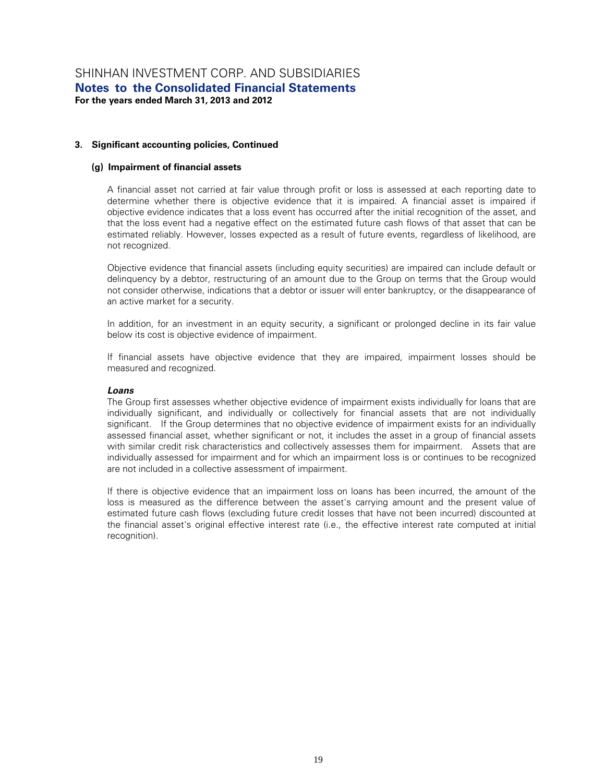#### **(g) Impairment of financial assets**

A financial asset not carried at fair value through profit or loss is assessed at each reporting date to determine whether there is objective evidence that it is impaired. A financial asset is impaired if objective evidence indicates that a loss event has occurred after the initial recognition of the asset, and that the loss event had a negative effect on the estimated future cash flows of that asset that can be estimated reliably. However, losses expected as a result of future events, regardless of likelihood, are not recognized.

Objective evidence that financial assets (including equity securities) are impaired can include default or delinquency by a debtor, restructuring of an amount due to the Group on terms that the Group would not consider otherwise, indications that a debtor or issuer will enter bankruptcy, or the disappearance of an active market for a security.

In addition, for an investment in an equity security, a significant or prolonged decline in its fair value below its cost is objective evidence of impairment.

If financial assets have objective evidence that they are impaired, impairment losses should be measured and recognized.

#### *Loans*

The Group first assesses whether objective evidence of impairment exists individually for loans that are individually significant, and individually or collectively for financial assets that are not individually significant. If the Group determines that no objective evidence of impairment exists for an individually assessed financial asset, whether significant or not, it includes the asset in a group of financial assets with similar credit risk characteristics and collectively assesses them for impairment. Assets that are individually assessed for impairment and for which an impairment loss is or continues to be recognized are not included in a collective assessment of impairment.

If there is objective evidence that an impairment loss on loans has been incurred, the amount of the loss is measured as the difference between the asset's carrying amount and the present value of estimated future cash flows (excluding future credit losses that have not been incurred) discounted at the financial asset's original effective interest rate (i.e., the effective interest rate computed at initial recognition).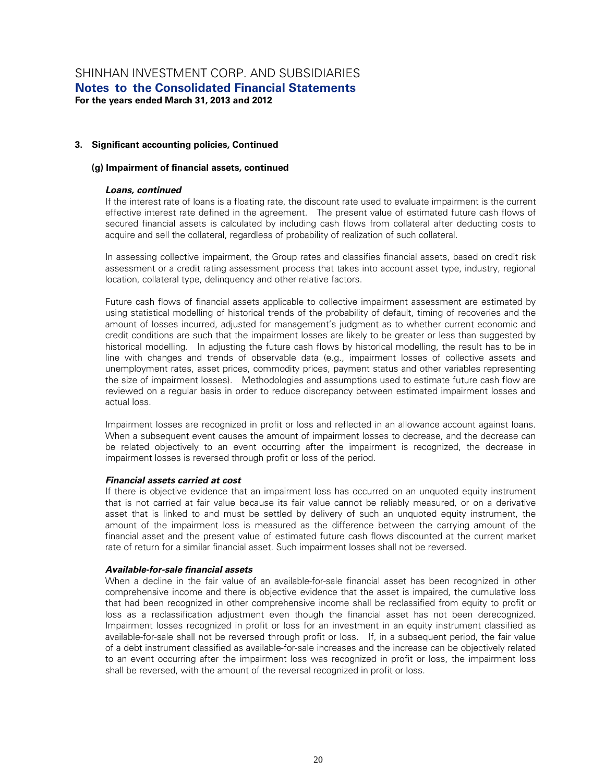#### **(g) Impairment of financial assets, continued**

#### *Loans, continued*

If the interest rate of loans is a floating rate, the discount rate used to evaluate impairment is the current effective interest rate defined in the agreement. The present value of estimated future cash flows of secured financial assets is calculated by including cash flows from collateral after deducting costs to acquire and sell the collateral, regardless of probability of realization of such collateral.

In assessing collective impairment, the Group rates and classifies financial assets, based on credit risk assessment or a credit rating assessment process that takes into account asset type, industry, regional location, collateral type, delinquency and other relative factors.

Future cash flows of financial assets applicable to collective impairment assessment are estimated by using statistical modelling of historical trends of the probability of default, timing of recoveries and the amount of losses incurred, adjusted for management's judgment as to whether current economic and credit conditions are such that the impairment losses are likely to be greater or less than suggested by historical modelling. In adjusting the future cash flows by historical modelling, the result has to be in line with changes and trends of observable data (e.g., impairment losses of collective assets and unemployment rates, asset prices, commodity prices, payment status and other variables representing the size of impairment losses). Methodologies and assumptions used to estimate future cash flow are reviewed on a regular basis in order to reduce discrepancy between estimated impairment losses and actual loss.

Impairment losses are recognized in profit or loss and reflected in an allowance account against loans. When a subsequent event causes the amount of impairment losses to decrease, and the decrease can be related objectively to an event occurring after the impairment is recognized, the decrease in impairment losses is reversed through profit or loss of the period.

#### *Financial assets carried at cost*

If there is objective evidence that an impairment loss has occurred on an unquoted equity instrument that is not carried at fair value because its fair value cannot be reliably measured, or on a derivative asset that is linked to and must be settled by delivery of such an unquoted equity instrument, the amount of the impairment loss is measured as the difference between the carrying amount of the financial asset and the present value of estimated future cash flows discounted at the current market rate of return for a similar financial asset. Such impairment losses shall not be reversed.

#### *Available-for-sale financial assets*

When a decline in the fair value of an available-for-sale financial asset has been recognized in other comprehensive income and there is objective evidence that the asset is impaired, the cumulative loss that had been recognized in other comprehensive income shall be reclassified from equity to profit or loss as a reclassification adjustment even though the financial asset has not been derecognized. Impairment losses recognized in profit or loss for an investment in an equity instrument classified as available-for-sale shall not be reversed through profit or loss. If, in a subsequent period, the fair value of a debt instrument classified as available-for-sale increases and the increase can be objectively related to an event occurring after the impairment loss was recognized in profit or loss, the impairment loss shall be reversed, with the amount of the reversal recognized in profit or loss.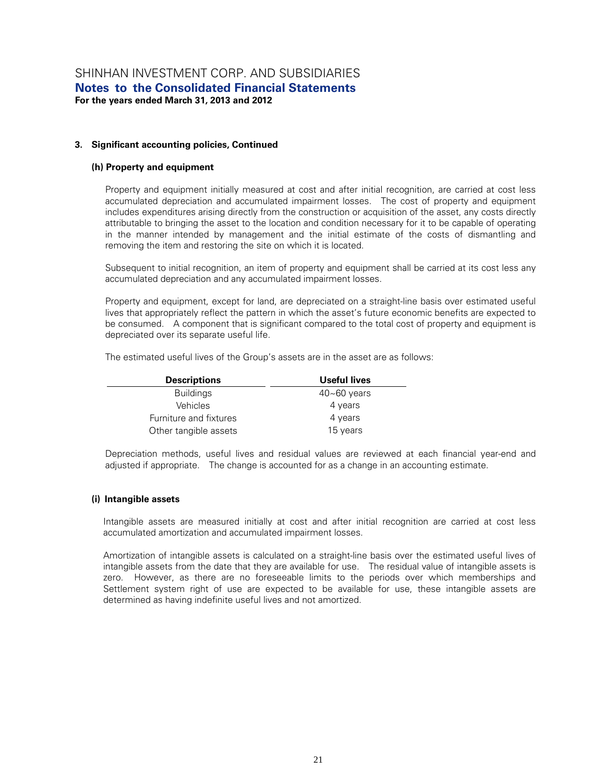#### **(h) Property and equipment**

Property and equipment initially measured at cost and after initial recognition, are carried at cost less accumulated depreciation and accumulated impairment losses. The cost of property and equipment includes expenditures arising directly from the construction or acquisition of the asset, any costs directly attributable to bringing the asset to the location and condition necessary for it to be capable of operating in the manner intended by management and the initial estimate of the costs of dismantling and removing the item and restoring the site on which it is located.

Subsequent to initial recognition, an item of property and equipment shall be carried at its cost less any accumulated depreciation and any accumulated impairment losses.

Property and equipment, except for land, are depreciated on a straight-line basis over estimated useful lives that appropriately reflect the pattern in which the asset's future economic benefits are expected to be consumed. A component that is significant compared to the total cost of property and equipment is depreciated over its separate useful life.

| Useful lives    |
|-----------------|
| $40 - 60$ years |
| 4 years         |
| 4 years         |
| 15 years        |
|                 |

Depreciation methods, useful lives and residual values are reviewed at each financial year-end and adjusted if appropriate. The change is accounted for as a change in an accounting estimate.

#### **(i) Intangible assets**

Intangible assets are measured initially at cost and after initial recognition are carried at cost less accumulated amortization and accumulated impairment losses.

Amortization of intangible assets is calculated on a straight-line basis over the estimated useful lives of intangible assets from the date that they are available for use. The residual value of intangible assets is zero. However, as there are no foreseeable limits to the periods over which memberships and Settlement system right of use are expected to be available for use, these intangible assets are determined as having indefinite useful lives and not amortized.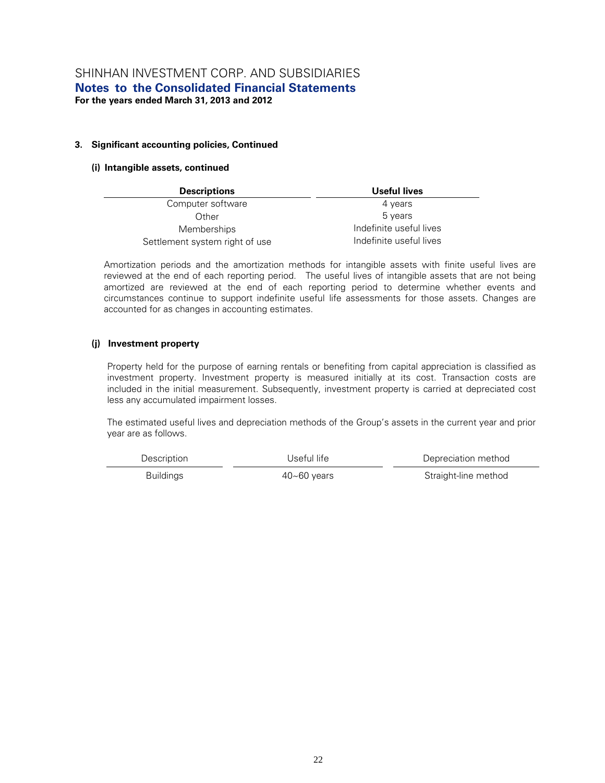#### **(i) Intangible assets, continued**

| <b>Descriptions</b>            | Useful lives            |
|--------------------------------|-------------------------|
| Computer software              | 4 years                 |
| Other                          | 5 years                 |
| <b>Memberships</b>             | Indefinite useful lives |
| Settlement system right of use | Indefinite useful lives |

Amortization periods and the amortization methods for intangible assets with finite useful lives are reviewed at the end of each reporting period. The useful lives of intangible assets that are not being amortized are reviewed at the end of each reporting period to determine whether events and circumstances continue to support indefinite useful life assessments for those assets. Changes are accounted for as changes in accounting estimates.

#### **(j) Investment property**

Property held for the purpose of earning rentals or benefiting from capital appreciation is classified as investment property. Investment property is measured initially at its cost. Transaction costs are included in the initial measurement. Subsequently, investment property is carried at depreciated cost less any accumulated impairment losses.

The estimated useful lives and depreciation methods of the Group's assets in the current year and prior year are as follows.

| Description      | Useful life-    | Depreciation method  |  |
|------------------|-----------------|----------------------|--|
| <b>Buildings</b> | $40 - 60$ years | Straight-line method |  |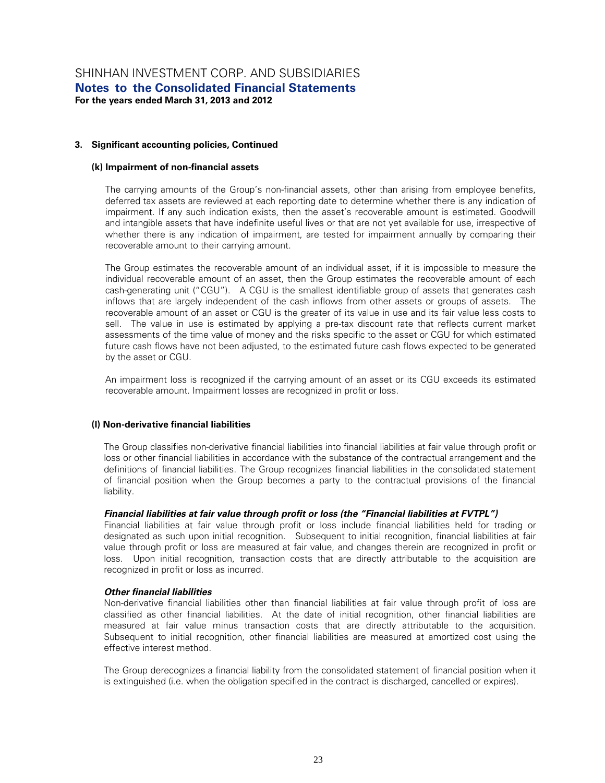#### **(k) Impairment of non-financial assets**

The carrying amounts of the Group's non-financial assets, other than arising from employee benefits, deferred tax assets are reviewed at each reporting date to determine whether there is any indication of impairment. If any such indication exists, then the asset's recoverable amount is estimated. Goodwill and intangible assets that have indefinite useful lives or that are not yet available for use, irrespective of whether there is any indication of impairment, are tested for impairment annually by comparing their recoverable amount to their carrying amount.

The Group estimates the recoverable amount of an individual asset, if it is impossible to measure the individual recoverable amount of an asset, then the Group estimates the recoverable amount of each cash-generating unit ("CGU"). A CGU is the smallest identifiable group of assets that generates cash inflows that are largely independent of the cash inflows from other assets or groups of assets. The recoverable amount of an asset or CGU is the greater of its value in use and its fair value less costs to sell. The value in use is estimated by applying a pre-tax discount rate that reflects current market assessments of the time value of money and the risks specific to the asset or CGU for which estimated future cash flows have not been adjusted, to the estimated future cash flows expected to be generated by the asset or CGU.

An impairment loss is recognized if the carrying amount of an asset or its CGU exceeds its estimated recoverable amount. Impairment losses are recognized in profit or loss.

#### **(l) Non-derivative financial liabilities**

The Group classifies non-derivative financial liabilities into financial liabilities at fair value through profit or loss or other financial liabilities in accordance with the substance of the contractual arrangement and the definitions of financial liabilities. The Group recognizes financial liabilities in the consolidated statement of financial position when the Group becomes a party to the contractual provisions of the financial liability.

#### *Financial liabilities at fair value through profit or loss (the "Financial liabilities at FVTPL")*

Financial liabilities at fair value through profit or loss include financial liabilities held for trading or designated as such upon initial recognition. Subsequent to initial recognition, financial liabilities at fair value through profit or loss are measured at fair value, and changes therein are recognized in profit or loss. Upon initial recognition, transaction costs that are directly attributable to the acquisition are recognized in profit or loss as incurred.

#### *Other financial liabilities*

Non-derivative financial liabilities other than financial liabilities at fair value through profit of loss are classified as other financial liabilities. At the date of initial recognition, other financial liabilities are measured at fair value minus transaction costs that are directly attributable to the acquisition. Subsequent to initial recognition, other financial liabilities are measured at amortized cost using the effective interest method.

The Group derecognizes a financial liability from the consolidated statement of financial position when it is extinguished (i.e. when the obligation specified in the contract is discharged, cancelled or expires).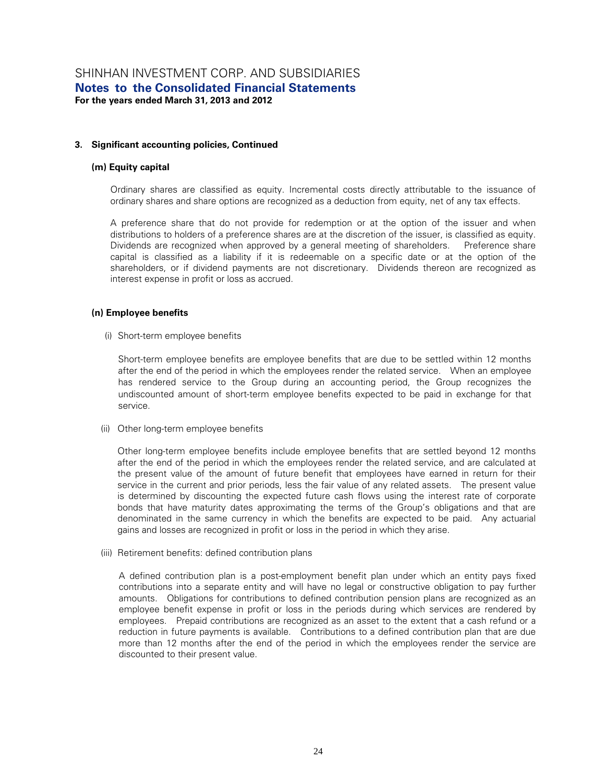#### **(m) Equity capital**

Ordinary shares are classified as equity. Incremental costs directly attributable to the issuance of ordinary shares and share options are recognized as a deduction from equity, net of any tax effects.

A preference share that do not provide for redemption or at the option of the issuer and when distributions to holders of a preference shares are at the discretion of the issuer, is classified as equity. Dividends are recognized when approved by a general meeting of shareholders. Preference share capital is classified as a liability if it is redeemable on a specific date or at the option of the shareholders, or if dividend payments are not discretionary. Dividends thereon are recognized as interest expense in profit or loss as accrued.

#### **(n) Employee benefits**

(i) Short-term employee benefits

Short-term employee benefits are employee benefits that are due to be settled within 12 months after the end of the period in which the employees render the related service. When an employee has rendered service to the Group during an accounting period, the Group recognizes the undiscounted amount of short-term employee benefits expected to be paid in exchange for that service.

(ii) Other long-term employee benefits

Other long-term employee benefits include employee benefits that are settled beyond 12 months after the end of the period in which the employees render the related service, and are calculated at the present value of the amount of future benefit that employees have earned in return for their service in the current and prior periods, less the fair value of any related assets. The present value is determined by discounting the expected future cash flows using the interest rate of corporate bonds that have maturity dates approximating the terms of the Group's obligations and that are denominated in the same currency in which the benefits are expected to be paid. Any actuarial gains and losses are recognized in profit or loss in the period in which they arise.

(iii) Retirement benefits: defined contribution plans

A defined contribution plan is a post-employment benefit plan under which an entity pays fixed contributions into a separate entity and will have no legal or constructive obligation to pay further amounts. Obligations for contributions to defined contribution pension plans are recognized as an employee benefit expense in profit or loss in the periods during which services are rendered by employees. Prepaid contributions are recognized as an asset to the extent that a cash refund or a reduction in future payments is available. Contributions to a defined contribution plan that are due more than 12 months after the end of the period in which the employees render the service are discounted to their present value.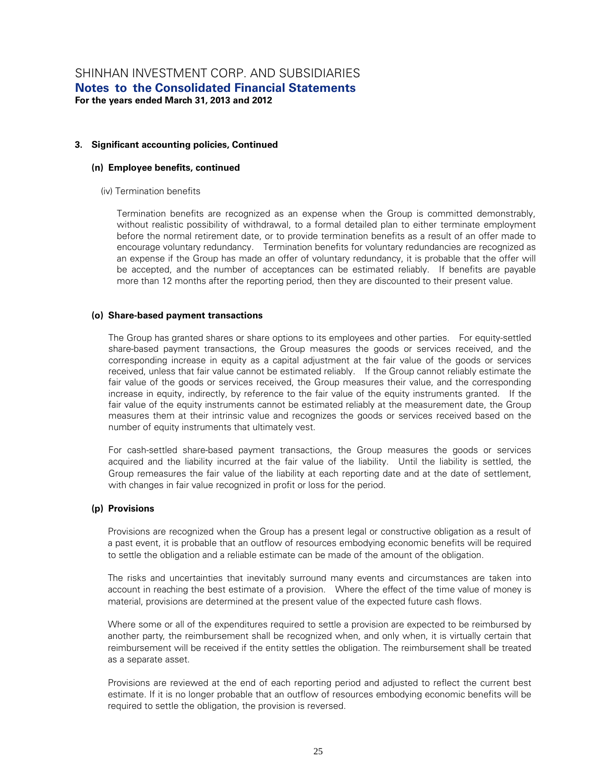#### **(n) Employee benefits, continued**

(iv) Termination benefits

Termination benefits are recognized as an expense when the Group is committed demonstrably, without realistic possibility of withdrawal, to a formal detailed plan to either terminate employment before the normal retirement date, or to provide termination benefits as a result of an offer made to encourage voluntary redundancy. Termination benefits for voluntary redundancies are recognized as an expense if the Group has made an offer of voluntary redundancy, it is probable that the offer will be accepted, and the number of acceptances can be estimated reliably. If benefits are payable more than 12 months after the reporting period, then they are discounted to their present value.

#### **(o) Share-based payment transactions**

The Group has granted shares or share options to its employees and other parties. For equity-settled share-based payment transactions, the Group measures the goods or services received, and the corresponding increase in equity as a capital adjustment at the fair value of the goods or services received, unless that fair value cannot be estimated reliably. If the Group cannot reliably estimate the fair value of the goods or services received, the Group measures their value, and the corresponding increase in equity, indirectly, by reference to the fair value of the equity instruments granted. If the fair value of the equity instruments cannot be estimated reliably at the measurement date, the Group measures them at their intrinsic value and recognizes the goods or services received based on the number of equity instruments that ultimately vest.

For cash-settled share-based payment transactions, the Group measures the goods or services acquired and the liability incurred at the fair value of the liability. Until the liability is settled, the Group remeasures the fair value of the liability at each reporting date and at the date of settlement, with changes in fair value recognized in profit or loss for the period.

#### **(p) Provisions**

Provisions are recognized when the Group has a present legal or constructive obligation as a result of a past event, it is probable that an outflow of resources embodying economic benefits will be required to settle the obligation and a reliable estimate can be made of the amount of the obligation.

The risks and uncertainties that inevitably surround many events and circumstances are taken into account in reaching the best estimate of a provision. Where the effect of the time value of money is material, provisions are determined at the present value of the expected future cash flows.

Where some or all of the expenditures required to settle a provision are expected to be reimbursed by another party, the reimbursement shall be recognized when, and only when, it is virtually certain that reimbursement will be received if the entity settles the obligation. The reimbursement shall be treated as a separate asset.

Provisions are reviewed at the end of each reporting period and adjusted to reflect the current best estimate. If it is no longer probable that an outflow of resources embodying economic benefits will be required to settle the obligation, the provision is reversed.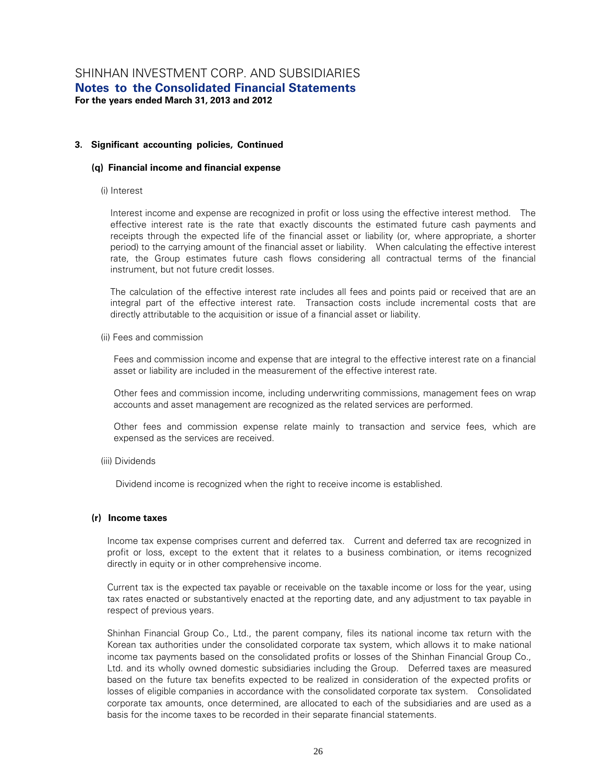#### **(q) Financial income and financial expense**

#### (i) Interest

Interest income and expense are recognized in profit or loss using the effective interest method. The effective interest rate is the rate that exactly discounts the estimated future cash payments and receipts through the expected life of the financial asset or liability (or, where appropriate, a shorter period) to the carrying amount of the financial asset or liability. When calculating the effective interest rate, the Group estimates future cash flows considering all contractual terms of the financial instrument, but not future credit losses.

The calculation of the effective interest rate includes all fees and points paid or received that are an integral part of the effective interest rate. Transaction costs include incremental costs that are directly attributable to the acquisition or issue of a financial asset or liability.

(ii) Fees and commission

Fees and commission income and expense that are integral to the effective interest rate on a financial asset or liability are included in the measurement of the effective interest rate.

Other fees and commission income, including underwriting commissions, management fees on wrap accounts and asset management are recognized as the related services are performed.

Other fees and commission expense relate mainly to transaction and service fees, which are expensed as the services are received.

(iii) Dividends

Dividend income is recognized when the right to receive income is established.

#### **(r) Income taxes**

Income tax expense comprises current and deferred tax. Current and deferred tax are recognized in profit or loss, except to the extent that it relates to a business combination, or items recognized directly in equity or in other comprehensive income.

Current tax is the expected tax payable or receivable on the taxable income or loss for the year, using tax rates enacted or substantively enacted at the reporting date, and any adjustment to tax payable in respect of previous years.

Shinhan Financial Group Co., Ltd., the parent company, files its national income tax return with the Korean tax authorities under the consolidated corporate tax system, which allows it to make national income tax payments based on the consolidated profits or losses of the Shinhan Financial Group Co., Ltd. and its wholly owned domestic subsidiaries including the Group. Deferred taxes are measured based on the future tax benefits expected to be realized in consideration of the expected profits or losses of eligible companies in accordance with the consolidated corporate tax system. Consolidated corporate tax amounts, once determined, are allocated to each of the subsidiaries and are used as a basis for the income taxes to be recorded in their separate financial statements.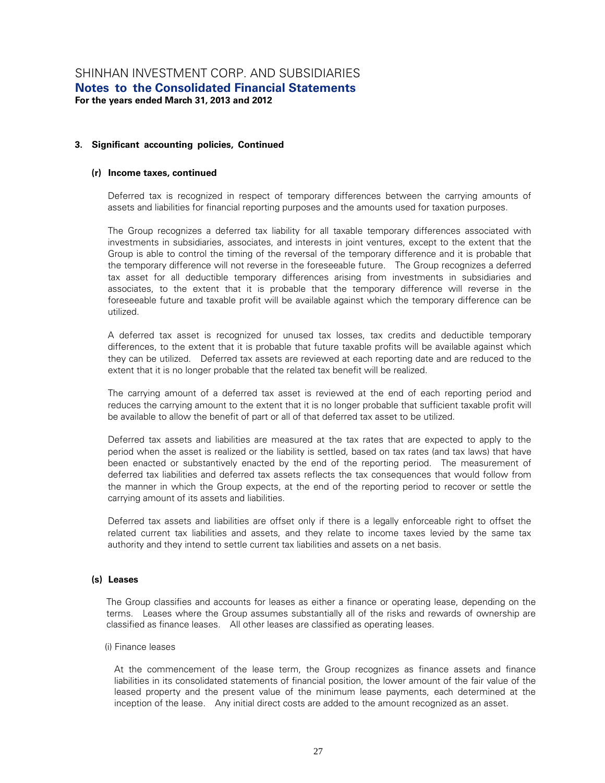#### **(r) Income taxes, continued**

Deferred tax is recognized in respect of temporary differences between the carrying amounts of assets and liabilities for financial reporting purposes and the amounts used for taxation purposes.

The Group recognizes a deferred tax liability for all taxable temporary differences associated with investments in subsidiaries, associates, and interests in joint ventures, except to the extent that the Group is able to control the timing of the reversal of the temporary difference and it is probable that the temporary difference will not reverse in the foreseeable future. The Group recognizes a deferred tax asset for all deductible temporary differences arising from investments in subsidiaries and associates, to the extent that it is probable that the temporary difference will reverse in the foreseeable future and taxable profit will be available against which the temporary difference can be utilized.

A deferred tax asset is recognized for unused tax losses, tax credits and deductible temporary differences, to the extent that it is probable that future taxable profits will be available against which they can be utilized. Deferred tax assets are reviewed at each reporting date and are reduced to the extent that it is no longer probable that the related tax benefit will be realized.

The carrying amount of a deferred tax asset is reviewed at the end of each reporting period and reduces the carrying amount to the extent that it is no longer probable that sufficient taxable profit will be available to allow the benefit of part or all of that deferred tax asset to be utilized.

Deferred tax assets and liabilities are measured at the tax rates that are expected to apply to the period when the asset is realized or the liability is settled, based on tax rates (and tax laws) that have been enacted or substantively enacted by the end of the reporting period. The measurement of deferred tax liabilities and deferred tax assets reflects the tax consequences that would follow from the manner in which the Group expects, at the end of the reporting period to recover or settle the carrying amount of its assets and liabilities.

Deferred tax assets and liabilities are offset only if there is a legally enforceable right to offset the related current tax liabilities and assets, and they relate to income taxes levied by the same tax authority and they intend to settle current tax liabilities and assets on a net basis.

#### **(s) Leases**

The Group classifies and accounts for leases as either a finance or operating lease, depending on the terms. Leases where the Group assumes substantially all of the risks and rewards of ownership are classified as finance leases. All other leases are classified as operating leases.

#### (i) Finance leases

At the commencement of the lease term, the Group recognizes as finance assets and finance liabilities in its consolidated statements of financial position, the lower amount of the fair value of the leased property and the present value of the minimum lease payments, each determined at the inception of the lease. Any initial direct costs are added to the amount recognized as an asset.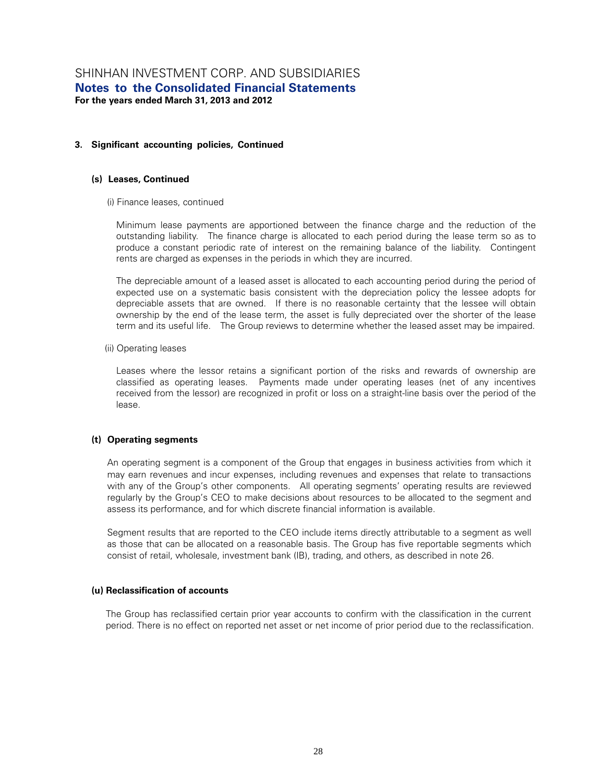#### **(s) Leases, Continued**

(i) Finance leases, continued

Minimum lease payments are apportioned between the finance charge and the reduction of the outstanding liability. The finance charge is allocated to each period during the lease term so as to produce a constant periodic rate of interest on the remaining balance of the liability. Contingent rents are charged as expenses in the periods in which they are incurred.

The depreciable amount of a leased asset is allocated to each accounting period during the period of expected use on a systematic basis consistent with the depreciation policy the lessee adopts for depreciable assets that are owned. If there is no reasonable certainty that the lessee will obtain ownership by the end of the lease term, the asset is fully depreciated over the shorter of the lease term and its useful life. The Group reviews to determine whether the leased asset may be impaired.

#### (ii) Operating leases

Leases where the lessor retains a significant portion of the risks and rewards of ownership are classified as operating leases. Payments made under operating leases (net of any incentives received from the lessor) are recognized in profit or loss on a straight-line basis over the period of the lease.

#### **(t) Operating segments**

An operating segment is a component of the Group that engages in business activities from which it may earn revenues and incur expenses, including revenues and expenses that relate to transactions with any of the Group's other components. All operating segments' operating results are reviewed regularly by the Group's CEO to make decisions about resources to be allocated to the segment and assess its performance, and for which discrete financial information is available.

Segment results that are reported to the CEO include items directly attributable to a segment as well as those that can be allocated on a reasonable basis. The Group has five reportable segments which consist of retail, wholesale, investment bank (IB), trading, and others, as described in note 26.

#### **(u) Reclassification of accounts**

The Group has reclassified certain prior year accounts to confirm with the classification in the current period. There is no effect on reported net asset or net income of prior period due to the reclassification.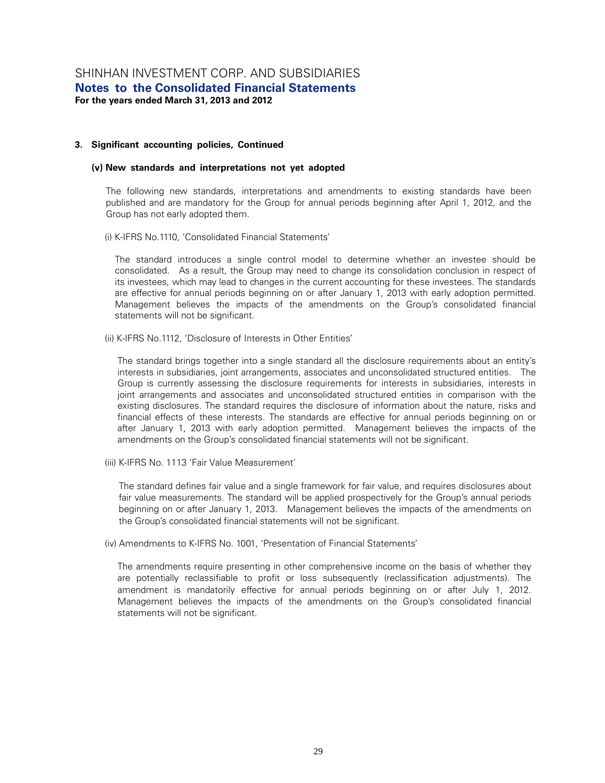#### **(v) New standards and interpretations not yet adopted**

The following new standards, interpretations and amendments to existing standards have been published and are mandatory for the Group for annual periods beginning after April 1, 2012, and the Group has not early adopted them.

(i) K-IFRS No.1110, 'Consolidated Financial Statements'

The standard introduces a single control model to determine whether an investee should be consolidated. As a result, the Group may need to change its consolidation conclusion in respect of its investees, which may lead to changes in the current accounting for these investees. The standards are effective for annual periods beginning on or after January 1, 2013 with early adoption permitted. Management believes the impacts of the amendments on the Group's consolidated financial statements will not be significant.

(ii) K-IFRS No.1112, 'Disclosure of Interests in Other Entities'

The standard brings together into a single standard all the disclosure requirements about an entity's interests in subsidiaries, joint arrangements, associates and unconsolidated structured entities. The Group is currently assessing the disclosure requirements for interests in subsidiaries, interests in joint arrangements and associates and unconsolidated structured entities in comparison with the existing disclosures. The standard requires the disclosure of information about the nature, risks and financial effects of these interests. The standards are effective for annual periods beginning on or after January 1, 2013 with early adoption permitted. Management believes the impacts of the amendments on the Group's consolidated financial statements will not be significant.

(iii) K-IFRS No. 1113 'Fair Value Measurement'

The standard defines fair value and a single framework for fair value, and requires disclosures about fair value measurements. The standard will be applied prospectively for the Group's annual periods beginning on or after January 1, 2013. Management believes the impacts of the amendments on the Group's consolidated financial statements will not be significant.

(iv) Amendments to K-IFRS No. 1001, 'Presentation of Financial Statements'

The amendments require presenting in other comprehensive income on the basis of whether they are potentially reclassifiable to profit or loss subsequently (reclassification adjustments). The amendment is mandatorily effective for annual periods beginning on or after July 1, 2012. Management believes the impacts of the amendments on the Group's consolidated financial statements will not be significant.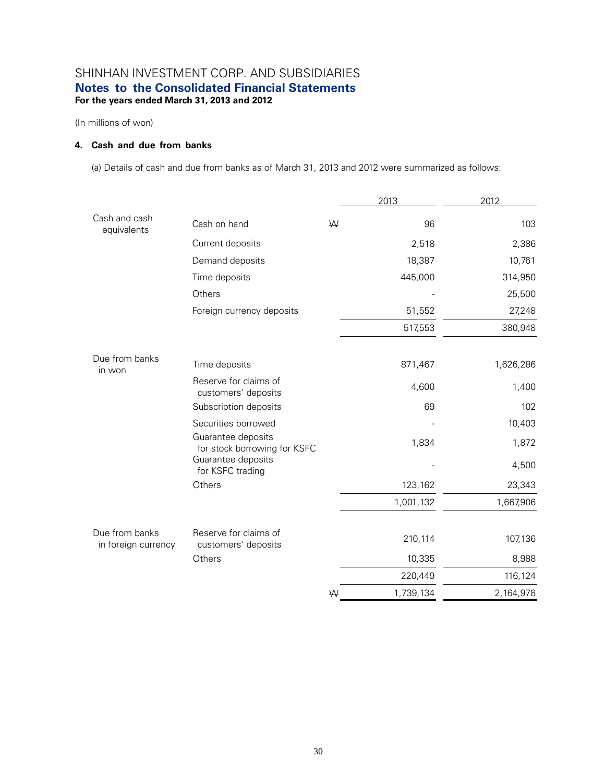(In millions of won)

#### **4. Cash and due from banks**

(a) Details of cash and due from banks as of March 31, 2013 and 2012 were summarized as follows:

|                                       |                                                    |   | 2013      | 2012      |
|---------------------------------------|----------------------------------------------------|---|-----------|-----------|
| Cash and cash<br>equivalents          | Cash on hand                                       | W | 96        | 103       |
|                                       | Current deposits                                   |   | 2,518     | 2,386     |
|                                       | Demand deposits                                    |   | 18,387    | 10,761    |
|                                       | Time deposits                                      |   | 445,000   | 314,950   |
|                                       | Others                                             |   |           | 25,500    |
|                                       | Foreign currency deposits                          |   | 51,552    | 27,248    |
|                                       |                                                    |   | 517,553   | 380,948   |
| Due from banks<br>in won              | Time deposits                                      |   | 871,467   | 1,626,286 |
|                                       | Reserve for claims of<br>customers' deposits       |   | 4,600     | 1,400     |
|                                       | Subscription deposits                              |   | 69        | 102       |
|                                       | Securities borrowed                                |   |           | 10,403    |
|                                       | Guarantee deposits<br>for stock borrowing for KSFC |   | 1,834     | 1,872     |
|                                       | Guarantee deposits<br>for KSFC trading             |   |           | 4,500     |
|                                       | Others                                             |   | 123,162   | 23,343    |
|                                       |                                                    |   | 1,001,132 | 1,667,906 |
| Due from banks<br>in foreign currency | Reserve for claims of<br>customers' deposits       |   | 210,114   | 107,136   |
|                                       | Others                                             |   | 10,335    | 8,988     |
|                                       |                                                    |   | 220,449   | 116,124   |
|                                       |                                                    | W | 1,739,134 | 2,164,978 |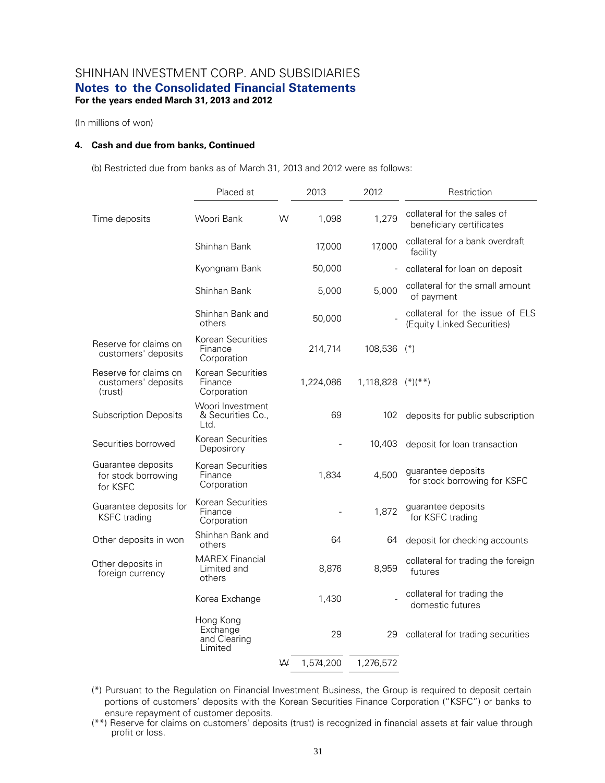(In millions of won)

#### **4. Cash and due from banks, Continued**

(b) Restricted due from banks as of March 31, 2013 and 2012 were as follows:

|                                                         | Placed at                                        |   | 2013      | 2012                | Restriction                                                   |
|---------------------------------------------------------|--------------------------------------------------|---|-----------|---------------------|---------------------------------------------------------------|
| Time deposits                                           | Woori Bank                                       | W | 1,098     | 1,279               | collateral for the sales of<br>beneficiary certificates       |
|                                                         | Shinhan Bank                                     |   | 17,000    | 17,000              | collateral for a bank overdraft<br>facility                   |
|                                                         | Kyongnam Bank                                    |   | 50,000    |                     | collateral for loan on deposit                                |
|                                                         | Shinhan Bank                                     |   | 5,000     | 5,000               | collateral for the small amount<br>of payment                 |
|                                                         | Shinhan Bank and<br>others                       |   | 50,000    |                     | collateral for the issue of ELS<br>(Equity Linked Securities) |
| Reserve for claims on<br>customers' deposits            | Korean Securities<br>Finance<br>Corporation      |   | 214,714   | 108,536 (*)         |                                                               |
| Reserve for claims on<br>customers' deposits<br>(trust) | Korean Securities<br>Finance<br>Corporation      |   | 1,224,086 | $1,118,828$ (*)(**) |                                                               |
| <b>Subscription Deposits</b>                            | Woori Investment<br>& Securities Co.,<br>Ltd.    |   | 69        | 102                 | deposits for public subscription                              |
| Securities borrowed                                     | Korean Securities<br>Deposirory                  |   |           | 10,403              | deposit for loan transaction                                  |
| Guarantee deposits<br>for stock borrowing<br>for KSFC   | Korean Securities<br>Finance<br>Corporation      |   | 1,834     | 4,500               | guarantee deposits<br>for stock borrowing for KSFC            |
| Guarantee deposits for<br><b>KSFC</b> trading           | Korean Securities<br>Finance<br>Corporation      |   |           | 1,872               | guarantee deposits<br>for KSFC trading                        |
| Other deposits in won                                   | Shinhan Bank and<br>others                       |   | 64        | 64                  | deposit for checking accounts                                 |
| Other deposits in<br>foreign currency                   | <b>MAREX Financial</b><br>Limited and<br>others  |   | 8,876     | 8,959               | collateral for trading the foreign<br>futures                 |
|                                                         | Korea Exchange                                   |   | 1,430     |                     | collateral for trading the<br>domestic futures                |
|                                                         | Hong Kong<br>Exchange<br>and Clearing<br>Limited |   | 29        | 29                  | collateral for trading securities                             |
|                                                         |                                                  | W | 1,574,200 | 1,276,572           |                                                               |

- (\*) Pursuant to the Regulation on Financial Investment Business, the Group is required to deposit certain portions of customers' deposits with the Korean Securities Finance Corporation ("KSFC") or banks to ensure repayment of customer deposits.
- (\*\*) Reserve for claims on customers' deposits (trust) is recognized in financial assets at fair value through profit or loss.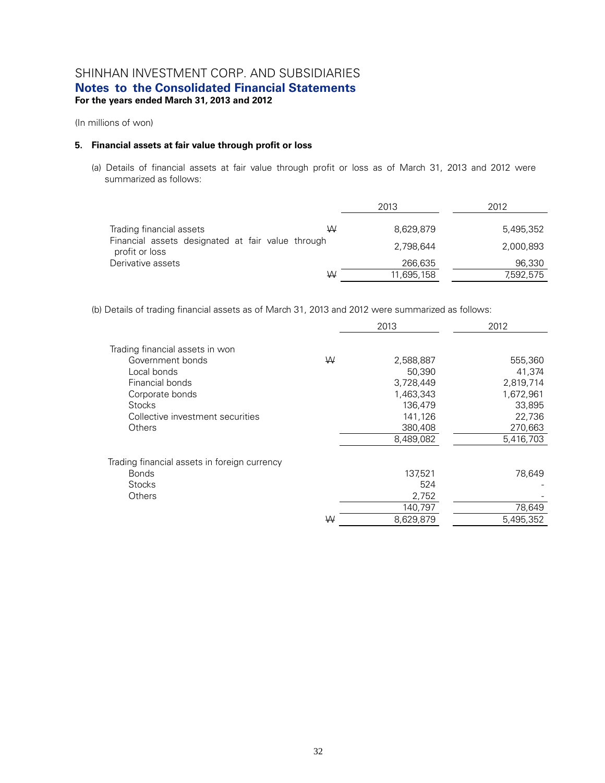(In millions of won)

#### **5. Financial assets at fair value through profit or loss**

(a) Details of financial assets at fair value through profit or loss as of March 31, 2013 and 2012 were summarized as follows:

|                                                                     | 2013       | 2012      |  |
|---------------------------------------------------------------------|------------|-----------|--|
| Trading financial assets<br>W                                       | 8,629,879  | 5.495.352 |  |
| Financial assets designated at fair value through<br>profit or loss | 2.798.644  | 2,000,893 |  |
| Derivative assets                                                   | 266,635    | 96,330    |  |
| W                                                                   | 11,695,158 | 7,592,575 |  |

(b) Details of trading financial assets as of March 31, 2013 and 2012 were summarized as follows:

|                                              |   | 2013      | 2012      |
|----------------------------------------------|---|-----------|-----------|
| Trading financial assets in won              |   |           |           |
| Government bonds                             | W | 2,588,887 | 555,360   |
| Local bonds                                  |   | 50,390    | 41,374    |
| Financial bonds                              |   | 3,728,449 | 2,819,714 |
| Corporate bonds                              |   | 1,463,343 | 1,672,961 |
| <b>Stocks</b>                                |   | 136,479   | 33,895    |
| Collective investment securities             |   | 141,126   | 22,736    |
| Others                                       |   | 380,408   | 270,663   |
|                                              |   | 8,489,082 | 5,416,703 |
| Trading financial assets in foreign currency |   |           |           |
| <b>Bonds</b>                                 |   | 137,521   | 78,649    |
| <b>Stocks</b>                                |   | 524       |           |
| Others                                       |   | 2,752     |           |
|                                              |   | 140,797   | 78,649    |
|                                              | W | 8,629,879 | 5,495,352 |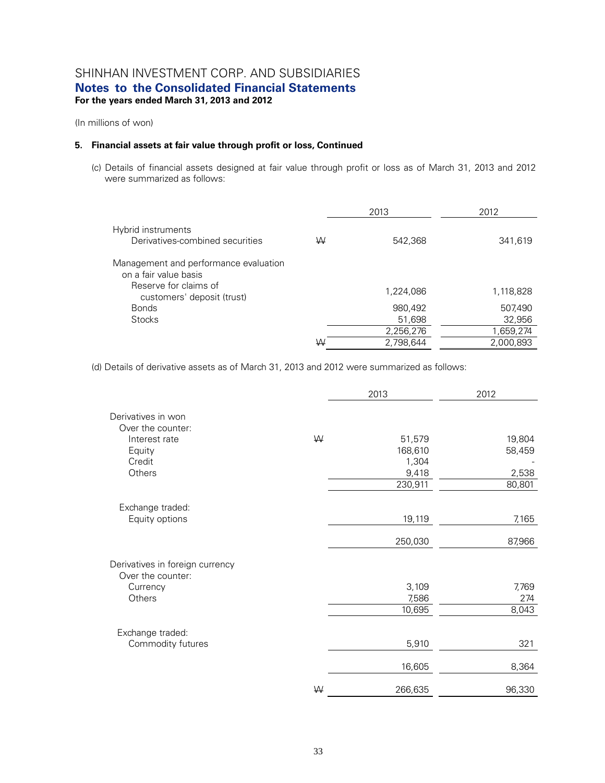(In millions of won)

#### **5. Financial assets at fair value through profit or loss, Continued**

(c) Details of financial assets designed at fair value through profit or loss as of March 31, 2013 and 2012 were summarized as follows:

|                                                                |   | 2013      | 2012      |
|----------------------------------------------------------------|---|-----------|-----------|
| Hybrid instruments<br>Derivatives-combined securities          | W | 542,368   | 341,619   |
| Management and performance evaluation<br>on a fair value basis |   |           |           |
| Reserve for claims of<br>customers' deposit (trust)            |   | 1,224,086 | 1,118,828 |
| <b>Bonds</b>                                                   |   | 980,492   | 507,490   |
| <b>Stocks</b>                                                  |   | 51,698    | 32,956    |
|                                                                |   | 2,256,276 | 1,659,274 |
|                                                                | W | 2,798,644 | 2,000,893 |

(d) Details of derivative assets as of March 31, 2013 and 2012 were summarized as follows:

|                                                      |   | 2013             | 2012            |
|------------------------------------------------------|---|------------------|-----------------|
| Derivatives in won<br>Over the counter:              |   |                  |                 |
| Interest rate                                        | W | 51,579           | 19,804          |
| Equity                                               |   | 168,610          | 58,459          |
| Credit                                               |   | 1,304            |                 |
| Others                                               |   | 9,418<br>230,911 | 2,538<br>80,801 |
|                                                      |   |                  |                 |
| Exchange traded:                                     |   |                  |                 |
| Equity options                                       |   | 19,119           | 7,165           |
|                                                      |   | 250,030          | 87,966          |
| Derivatives in foreign currency<br>Over the counter: |   |                  |                 |
| Currency                                             |   | 3,109            | 7,769           |
| Others                                               |   | 7,586            | 274             |
|                                                      |   | 10,695           | 8,043           |
| Exchange traded:                                     |   |                  |                 |
| Commodity futures                                    |   | 5,910            | 321             |
|                                                      |   | 16,605           | 8,364           |
|                                                      | W | 266,635          | 96,330          |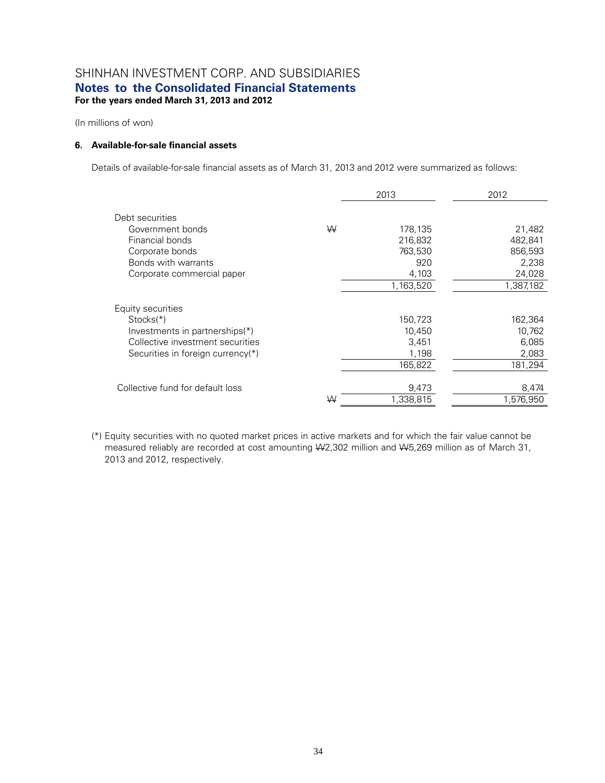(In millions of won)

#### **6. Available-for-sale financial assets**

Details of available-for-sale financial assets as of March 31, 2013 and 2012 were summarized as follows:

|   | 2013      | 2012               |
|---|-----------|--------------------|
|   |           |                    |
| W | 178,135   | 21,482             |
|   | 216,832   | 482,841            |
|   | 763,530   | 856,593            |
|   | 920       | 2,238              |
|   | 4,103     | 24,028             |
|   | 1,163,520 | 1,387,182          |
|   |           |                    |
|   | 150,723   | 162,364            |
|   | 10,450    | 10,762             |
|   | 3.451     | 6,085              |
|   | 1,198     | 2,083              |
|   | 165,822   | 181,294            |
|   |           |                    |
|   |           | 8,474              |
| W |           | 1,576,950          |
|   |           | 9,473<br>1,338,815 |

(\*) Equity securities with no quoted market prices in active markets and for which the fair value cannot be measured reliably are recorded at cost amounting  $W2,302$  million and  $W5,269$  million as of March 31, 2013 and 2012, respectively.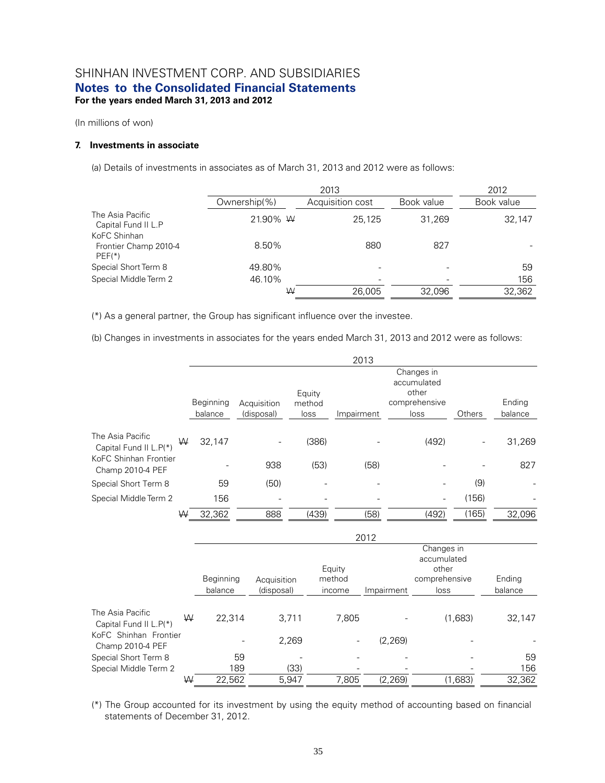(In millions of won)

#### **7. Investments in associate**

(a) Details of investments in associates as of March 31, 2013 and 2012 were as follows:

|                                                   |              | 2013             |            |            |  |  |
|---------------------------------------------------|--------------|------------------|------------|------------|--|--|
|                                                   | Ownership(%) | Acquisition cost | Book value | Book value |  |  |
| The Asia Pacific<br>Capital Fund II L.P           | 21.90% W     | 25.125           | 31,269     | 32,147     |  |  |
| KoFC Shinhan<br>Frontier Champ 2010-4<br>$PEF(*)$ | 8.50%        | 880              | 827        |            |  |  |
| Special Short Term 8                              | 49.80%       |                  |            | 59         |  |  |
| Special Middle Term 2                             | 46.10%       |                  |            | 156        |  |  |
|                                                   | W            | 26,005           | 32,096     | 32,362     |  |  |

(\*) As a general partner, the Group has significant influence over the investee.

(b) Changes in investments in associates for the years ended March 31, 2013 and 2012 were as follows:

|                                            |   |                      |     |                           |                |       |            | 2013 |            |                                    |         |                   |
|--------------------------------------------|---|----------------------|-----|---------------------------|----------------|-------|------------|------|------------|------------------------------------|---------|-------------------|
|                                            |   |                      |     |                           | Equity         |       |            |      |            | Changes in<br>accumulated<br>other |         |                   |
|                                            |   | Beginning<br>balance |     | Acquisition<br>(disposal) | method<br>loss |       | Impairment |      |            | comprehensive<br>loss              | Others  | Ending<br>balance |
|                                            |   |                      |     |                           |                |       |            |      |            |                                    |         |                   |
| The Asia Pacific<br>Capital Fund II L.P(*) | W | 32,147               |     |                           |                | (386) |            |      |            | (492)                              |         | 31,269            |
| KoFC Shinhan Frontier<br>Champ 2010-4 PEF  |   |                      |     | 938                       |                | (53)  |            | (58) |            |                                    |         | 827               |
| Special Short Term 8                       |   | 59                   |     | (50)                      |                |       |            |      |            |                                    | (9)     |                   |
| Special Middle Term 2                      |   | 156                  |     |                           |                |       |            |      |            |                                    | (156)   |                   |
|                                            | W | 32,362               |     | 888                       |                | (439) |            | (58) |            | (492)                              | (165)   | 32,096            |
|                                            |   |                      |     |                           |                |       |            | 2012 |            |                                    |         |                   |
|                                            |   |                      |     |                           |                |       | Equity     |      |            | Changes in<br>accumulated<br>other |         |                   |
|                                            |   | Beginning            |     | Acquisition               |                |       | method     |      |            | comprehensive                      |         | Ending            |
|                                            |   | balance              |     | (disposal)                |                |       | income     |      | Impairment | loss                               |         | balance           |
| The Asia Pacific<br>Capital Fund II L.P(*) | W | 22,314               |     |                           | 3,711          |       | 7,805      |      |            |                                    | (1,683) | 32,147            |
| KoFC Shinhan Frontier<br>Champ 2010-4 PEF  |   |                      |     |                           | 2,269          |       |            |      | (2, 269)   |                                    |         |                   |
| Special Short Term 8                       |   |                      | 59  |                           |                |       |            |      |            |                                    |         | 59                |
| Special Middle Term 2                      |   |                      | 189 |                           | (33)           |       |            |      |            |                                    |         | 156               |
|                                            | ₩ | 22,562               |     |                           | 5,947          |       | 7,805      |      | (2, 269)   |                                    | (1,683) | 32,362            |

(\*) The Group accounted for its investment by using the equity method of accounting based on financial statements of December 31, 2012.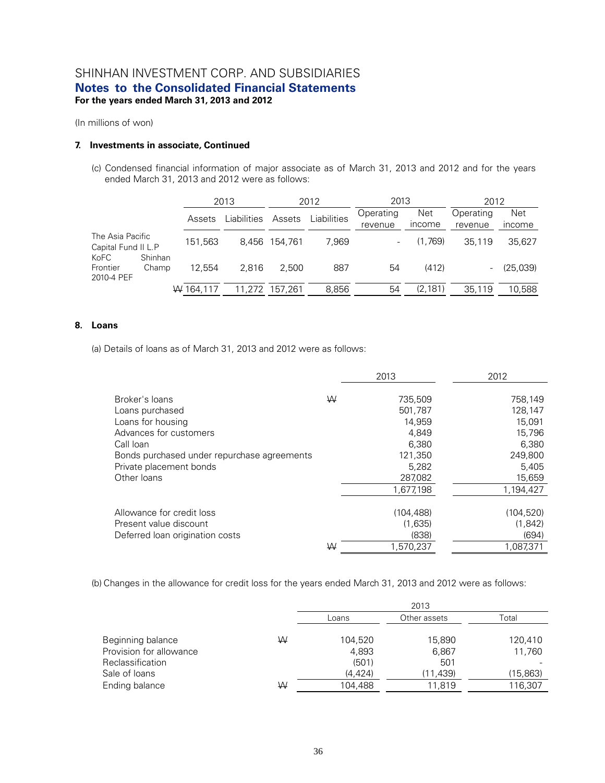(In millions of won)

#### **7. Investments in associate, Continued**

(c) Condensed financial information of major associate as of March 31, 2013 and 2012 and for the years ended March 31, 2013 and 2012 were as follows:

|                                         |                  |           | 2013        |                | 2012        |                      | 2013                        | 2012                 |                      |
|-----------------------------------------|------------------|-----------|-------------|----------------|-------------|----------------------|-----------------------------|----------------------|----------------------|
|                                         |                  | Assets    | Liabilities | Assets         | Liabilities | Operating<br>revenue | <b>Net</b><br><i>income</i> | Operating<br>revenue | <b>Net</b><br>income |
| The Asia Pacific<br>Capital Fund II L.P |                  | 151,563   | 8.456       | 154.761        | 7.969       |                      | (1.769)                     | 35.119               | 35,627               |
| KoFC<br>Frontier<br>2010-4 PEF          | Shinhan<br>Champ | 12.554    | 2.816       | 2.500          | 887         | 54                   | (412)                       |                      | (25,039)             |
|                                         |                  | W 164.117 |             | 11.272 157.261 | 8,856       | 54                   | (2, 181)                    | 35.119               | 10.588               |

#### **8. Loans**

(a) Details of loans as of March 31, 2013 and 2012 were as follows:

|                                             |   | 2013       | 2012       |
|---------------------------------------------|---|------------|------------|
| Broker's loans                              | W |            | 758.149    |
|                                             |   | 735,509    |            |
| Loans purchased                             |   | 501.787    | 128,147    |
| Loans for housing                           |   | 14.959     | 15.091     |
| Advances for customers                      |   | 4.849      | 15,796     |
| Call Ioan                                   |   | 6.380      | 6,380      |
| Bonds purchased under repurchase agreements |   | 121,350    | 249.800    |
| Private placement bonds                     |   | 5,282      | 5,405      |
| Other loans                                 |   | 287,082    | 15,659     |
|                                             |   | 1,677,198  | 1,194,427  |
|                                             |   |            |            |
| Allowance for credit loss                   |   | (104, 488) | (104, 520) |
| Present value discount                      |   | (1,635)    | (1,842)    |
| Deferred loan origination costs             |   | (838)      | (694)      |
|                                             | W | 1.570.237  | 1.087.371  |

(b) Changes in the allowance for credit loss for the years ended March 31, 2013 and 2012 were as follows:

|                         |   |          | 2013         |          |
|-------------------------|---|----------|--------------|----------|
|                         |   | Loans    | Other assets | Total    |
| Beginning balance       | W | 104,520  | 15.890       | 120.410  |
| Provision for allowance |   | 4,893    | 6,867        | 11.760   |
| <b>Reclassification</b> |   | (501)    | 501          |          |
| Sale of Ioans           |   | (4, 424) | (11, 439)    | (15,863) |
| Ending balance          | W | 104.488  | 11.819       | 116,307  |
|                         |   |          |              |          |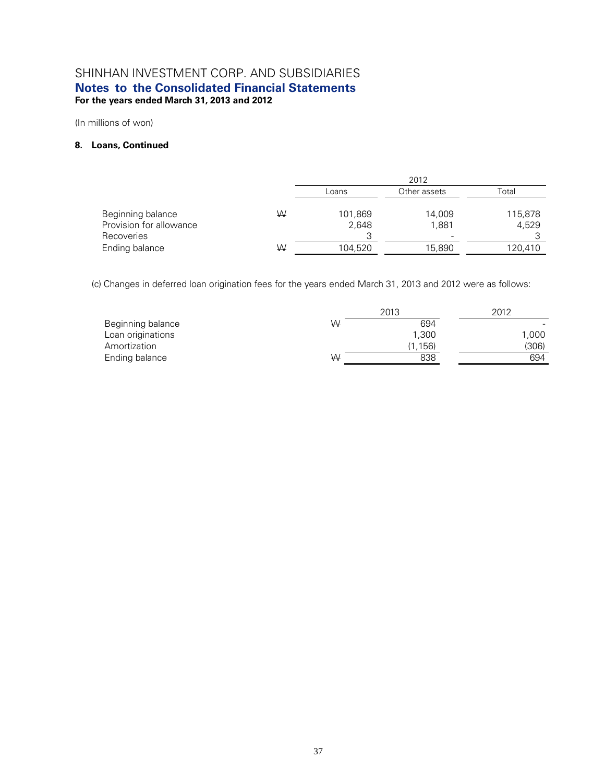(In millions of won)

#### **8. Loans, Continued**

|                                                            |   |                  | 2012            |                  |
|------------------------------------------------------------|---|------------------|-----------------|------------------|
|                                                            |   | Loans            | Other assets    | Total            |
| Beginning balance<br>Provision for allowance<br>Recoveries | ₩ | 101,869<br>2.648 | 14,009<br>1,881 | 115,878<br>4.529 |
| Ending balance                                             | ₩ | 104,520          | 15,890          | 120,410          |

(c) Changes in deferred loan origination fees for the years ended March 31, 2013 and 2012 were as follows:

|                   |   | 2013    | 2012  |
|-------------------|---|---------|-------|
| Beginning balance | W | 694     |       |
| Loan originations |   | 1.300   | 1,000 |
| Amortization      |   | (1,156) | (306) |
| Ending balance    | W | 838     | 694   |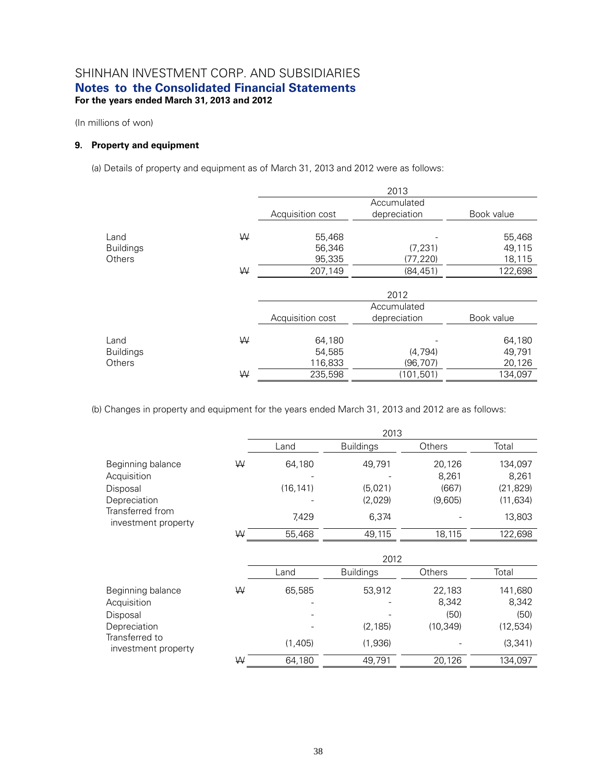(In millions of won)

### **9. Property and equipment**

(a) Details of property and equipment as of March 31, 2013 and 2012 were as follows:

|                  |   |                  | 2013         |            |
|------------------|---|------------------|--------------|------------|
|                  |   |                  | Accumulated  |            |
|                  |   | Acquisition cost | depreciation | Book value |
|                  | W |                  |              |            |
| Land             |   | 55,468           |              | 55,468     |
| <b>Buildings</b> |   | 56,346           | (7, 231)     | 49,115     |
| Others           |   | 95,335           | (77, 220)    | 18,115     |
|                  | W | 207,149          | (84, 451)    | 122,698    |
|                  |   |                  | 2012         |            |
|                  |   |                  | Accumulated  |            |
|                  |   | Acquisition cost | depreciation | Book value |
| Land             | ₩ | 64,180           |              | 64,180     |
|                  |   |                  |              |            |
| <b>Buildings</b> |   | 54,585           | (4, 794)     | 49,791     |
| Others           |   | 116,833          | (96, 707)    | 20,126     |
|                  | W | 235,598          | (101, 501)   | 134,097    |

(b) Changes in property and equipment for the years ended March 31, 2013 and 2012 are as follows:

|                                                                                                         |   |                              | 2013                                  |                                      |                                                      |
|---------------------------------------------------------------------------------------------------------|---|------------------------------|---------------------------------------|--------------------------------------|------------------------------------------------------|
|                                                                                                         |   | Land                         | <b>Buildings</b>                      | <b>Others</b>                        | Total                                                |
| Beginning balance<br>Acquisition<br>Disposal<br>Depreciation<br>Transferred from<br>investment property | ₩ | 64,180<br>(16, 141)<br>7,429 | 49,791<br>(5.021)<br>(2,029)<br>6,374 | 20,126<br>8,261<br>(667)<br>(9,605)  | 134,097<br>8,261<br>(21, 829)<br>(11, 634)<br>13,803 |
|                                                                                                         | ₩ | 55,468                       | 49,115                                | 18,115                               | 122,698                                              |
|                                                                                                         |   |                              | 2012                                  |                                      |                                                      |
|                                                                                                         |   | Land                         | <b>Buildings</b>                      | Others                               | Total                                                |
| Beginning balance<br>Acquisition<br>Disposal<br>Depreciation<br>Transferred to<br>investment property   | ₩ | 65,585<br>(1,405)            | 53,912<br>(2, 185)<br>(1,936)         | 22,183<br>8,342<br>(50)<br>(10, 349) | 141,680<br>8,342<br>(50)<br>(12, 534)<br>(3,341)     |
|                                                                                                         | ₩ | 64,180                       | 49,791                                | 20,126                               | 134,097                                              |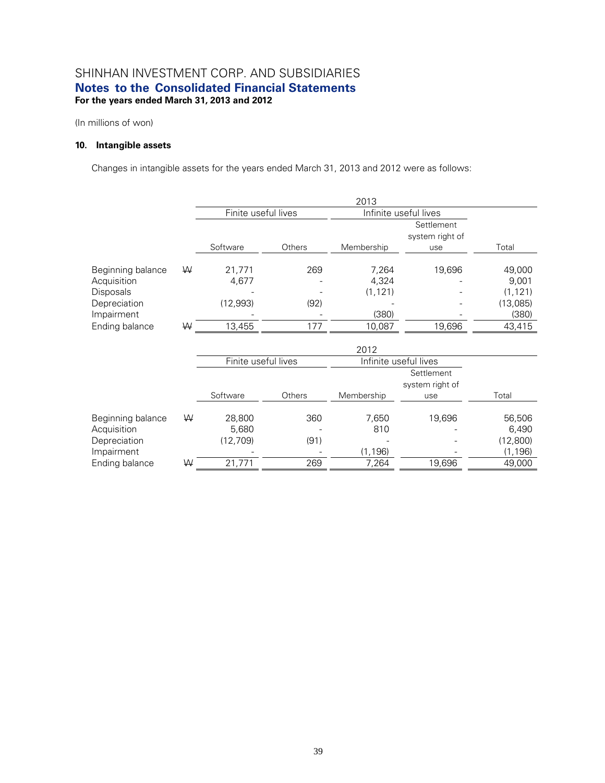(In millions of won)

### **10. Intangible assets**

Changes in intangible assets for the years ended March 31, 2013 and 2012 were as follows:

|   |          |               |                     | Settlement<br>system right of |                       |
|---|----------|---------------|---------------------|-------------------------------|-----------------------|
|   | Software | <b>Others</b> | Membership          | use                           | Total                 |
| ₩ | 21,771   | 269           | 7,264               | 19,696                        | 49,000                |
|   | 4,677    |               | 4,324               |                               | 9,001                 |
|   |          |               | (1, 121)            |                               | (1, 121)              |
|   | (12,993) | (92)          |                     |                               | (13,085)              |
|   |          |               | (380)               |                               | (380)                 |
| W | 13,455   | 177           | 10,087              | 19,696                        | 43,415                |
|   |          |               | Finite useful lives | 2013                          | Infinite useful lives |

|                   |   |          | 2012                |                       |                               |          |  |  |  |  |
|-------------------|---|----------|---------------------|-----------------------|-------------------------------|----------|--|--|--|--|
|                   |   |          | Finite useful lives | Infinite useful lives |                               |          |  |  |  |  |
|                   |   |          |                     |                       | Settlement<br>system right of |          |  |  |  |  |
|                   |   | Software | <b>Others</b>       | Membership            | use                           | Total    |  |  |  |  |
| Beginning balance | W | 28,800   | 360                 | 7,650                 | 19,696                        | 56,506   |  |  |  |  |
| Acquisition       |   | 5,680    |                     | 810                   |                               | 6,490    |  |  |  |  |
| Depreciation      |   | (12,709) | (91)                |                       |                               | (12,800) |  |  |  |  |
| Impairment        |   |          |                     | (1, 196)              |                               | (1, 196) |  |  |  |  |
| Ending balance    | W | 21,771   | 269                 | 7,264                 | 19,696                        | 49,000   |  |  |  |  |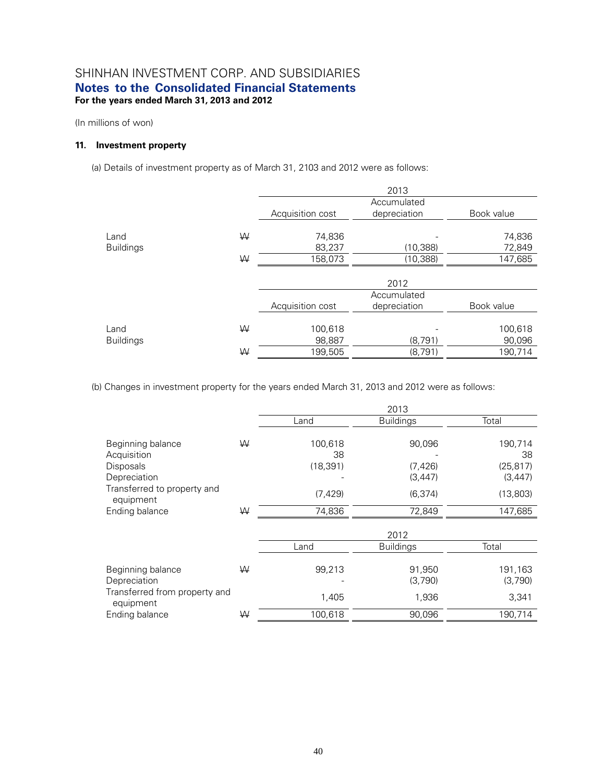(In millions of won)

### **11. Investment property**

(a) Details of investment property as of March 31, 2103 and 2012 were as follows:

|                  |   |                  | 2013         |            |
|------------------|---|------------------|--------------|------------|
|                  |   |                  | Accumulated  |            |
|                  |   | Acquisition cost | depreciation | Book value |
| Land             | W | 74,836           |              | 74,836     |
| <b>Buildings</b> |   | 83,237           | (10, 388)    | 72,849     |
|                  | W | 158,073          | (10, 388)    | 147,685    |
|                  |   |                  | 2012         |            |
|                  |   |                  | Accumulated  |            |
|                  |   | Acquisition cost | depreciation | Book value |
| Land             | W | 100,618          |              | 100,618    |
| <b>Buildings</b> |   | 98,887           | (8,791)      | 90,096     |
|                  | W | 199,505          | (8,791)      | 190,714    |

(b) Changes in investment property for the years ended March 31, 2013 and 2012 were as follows:

|                                            |   |           | 2013             |           |
|--------------------------------------------|---|-----------|------------------|-----------|
|                                            |   | Land      | <b>Buildings</b> | Total     |
| Beginning balance                          | ₩ | 100,618   | 90,096           | 190,714   |
| Acquisition                                |   | 38        |                  | 38        |
| <b>Disposals</b>                           |   | (18, 391) | (7, 426)         | (25, 817) |
| Depreciation                               |   |           | (3, 447)         | (3, 447)  |
| Transferred to property and<br>equipment   |   | (7, 429)  | (6, 374)         | (13,803)  |
| Ending balance                             | ₩ | 74,836    | 72,849           | 147,685   |
|                                            |   |           | 2012             |           |
|                                            |   | Land      | <b>Buildings</b> | Total     |
|                                            |   |           |                  |           |
| Beginning balance                          | ₩ | 99,213    | 91,950           | 191,163   |
| Depreciation                               |   |           | (3,790)          | (3,790)   |
| Transferred from property and<br>equipment |   | 1,405     | 1,936            | 3,341     |
| Ending balance                             | ₩ | 100,618   | 90,096           | 190,714   |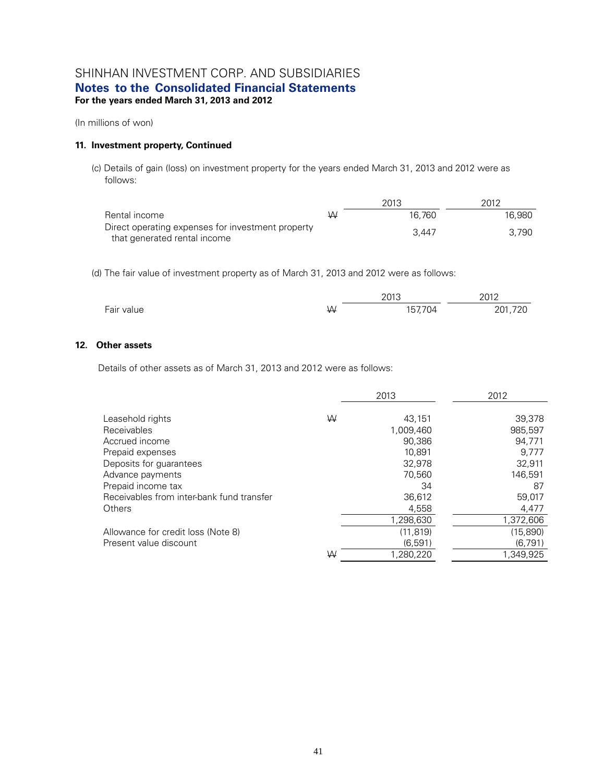(In millions of won)

#### **11. Investment property, Continued**

(c) Details of gain (loss) on investment property for the years ended March 31, 2013 and 2012 were as follows:

|                                                   |   | 2013   | 2012   |
|---------------------------------------------------|---|--------|--------|
| Rental income                                     | W | 16.760 | 16.980 |
| Direct operating expenses for investment property |   | 3.447  | 3.790  |
| that generated rental income                      |   |        |        |

(d) The fair value of investment property as of March 31, 2013 and 2012 were as follows:

|            |   | 2013    | 2012    |  |
|------------|---|---------|---------|--|
| Fair value | ₩ | 157,704 | 201,720 |  |

#### **12. Other assets**

Details of other assets as of March 31, 2013 and 2012 were as follows:

|                                           |   | 2013      | 2012      |
|-------------------------------------------|---|-----------|-----------|
| Leasehold rights                          | W | 43,151    | 39,378    |
| <b>Receivables</b>                        |   | 1,009,460 | 985,597   |
| Accrued income                            |   | 90.386    | 94.771    |
| Prepaid expenses                          |   | 10.891    | 9.777     |
| Deposits for guarantees                   |   | 32.978    | 32,911    |
| Advance payments                          |   | 70.560    | 146.591   |
| Prepaid income tax                        |   | 34        | 87        |
| Receivables from inter-bank fund transfer |   | 36,612    | 59,017    |
| Others                                    |   | 4,558     | 4,477     |
|                                           |   | 1,298,630 | 1,372,606 |
| Allowance for credit loss (Note 8)        |   | (11.819)  | (15,890)  |
| Present value discount                    |   | (6, 591)  | (6,791)   |
|                                           | W | 1.280.220 | 1.349.925 |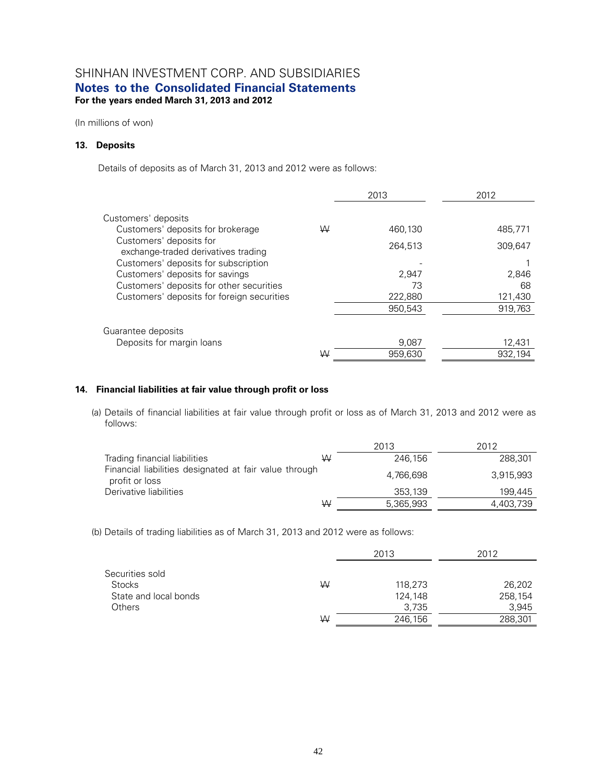(In millions of won)

#### **13. Deposits**

Details of deposits as of March 31, 2013 and 2012 were as follows:

|                                                                |   | 2013    | 2012    |
|----------------------------------------------------------------|---|---------|---------|
| Customers' deposits                                            |   |         |         |
| Customers' deposits for brokerage                              | W | 460.130 | 485.771 |
| Customers' deposits for<br>exchange-traded derivatives trading |   | 264.513 | 309.647 |
| Customers' deposits for subscription                           |   |         |         |
| Customers' deposits for savings                                |   | 2.947   | 2,846   |
| Customers' deposits for other securities                       |   | 73      | 68      |
| Customers' deposits for foreign securities                     |   | 222,880 | 121,430 |
|                                                                |   | 950,543 | 919,763 |
| Guarantee deposits                                             |   |         |         |
| Deposits for margin loans                                      |   | 9,087   | 12,431  |
|                                                                | W | 959.630 | 932.194 |

#### **14. Financial liabilities at fair value through profit or loss**

(a) Details of financial liabilities at fair value through profit or loss as of March 31, 2013 and 2012 were as follows:

|                                                                          |   | 2013      | 2012      |
|--------------------------------------------------------------------------|---|-----------|-----------|
| Trading financial liabilities                                            | W | 246.156   | 288.301   |
| Financial liabilities designated at fair value through<br>profit or loss |   | 4,766,698 | 3.915.993 |
| Derivative liabilities                                                   |   | 353.139   | 199.445   |
|                                                                          | W | 5,365,993 | 4,403,739 |

(b) Details of trading liabilities as of March 31, 2013 and 2012 were as follows:

|                       |   | 2013    | 2012    |  |
|-----------------------|---|---------|---------|--|
| Securities sold       |   |         |         |  |
| <b>Stocks</b>         | W | 118,273 | 26,202  |  |
| State and local bonds |   | 124,148 | 258,154 |  |
| Others                |   | 3.735   | 3,945   |  |
|                       | W | 246,156 | 288,301 |  |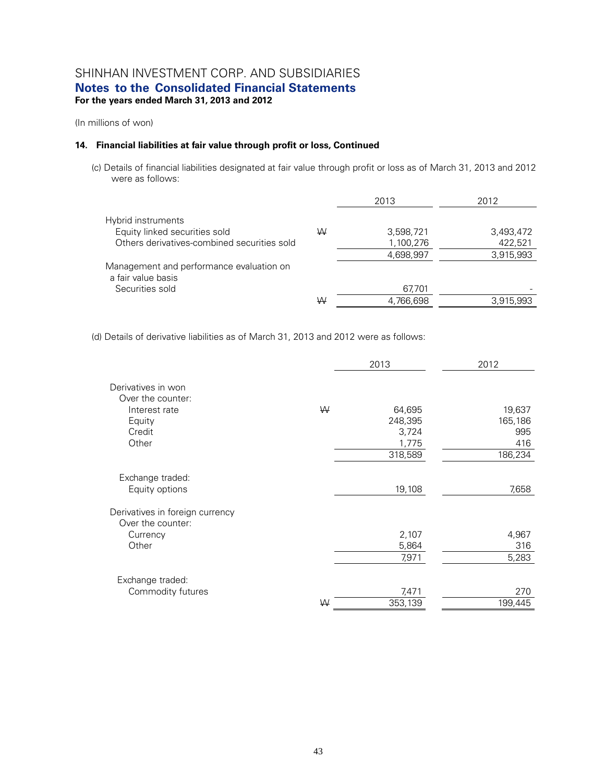(In millions of won)

#### **14. Financial liabilities at fair value through profit or loss, Continued**

(c) Details of financial liabilities designated at fair value through profit or loss as of March 31, 2013 and 2012 were as follows:

|                                                                |   | 2013      | 2012      |
|----------------------------------------------------------------|---|-----------|-----------|
| Hybrid instruments                                             |   |           |           |
| Equity linked securities sold                                  | W | 3,598,721 | 3,493,472 |
| Others derivatives-combined securities sold                    |   | 1,100,276 | 422,521   |
|                                                                |   | 4,698,997 | 3.915.993 |
| Management and performance evaluation on<br>a fair value basis |   |           |           |
| Securities sold                                                |   | 67,701    |           |
|                                                                | W | 4,766,698 | 3,915,993 |
|                                                                |   |           |           |

(d) Details of derivative liabilities as of March 31, 2013 and 2012 were as follows:

|                                                      |   | 2013    | 2012    |
|------------------------------------------------------|---|---------|---------|
| Derivatives in won<br>Over the counter:              |   |         |         |
| Interest rate                                        | W | 64,695  | 19,637  |
| Equity                                               |   | 248,395 | 165,186 |
| Credit                                               |   | 3,724   | 995     |
| Other                                                |   | 1,775   | 416     |
|                                                      |   | 318,589 | 186,234 |
| Exchange traded:                                     |   |         |         |
| Equity options                                       |   | 19,108  | 7,658   |
| Derivatives in foreign currency<br>Over the counter: |   |         |         |
| Currency                                             |   | 2,107   | 4,967   |
| Other                                                |   | 5,864   | 316     |
|                                                      |   | 7,971   | 5,283   |
| Exchange traded:                                     |   |         |         |
| Commodity futures                                    |   | 7,471   | 270     |
|                                                      | ₩ | 353,139 | 199,445 |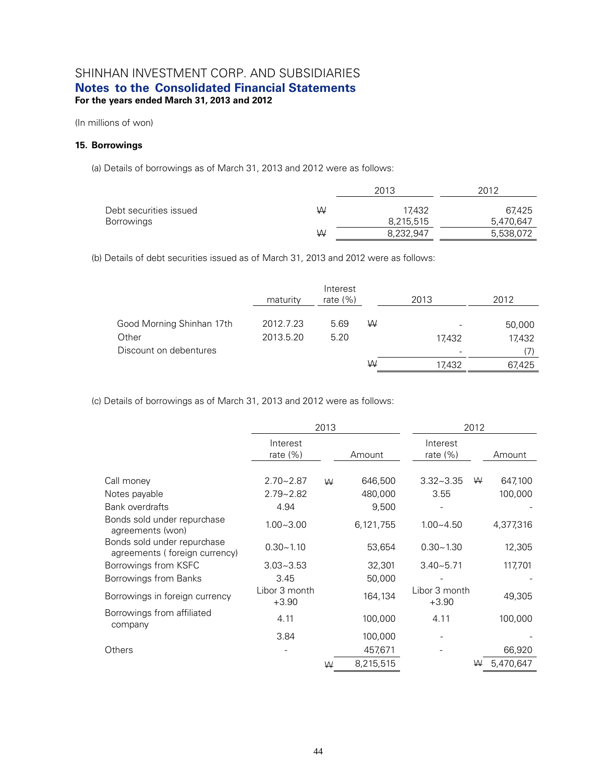(In millions of won)

#### **15. Borrowings**

(a) Details of borrowings as of March 31, 2013 and 2012 were as follows:

|                        |   | 2013      | 2012      |
|------------------------|---|-----------|-----------|
| Debt securities issued | W | 17432     | 67.425    |
| Borrowings             |   | 8,215,515 | 5.470.647 |
|                        | W | 8,232,947 | 5,538,072 |

(b) Details of debt securities issued as of March 31, 2013 and 2012 were as follows:

|                           | maturity  | Interest<br>rate $(\%)$ |   | 2013   | 2012   |
|---------------------------|-----------|-------------------------|---|--------|--------|
| Good Morning Shinhan 17th | 2012.7.23 | 5.69                    | W |        | 50,000 |
| Other                     | 2013.5.20 | 5.20                    |   | 17.432 | 17,432 |
| Discount on debentures    |           |                         |   |        | (7     |
|                           |           |                         | W | 17.432 | 67,425 |

(c) Details of borrowings as of March 31, 2013 and 2012 were as follows:

|                                                              | 2013                     |   |           |                          | 2012 |           |  |
|--------------------------------------------------------------|--------------------------|---|-----------|--------------------------|------|-----------|--|
|                                                              | Interest<br>rate $(\%)$  |   | Amount    | Interest<br>rate (%)     |      | Amount    |  |
| Call money                                                   | $2.70 - 2.87$            | W | 646,500   | $3.32 - 3.35$            | ₩    | 647,100   |  |
| Notes payable                                                | $2.79 - 2.82$            |   | 480,000   | 3.55                     |      | 100,000   |  |
| <b>Bank overdrafts</b>                                       | 4.94                     |   | 9,500     |                          |      |           |  |
| Bonds sold under repurchase<br>agreements (won)              | $1.00 - 3.00$            |   | 6,121,755 | $1.00 - 4.50$            |      | 4,377,316 |  |
| Bonds sold under repurchase<br>agreements (foreign currency) | $0.30 - 1.10$            |   | 53,654    | $0.30 - 1.30$            |      | 12,305    |  |
| Borrowings from KSFC                                         | $3.03 - 3.53$            |   | 32,301    | $3.40 - 5.71$            |      | 117,701   |  |
| Borrowings from Banks                                        | 3.45                     |   | 50,000    |                          |      |           |  |
| Borrowings in foreign currency                               | Libor 3 month<br>$+3.90$ |   | 164,134   | Libor 3 month<br>$+3.90$ |      | 49,305    |  |
| Borrowings from affiliated<br>company                        | 4.11                     |   | 100,000   | 4.11                     |      | 100,000   |  |
|                                                              | 3.84                     |   | 100,000   |                          |      |           |  |
| Others                                                       |                          |   | 457,671   |                          |      | 66,920    |  |
|                                                              |                          | W | 8,215,515 |                          | ₩    | 5,470,647 |  |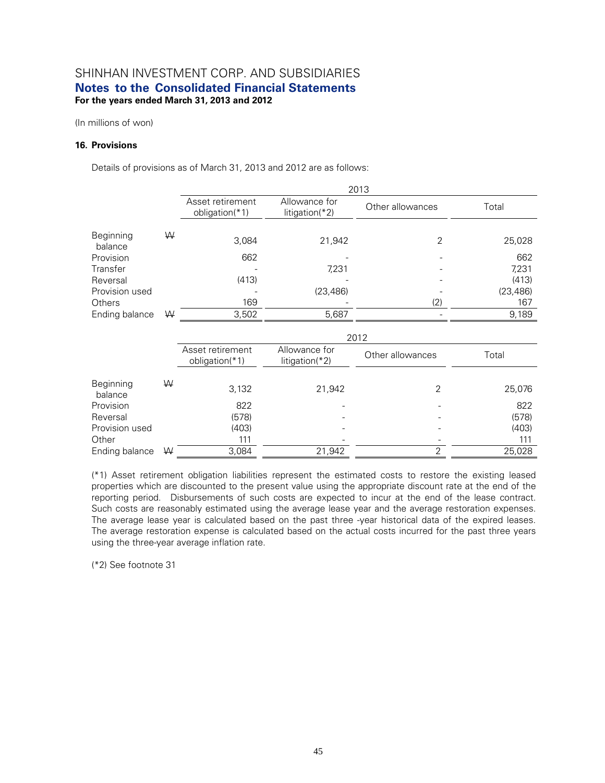(In millions of won)

#### **16. Provisions**

Details of provisions as of March 31, 2013 and 2012 are as follows:

|                      |   | 2013                                   |                                   |                  |           |  |  |
|----------------------|---|----------------------------------------|-----------------------------------|------------------|-----------|--|--|
|                      |   | Asset retirement<br>obligation( $*1$ ) | Allowance for<br>$litigation(*2)$ | Other allowances | Total     |  |  |
| Beginning<br>balance | W | 3,084                                  | 21,942                            | 2                | 25,028    |  |  |
| Provision            |   | 662                                    |                                   |                  | 662       |  |  |
| Transfer             |   |                                        | 7,231                             |                  | 7,231     |  |  |
| Reversal             |   | (413)                                  |                                   |                  | (413)     |  |  |
| Provision used       |   |                                        | (23, 486)                         |                  | (23, 486) |  |  |
| <b>Others</b>        |   | 169                                    |                                   | (2)              | 167       |  |  |
| Ending balance       | W | 3,502                                  | 5,687                             |                  | 9,189     |  |  |

|                      |   | 2012                                                                      |        |                  |        |  |  |  |
|----------------------|---|---------------------------------------------------------------------------|--------|------------------|--------|--|--|--|
|                      |   | Asset retirement<br>Allowance for<br>obligation(*1)<br>litigation( $*2$ ) |        | Other allowances | Total  |  |  |  |
| Beginning<br>balance | W | 3,132                                                                     | 21,942 | 2                | 25,076 |  |  |  |
| Provision            |   | 822                                                                       |        |                  | 822    |  |  |  |
| Reversal             |   | (578)                                                                     |        |                  | (578)  |  |  |  |
| Provision used       |   | (403)                                                                     |        |                  | (403)  |  |  |  |
| Other                |   | 111                                                                       |        |                  | 111    |  |  |  |
| Ending balance       | W | 3,084                                                                     | 21,942 | ⌒                | 25,028 |  |  |  |

(\*1) Asset retirement obligation liabilities represent the estimated costs to restore the existing leased properties which are discounted to the present value using the appropriate discount rate at the end of the reporting period. Disbursements of such costs are expected to incur at the end of the lease contract. Such costs are reasonably estimated using the average lease year and the average restoration expenses. The average lease year is calculated based on the past three -year historical data of the expired leases. The average restoration expense is calculated based on the actual costs incurred for the past three years using the three-year average inflation rate.

(\*2) See footnote 31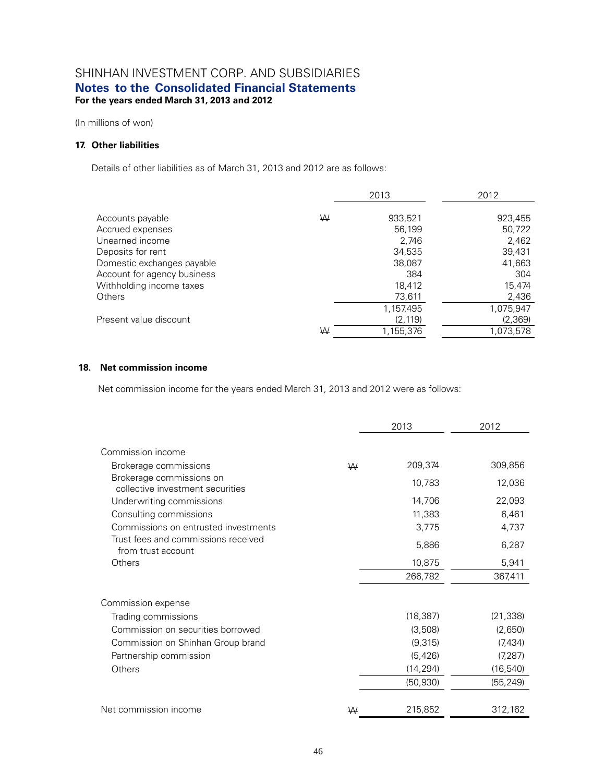(In millions of won)

### **17. Other liabilities**

Details of other liabilities as of March 31, 2013 and 2012 are as follows:

|                             |   | 2013      | 2012      |  |
|-----------------------------|---|-----------|-----------|--|
| Accounts payable            | W | 933,521   | 923,455   |  |
| Accrued expenses            |   | 56,199    | 50,722    |  |
| Unearned income             |   | 2,746     | 2,462     |  |
| Deposits for rent           |   | 34,535    | 39,431    |  |
| Domestic exchanges payable  |   | 38,087    | 41,663    |  |
| Account for agency business |   | 384       | 304       |  |
| Withholding income taxes    |   | 18,412    | 15,474    |  |
| Others                      |   | 73,611    | 2,436     |  |
|                             |   | 1,157,495 | 1,075,947 |  |
| Present value discount      |   | (2, 119)  | (2,369)   |  |
|                             | W | 1,155,376 | 1,073,578 |  |

#### **18. Net commission income**

Net commission income for the years ended March 31, 2013 and 2012 were as follows:

|                                                              |   | 2013      | 2012      |
|--------------------------------------------------------------|---|-----------|-----------|
| Commission income                                            |   |           |           |
| Brokerage commissions                                        | W | 209,374   | 309,856   |
| Brokerage commissions on<br>collective investment securities |   | 10,783    | 12,036    |
| Underwriting commissions                                     |   | 14,706    | 22,093    |
| Consulting commissions                                       |   | 11,383    | 6,461     |
| Commissions on entrusted investments                         |   | 3,775     | 4,737     |
| Trust fees and commissions received<br>from trust account    |   | 5,886     | 6,287     |
| Others                                                       |   | 10,875    | 5,941     |
|                                                              |   | 266,782   | 367,411   |
| Commission expense                                           |   |           |           |
| Trading commissions                                          |   | (18, 387) | (21, 338) |
| Commission on securities borrowed                            |   | (3,508)   | (2,650)   |
| Commission on Shinhan Group brand                            |   | (9,315)   | (7,434)   |
| Partnership commission                                       |   | (5, 426)  | (7, 287)  |
| Others                                                       |   | (14, 294) | (16, 540) |
|                                                              |   | (50, 930) | (55, 249) |
| Net commission income                                        | W | 215,852   | 312,162   |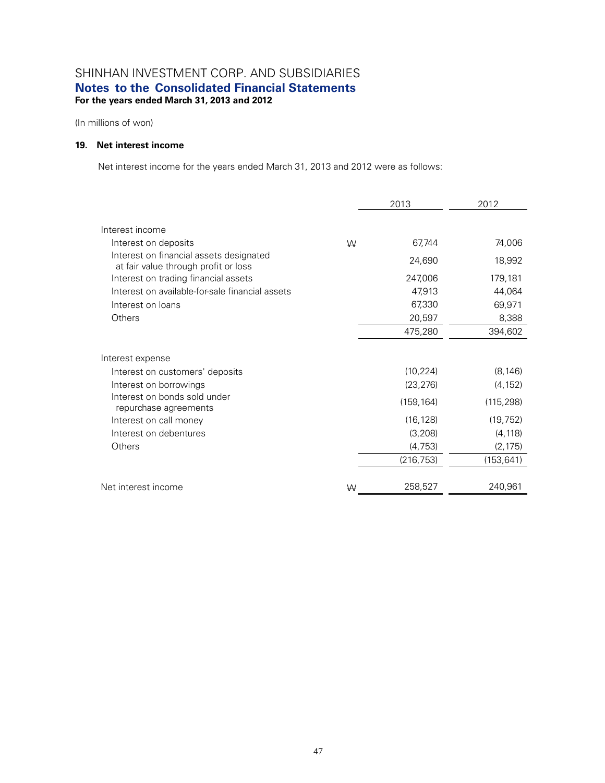(In millions of won)

### **19. Net interest income**

Net interest income for the years ended March 31, 2013 and 2012 were as follows:

|                                                                                                                        | 2013 |                                                  | 2012                                            |  |
|------------------------------------------------------------------------------------------------------------------------|------|--------------------------------------------------|-------------------------------------------------|--|
| Interest income<br>Interest on deposits                                                                                | W    | 67,744                                           | 74,006                                          |  |
| Interest on financial assets designated<br>at fair value through profit or loss                                        |      | 24,690                                           | 18,992                                          |  |
| Interest on trading financial assets<br>Interest on available-for-sale financial assets<br>Interest on loans<br>Others |      | 247,006<br>47,913<br>67,330<br>20,597<br>475,280 | 179,181<br>44,064<br>69,971<br>8,388<br>394,602 |  |
| Interest expense                                                                                                       |      |                                                  |                                                 |  |
| Interest on customers' deposits                                                                                        |      | (10, 224)                                        | (8, 146)                                        |  |
| Interest on borrowings                                                                                                 |      | (23, 276)                                        | (4, 152)                                        |  |
| Interest on bonds sold under<br>repurchase agreements                                                                  |      | (159, 164)                                       | (115, 298)                                      |  |
| Interest on call money                                                                                                 |      | (16, 128)                                        | (19, 752)                                       |  |
| Interest on debentures                                                                                                 |      | (3,208)                                          | (4, 118)                                        |  |
| Others                                                                                                                 |      | (4, 753)                                         | (2, 175)                                        |  |
|                                                                                                                        |      | (216, 753)                                       | (153, 641)                                      |  |
| Net interest income                                                                                                    | W    | 258,527                                          | 240,961                                         |  |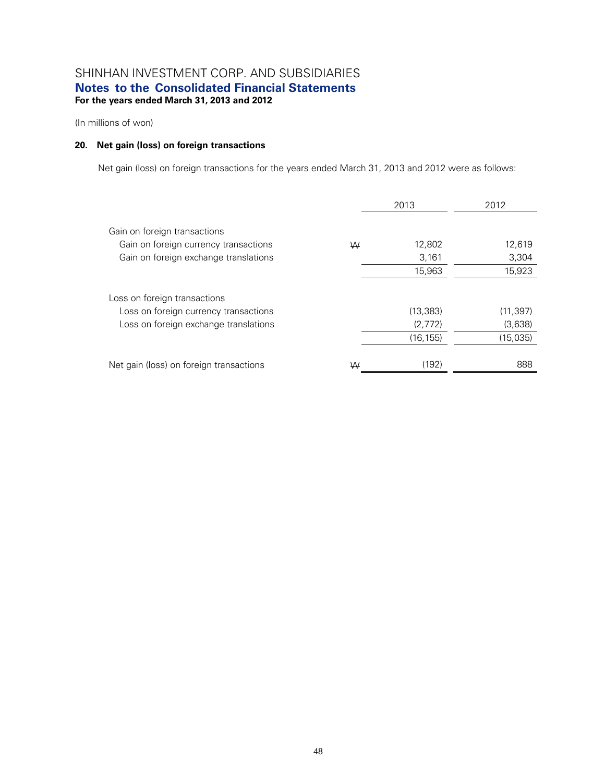(In millions of won)

### **20. Net gain (loss) on foreign transactions**

Net gain (loss) on foreign transactions for the years ended March 31, 2013 and 2012 were as follows:

|                                         |   | 2013      | 2012      |
|-----------------------------------------|---|-----------|-----------|
| Gain on foreign transactions            |   |           |           |
| Gain on foreign currency transactions   | W | 12,802    | 12,619    |
| Gain on foreign exchange translations   |   | 3,161     | 3,304     |
|                                         |   | 15,963    | 15,923    |
| Loss on foreign transactions            |   |           |           |
| Loss on foreign currency transactions   |   | (13, 383) | (11, 397) |
| Loss on foreign exchange translations   |   | (2,772)   | (3,638)   |
|                                         |   | (16, 155) | (15,035)  |
|                                         |   |           |           |
| Net gain (loss) on foreign transactions | W | (192)     | 888       |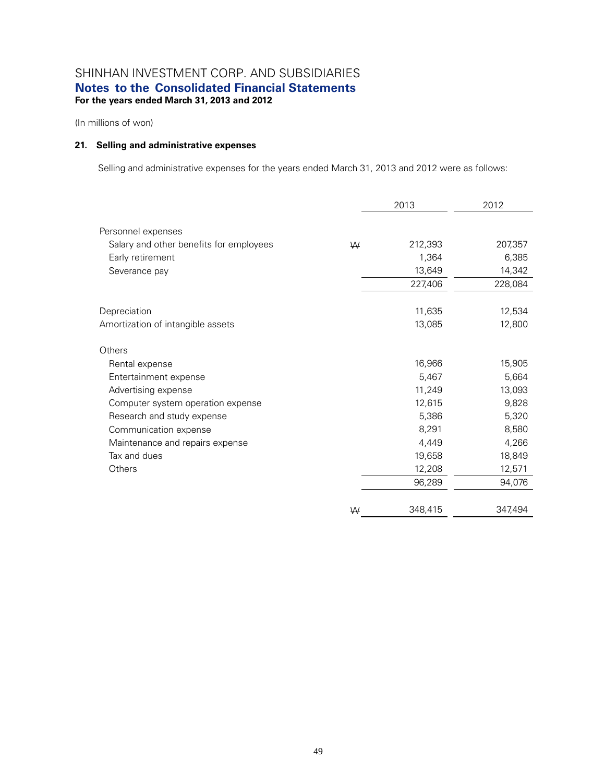(In millions of won)

### **21. Selling and administrative expenses**

Selling and administrative expenses for the years ended March 31, 2013 and 2012 were as follows:

|                                         |   | 2013    | 2012    |
|-----------------------------------------|---|---------|---------|
| Personnel expenses                      |   |         |         |
| Salary and other benefits for employees | W | 212,393 | 207,357 |
| Early retirement                        |   | 1,364   | 6,385   |
| Severance pay                           |   | 13,649  | 14,342  |
|                                         |   | 227,406 | 228,084 |
| Depreciation                            |   | 11,635  | 12,534  |
| Amortization of intangible assets       |   | 13,085  | 12,800  |
| Others                                  |   |         |         |
| Rental expense                          |   | 16,966  | 15,905  |
| Entertainment expense                   |   | 5,467   | 5,664   |
| Advertising expense                     |   | 11,249  | 13,093  |
| Computer system operation expense       |   | 12,615  | 9,828   |
| Research and study expense              |   | 5,386   | 5,320   |
| Communication expense                   |   | 8,291   | 8,580   |
| Maintenance and repairs expense         |   | 4,449   | 4,266   |
| Tax and dues                            |   | 19,658  | 18,849  |
| Others                                  |   | 12,208  | 12,571  |
|                                         |   | 96,289  | 94,076  |
|                                         | W | 348,415 | 347,494 |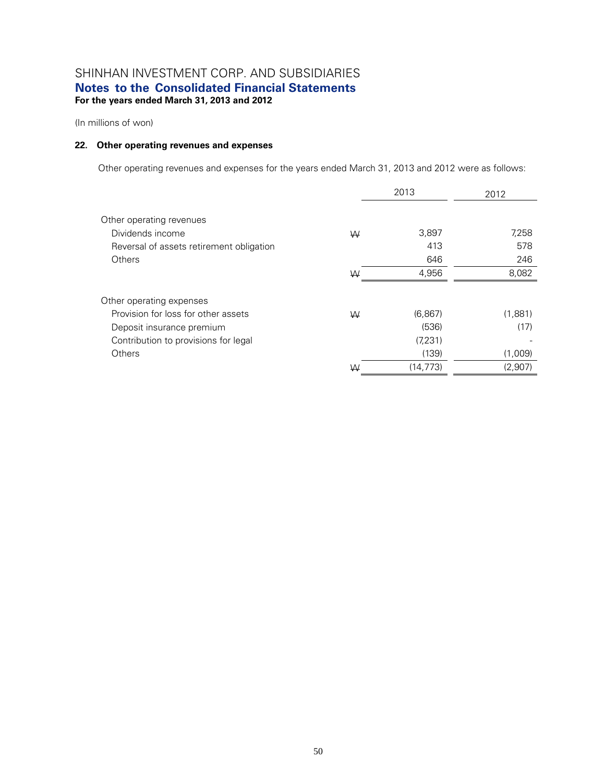(In millions of won)

### **22. Other operating revenues and expenses**

Other operating revenues and expenses for the years ended March 31, 2013 and 2012 were as follows:

|                                          |   | 2013      | 2012    |
|------------------------------------------|---|-----------|---------|
| Other operating revenues                 |   |           |         |
| Dividends income                         | W | 3,897     | 7,258   |
| Reversal of assets retirement obligation |   | 413       | 578     |
| Others                                   |   | 646       | 246     |
|                                          | W | 4,956     | 8,082   |
| Other operating expenses                 |   |           |         |
| Provision for loss for other assets      | W | (6,867)   | (1,881) |
| Deposit insurance premium                |   | (536)     | (17)    |
| Contribution to provisions for legal     |   | (7, 231)  |         |
| Others                                   |   | (139)     | (1,009) |
|                                          | W | (14, 773) | (2,907) |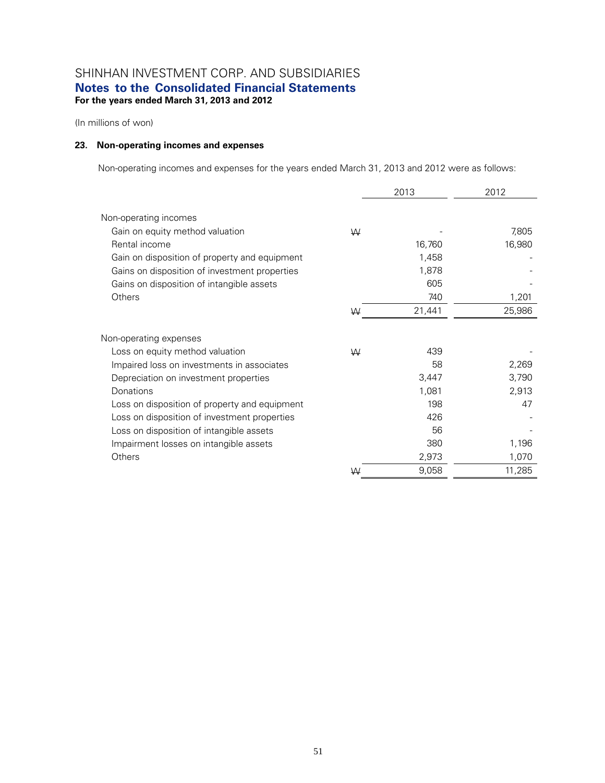(In millions of won)

### **23. Non-operating incomes and expenses**

Non-operating incomes and expenses for the years ended March 31, 2013 and 2012 were as follows:

|                                               |   | 2013   | 2012   |
|-----------------------------------------------|---|--------|--------|
| Non-operating incomes                         |   |        |        |
| Gain on equity method valuation               | W |        | 7,805  |
| Rental income                                 |   | 16,760 | 16,980 |
| Gain on disposition of property and equipment |   | 1,458  |        |
| Gains on disposition of investment properties |   | 1,878  |        |
| Gains on disposition of intangible assets     |   | 605    |        |
| Others                                        |   | 740    | 1,201  |
|                                               | W | 21,441 | 25,986 |
| Non-operating expenses                        |   |        |        |
| Loss on equity method valuation               | W | 439    |        |
| Impaired loss on investments in associates    |   | 58     | 2,269  |
| Depreciation on investment properties         |   | 3,447  | 3,790  |
| Donations                                     |   | 1,081  | 2,913  |
| Loss on disposition of property and equipment |   | 198    | 47     |
| Loss on disposition of investment properties  |   | 426    |        |
| Loss on disposition of intangible assets      |   | 56     |        |
| Impairment losses on intangible assets        |   | 380    | 1,196  |
| Others                                        |   | 2,973  | 1,070  |
|                                               | W | 9,058  | 11,285 |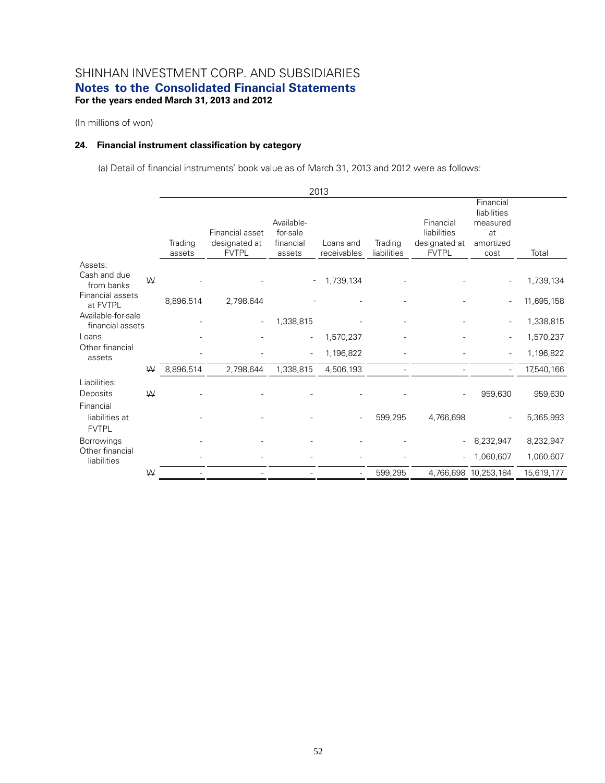(In millions of won)

### **24. Financial instrument classification by category**

(a) Detail of financial instruments' book value as of March 31, 2013 and 2012 were as follows:

|                                             |   |                   |                                                  |                                 | 2013                     |                        |                                              |                                      |            |
|---------------------------------------------|---|-------------------|--------------------------------------------------|---------------------------------|--------------------------|------------------------|----------------------------------------------|--------------------------------------|------------|
|                                             |   |                   |                                                  | Available-                      |                          |                        | Financial                                    | Financial<br>liabilities<br>measured |            |
|                                             |   | Trading<br>assets | Financial asset<br>designated at<br><b>FVTPL</b> | for-sale<br>financial<br>assets | Loans and<br>receivables | Trading<br>liabilities | liabilities<br>designated at<br><b>FVTPL</b> | at<br>amortized<br>cost              | Total      |
| Assets:<br>Cash and due<br>from banks       | W |                   |                                                  |                                 | 1,739,134                |                        |                                              |                                      | 1,739,134  |
| Financial assets<br>at FVTPL                |   | 8,896,514         | 2,798,644                                        |                                 |                          |                        |                                              |                                      | 11,695,158 |
| Available-for-sale<br>financial assets      |   |                   |                                                  | 1,338,815                       |                          |                        |                                              |                                      | 1,338,815  |
| Loans                                       |   |                   |                                                  | $\overline{a}$                  | 1,570,237                |                        |                                              | ٠                                    | 1,570,237  |
| Other financial<br>assets                   |   |                   |                                                  | $\overline{a}$                  | 1,196,822                |                        |                                              |                                      | 1,196,822  |
|                                             | W | 8,896,514         | 2,798,644                                        | 1,338,815                       | 4,506,193                |                        |                                              |                                      | 17,540,166 |
| Liabilities:<br>Deposits                    | W |                   |                                                  |                                 |                          |                        |                                              | 959,630                              | 959,630    |
| Financial<br>liabilities at<br><b>FVTPL</b> |   |                   |                                                  |                                 |                          | 599,295                | 4,766,698                                    |                                      | 5,365,993  |
| <b>Borrowings</b>                           |   |                   |                                                  |                                 |                          |                        |                                              | 8,232,947                            | 8,232,947  |
| Other financial<br>liabilities              |   |                   |                                                  |                                 |                          |                        |                                              | 1,060,607                            | 1,060,607  |
|                                             | ₩ |                   |                                                  |                                 |                          | 599,295                |                                              | 4,766,698 10,253,184                 | 15,619,177 |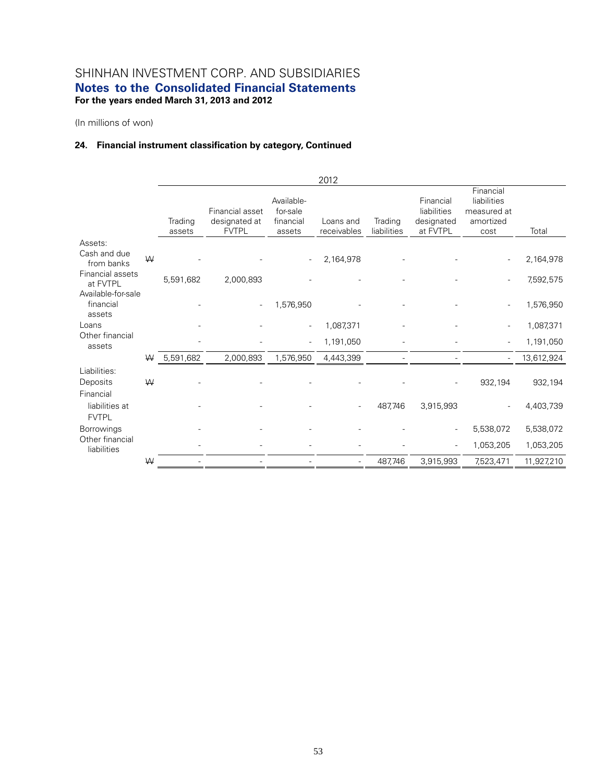(In millions of won)

### **24. Financial instrument classification by category, Continued**

|                                             |   |                   |                                                  |                                               | 2012                     |                        |                                                    |                                                              |            |
|---------------------------------------------|---|-------------------|--------------------------------------------------|-----------------------------------------------|--------------------------|------------------------|----------------------------------------------------|--------------------------------------------------------------|------------|
|                                             |   | Trading<br>assets | Financial asset<br>designated at<br><b>FVTPL</b> | Available-<br>for-sale<br>financial<br>assets | Loans and<br>receivables | Trading<br>liabilities | Financial<br>liabilities<br>designated<br>at FVTPL | Financial<br>liabilities<br>measured at<br>amortized<br>cost | Total      |
| Assets:                                     |   |                   |                                                  |                                               |                          |                        |                                                    |                                                              |            |
| Cash and due<br>from banks                  | W |                   |                                                  |                                               | 2,164,978                |                        |                                                    |                                                              | 2,164,978  |
| Financial assets<br>at FVTPL                |   | 5,591,682         | 2,000,893                                        |                                               |                          |                        |                                                    |                                                              | 7,592,575  |
| Available-for-sale<br>financial<br>assets   |   |                   |                                                  | 1,576,950                                     |                          |                        |                                                    |                                                              | 1,576,950  |
| Loans                                       |   |                   |                                                  | $\overline{a}$                                | 1,087,371                |                        |                                                    | $\overline{\phantom{m}}$                                     | 1,087,371  |
| Other financial<br>assets                   |   |                   |                                                  | $\overline{a}$                                | 1,191,050                |                        |                                                    |                                                              | 1,191,050  |
|                                             | ₩ | 5,591,682         | 2,000,893                                        | 1,576,950                                     | 4,443,399                |                        |                                                    |                                                              | 13,612,924 |
| Liabilities:                                |   |                   |                                                  |                                               |                          |                        |                                                    |                                                              |            |
| Deposits                                    | W |                   |                                                  |                                               |                          |                        |                                                    | 932,194                                                      | 932,194    |
| Financial<br>liabilities at<br><b>FVTPL</b> |   |                   |                                                  |                                               |                          | 487,746                | 3,915,993                                          |                                                              | 4,403,739  |
| <b>Borrowings</b>                           |   |                   |                                                  |                                               |                          |                        |                                                    | 5,538,072                                                    | 5,538,072  |
| Other financial<br>liabilities              |   |                   |                                                  |                                               |                          |                        |                                                    | 1,053,205                                                    | 1,053,205  |
|                                             | W |                   |                                                  |                                               |                          | 487,746                | 3,915,993                                          | 7,523,471                                                    | 11,927,210 |
|                                             |   |                   |                                                  |                                               |                          |                        |                                                    |                                                              |            |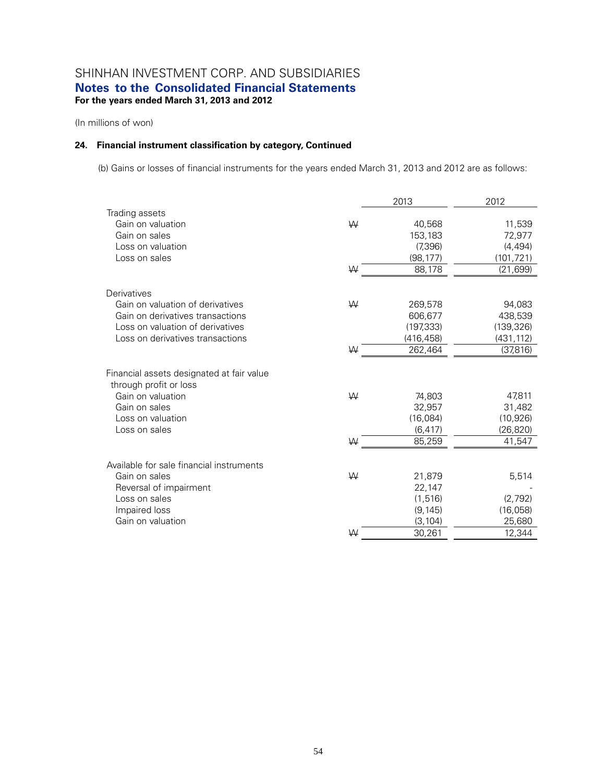(In millions of won)

### **24. Financial instrument classification by category, Continued**

(b) Gains or losses of financial instruments for the years ended March 31, 2013 and 2012 are as follows:

|                                                                     |   | 2013       | 2012       |
|---------------------------------------------------------------------|---|------------|------------|
| Trading assets                                                      |   |            |            |
| Gain on valuation                                                   | W | 40,568     | 11,539     |
| Gain on sales                                                       |   | 153,183    | 72,977     |
| Loss on valuation                                                   |   | (7,396)    | (4, 494)   |
| Loss on sales                                                       |   | (98, 177)  | (101, 721) |
|                                                                     | W | 88,178     | (21, 699)  |
| Derivatives                                                         |   |            |            |
| Gain on valuation of derivatives                                    | W | 269,578    | 94,083     |
| Gain on derivatives transactions                                    |   | 606,677    | 438,539    |
| Loss on valuation of derivatives                                    |   | (197, 333) | (139, 326) |
| Loss on derivatives transactions                                    |   | (416, 458) | (431, 112) |
|                                                                     | W | 262,464    | (37,816)   |
| Financial assets designated at fair value<br>through profit or loss |   |            |            |
| Gain on valuation                                                   | ₩ | 74,803     | 47,811     |
| Gain on sales                                                       |   | 32,957     | 31,482     |
| Loss on valuation                                                   |   | (16,084)   | (10, 926)  |
| Loss on sales                                                       |   | (6, 417)   | (26, 820)  |
|                                                                     | W | 85,259     | 41,547     |
| Available for sale financial instruments                            |   |            |            |
| Gain on sales                                                       | W | 21,879     | 5,514      |
| Reversal of impairment                                              |   | 22,147     |            |
| Loss on sales                                                       |   | (1, 516)   | (2,792)    |
| Impaired loss                                                       |   | (9, 145)   | (16,058)   |
| Gain on valuation                                                   |   | (3, 104)   | 25,680     |
|                                                                     | W | 30,261     | 12,344     |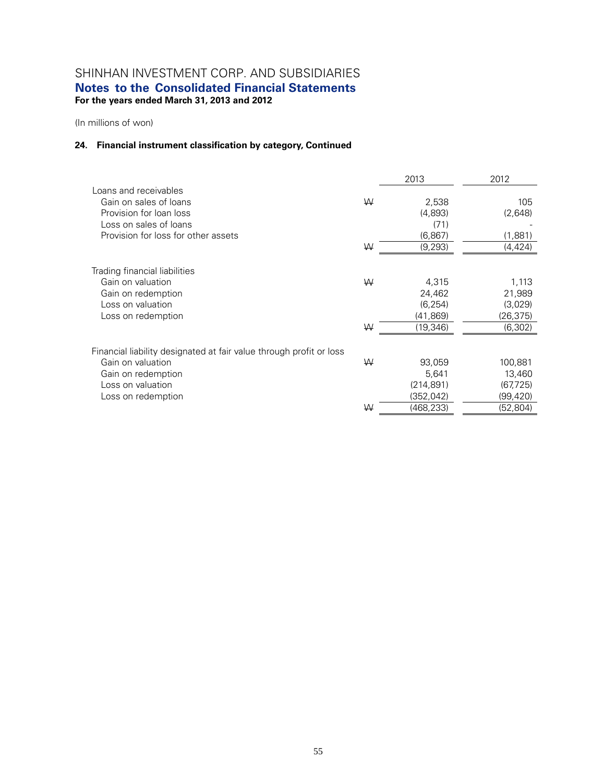(In millions of won)

### **24. Financial instrument classification by category, Continued**

|                                                                     |   | 2013       | 2012      |
|---------------------------------------------------------------------|---|------------|-----------|
| Loans and receivables                                               |   |            |           |
| Gain on sales of loans                                              | W | 2,538      | 105       |
| Provision for loan loss                                             |   | (4,893)    | (2,648)   |
| Loss on sales of loans                                              |   | (71)       |           |
| Provision for loss for other assets                                 |   | (6, 867)   | (1,881)   |
|                                                                     | W | (9,293)    | (4, 424)  |
| Trading financial liabilities                                       |   |            |           |
| Gain on valuation                                                   | W | 4,315      | 1,113     |
| Gain on redemption                                                  |   | 24,462     | 21,989    |
| Loss on valuation                                                   |   | (6, 254)   | (3,029)   |
| Loss on redemption                                                  |   | (41, 869)  | (26, 375) |
|                                                                     | W | (19, 346)  | (6, 302)  |
| Financial liability designated at fair value through profit or loss |   |            |           |
| Gain on valuation                                                   | W | 93,059     | 100,881   |
|                                                                     |   | 5,641      | 13,460    |
| Gain on redemption<br>Loss on valuation                             |   | (214, 891) | (67, 725) |
|                                                                     |   |            |           |
| Loss on redemption                                                  |   | (352,042)  | (99,420)  |
|                                                                     | W | (468,233)  | (52, 804) |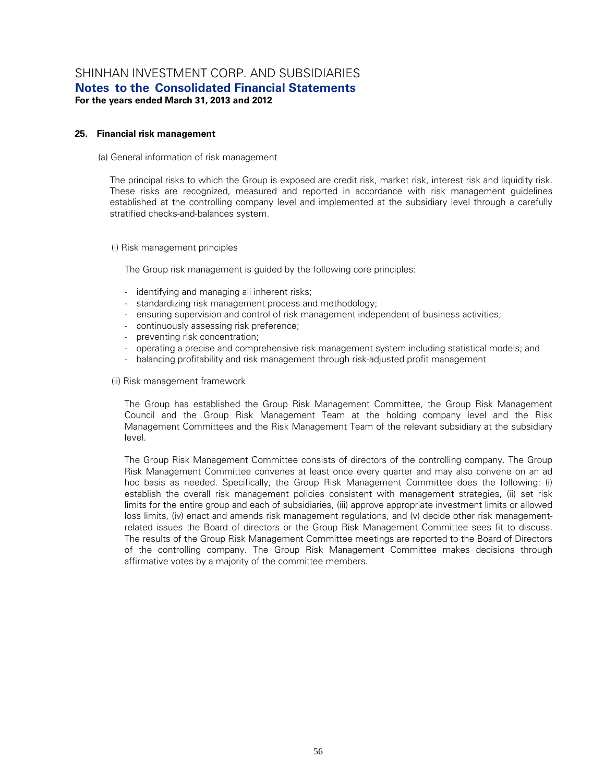#### **25. Financial risk management**

#### (a) General information of risk management

The principal risks to which the Group is exposed are credit risk, market risk, interest risk and liquidity risk. These risks are recognized, measured and reported in accordance with risk management guidelines established at the controlling company level and implemented at the subsidiary level through a carefully stratified checks-and-balances system.

(i) Risk management principles

The Group risk management is guided by the following core principles:

- identifying and managing all inherent risks;
- standardizing risk management process and methodology;
- ensuring supervision and control of risk management independent of business activities;
- continuously assessing risk preference;
- preventing risk concentration;
- operating a precise and comprehensive risk management system including statistical models; and
- balancing profitability and risk management through risk-adjusted profit management

(ii) Risk management framework

The Group has established the Group Risk Management Committee, the Group Risk Management Council and the Group Risk Management Team at the holding company level and the Risk Management Committees and the Risk Management Team of the relevant subsidiary at the subsidiary level.

The Group Risk Management Committee consists of directors of the controlling company. The Group Risk Management Committee convenes at least once every quarter and may also convene on an ad hoc basis as needed. Specifically, the Group Risk Management Committee does the following: (i) establish the overall risk management policies consistent with management strategies, (ii) set risk limits for the entire group and each of subsidiaries, (iii) approve appropriate investment limits or allowed loss limits, (iv) enact and amends risk management regulations, and (v) decide other risk managementrelated issues the Board of directors or the Group Risk Management Committee sees fit to discuss. The results of the Group Risk Management Committee meetings are reported to the Board of Directors of the controlling company. The Group Risk Management Committee makes decisions through affirmative votes by a majority of the committee members.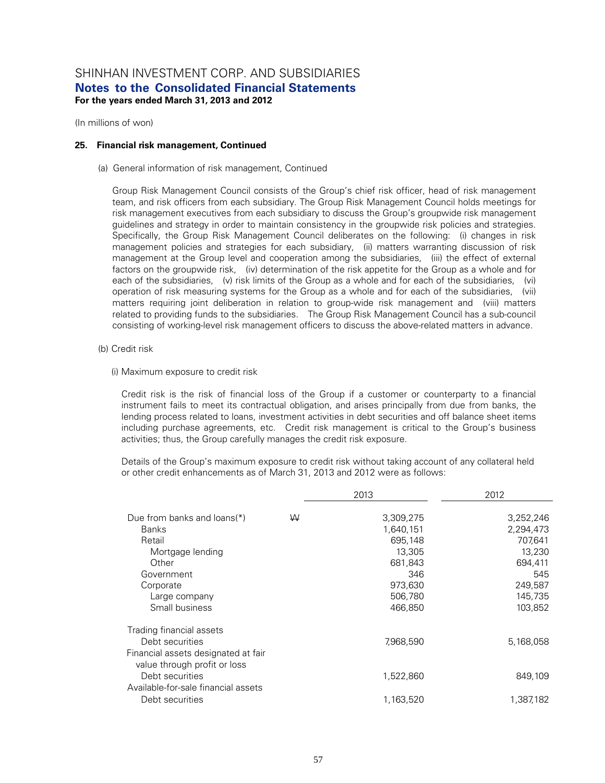(In millions of won)

#### **25. Financial risk management, Continued**

(a) General information of risk management, Continued

Group Risk Management Council consists of the Group's chief risk officer, head of risk management team, and risk officers from each subsidiary. The Group Risk Management Council holds meetings for risk management executives from each subsidiary to discuss the Group's groupwide risk management guidelines and strategy in order to maintain consistency in the groupwide risk policies and strategies. Specifically, the Group Risk Management Council deliberates on the following: (i) changes in risk management policies and strategies for each subsidiary, (ii) matters warranting discussion of risk management at the Group level and cooperation among the subsidiaries, (iii) the effect of external factors on the groupwide risk, (iv) determination of the risk appetite for the Group as a whole and for each of the subsidiaries, (v) risk limits of the Group as a whole and for each of the subsidiaries, (vi) operation of risk measuring systems for the Group as a whole and for each of the subsidiaries, (vii) matters requiring joint deliberation in relation to group-wide risk management and (viii) matters related to providing funds to the subsidiaries. The Group Risk Management Council has a sub-council consisting of working-level risk management officers to discuss the above-related matters in advance.

- (b) Credit risk
	- (i) Maximum exposure to credit risk

Credit risk is the risk of financial loss of the Group if a customer or counterparty to a financial instrument fails to meet its contractual obligation, and arises principally from due from banks, the lending process related to loans, investment activities in debt securities and off balance sheet items including purchase agreements, etc. Credit risk management is critical to the Group's business activities; thus, the Group carefully manages the credit risk exposure.

Details of the Group's maximum exposure to credit risk without taking account of any collateral held or other credit enhancements as of March 31, 2013 and 2012 were as follows:

|                                     |   | 2013      | 2012      |
|-------------------------------------|---|-----------|-----------|
|                                     |   |           |           |
| Due from banks and loans(*)         | W | 3,309,275 | 3,252,246 |
| <b>Banks</b>                        |   | 1,640,151 | 2,294,473 |
| Retail                              |   | 695,148   | 707,641   |
| Mortgage lending                    |   | 13,305    | 13,230    |
| Other                               |   | 681,843   | 694,411   |
| Government                          |   | 346       | 545       |
| Corporate                           |   | 973,630   | 249,587   |
| Large company                       |   | 506,780   | 145,735   |
| Small business                      |   | 466,850   | 103,852   |
| Trading financial assets            |   |           |           |
| Debt securities                     |   | 7,968,590 | 5,168,058 |
| Financial assets designated at fair |   |           |           |
| value through profit or loss        |   |           |           |
| Debt securities                     |   | 1,522,860 | 849,109   |
| Available-for-sale financial assets |   |           |           |
| Debt securities                     |   | 1,163,520 | 1,387,182 |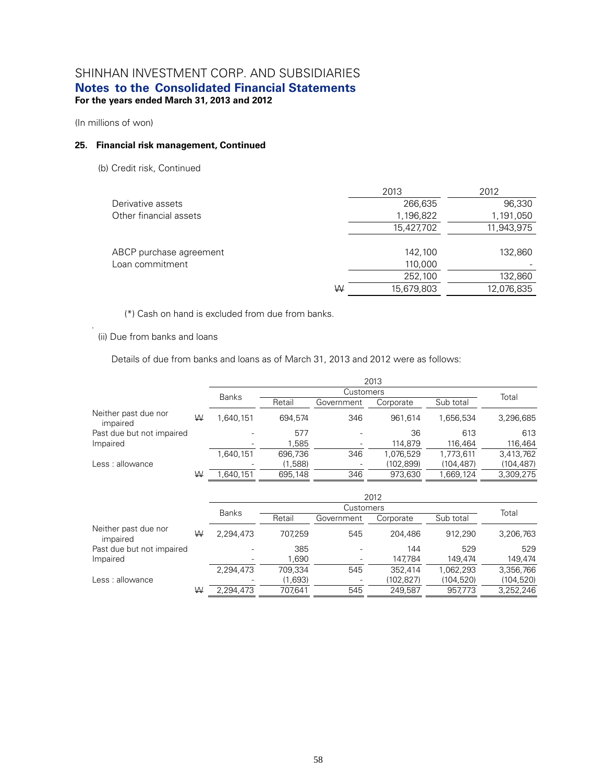(In millions of won)

.

#### **25. Financial risk management, Continued**

(b) Credit risk, Continued

|                         |   | 2013       | 2012       |
|-------------------------|---|------------|------------|
| Derivative assets       |   | 266,635    | 96,330     |
| Other financial assets  |   | 1,196,822  | 1,191,050  |
|                         |   | 15,427,702 | 11,943,975 |
|                         |   |            |            |
| ABCP purchase agreement |   | 142,100    | 132,860    |
| Loan commitment         |   | 110,000    |            |
|                         |   | 252,100    | 132,860    |
|                         | ₩ | 15,679,803 | 12,076,835 |
|                         |   |            |            |

(\*) Cash on hand is excluded from due from banks.

(ii) Due from banks and loans

Details of due from banks and loans as of March 31, 2013 and 2012 were as follows:

|                                  |   | 2013         |         |            |           |            |            |
|----------------------------------|---|--------------|---------|------------|-----------|------------|------------|
|                                  |   | <b>Banks</b> |         | Customers  |           |            | Total      |
|                                  |   |              | Retail  | Government | Corporate | Sub total  |            |
| Neither past due nor<br>impaired | ₩ | 1.640.151    | 694.574 | 346        | 961.614   | 1.656.534  | 3,296,685  |
| Past due but not impaired        |   |              | 577     |            | 36        | 613        | 613        |
| Impaired                         |   |              | 1,585   | -          | 114.879   | 116.464    | 116,464    |
|                                  |   | 1,640,151    | 696,736 | 346        | 1,076,529 | 1.773.611  | 3,413,762  |
| Less: allowance                  |   |              | (1,588) |            | (102,899) | (104, 487) | (104, 487) |
|                                  | W | .640.151     | 695.148 | 346        | 973,630   | 1,669,124  | 3,309,275  |

|                                  |   | 2012         |         |            |           |            |            |
|----------------------------------|---|--------------|---------|------------|-----------|------------|------------|
|                                  |   | <b>Banks</b> |         | Customers  |           |            | Total      |
|                                  |   |              | Retail  | Government | Corporate | Sub total  |            |
| Neither past due nor<br>impaired | W | 2.294.473    | 707.259 | 545        | 204,486   | 912.290    | 3,206,763  |
| Past due but not impaired        |   |              | 385     |            | 144       | 529        | 529        |
| Impaired                         |   |              | 1,690   |            | 147,784   | 149.474    | 149,474    |
|                                  |   | 2,294,473    | 709,334 | 545        | 352.414   | 1.062.293  | 3,356,766  |
| Less: allowance                  |   |              | (1,693) |            | (102,827) | (104, 520) | (104, 520) |
|                                  | W | 2.294.473    | 707.641 | 545        | 249.587   | 957,773    | 3,252,246  |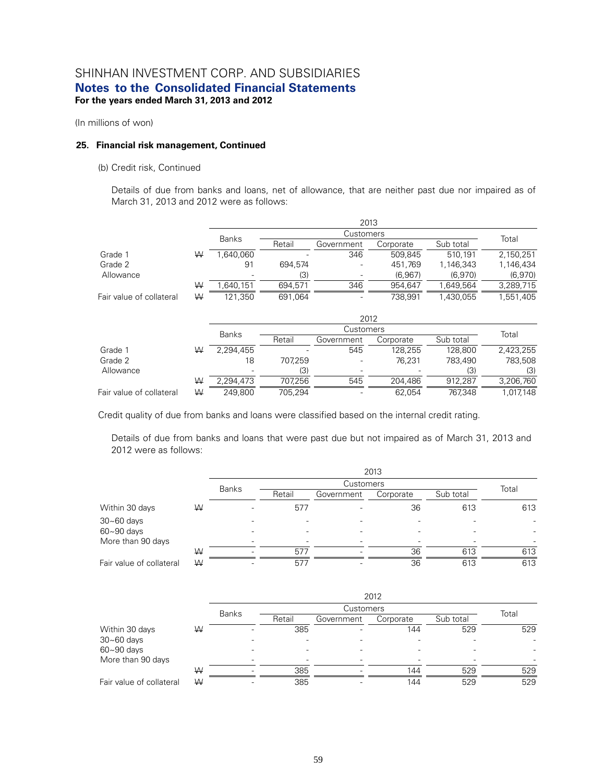(In millions of won)

#### **25. Financial risk management, Continued**

#### (b) Credit risk, Continued

Details of due from banks and loans, net of allowance, that are neither past due nor impaired as of March 31, 2013 and 2012 were as follows:

|                          |   | 2013         |           |            |           |           |           |  |
|--------------------------|---|--------------|-----------|------------|-----------|-----------|-----------|--|
|                          |   | <b>Banks</b> | Customers |            |           |           |           |  |
|                          |   |              | Retail    | Government | Corporate | Sub total | Total     |  |
| Grade 1                  | W | .640.060     |           | 346        | 509.845   | 510.191   | 2.150.251 |  |
| Grade 2                  |   | 91           | 694.574   |            | 451,769   | 1,146,343 | 1,146,434 |  |
| Allowance                |   | ٠            | (3)       |            | (6,967)   | (6,970)   | (6,970)   |  |
|                          | W | 1.640.151    | 694.571   | 346        | 954.647   | .649.564  | 3,289,715 |  |
| Fair value of collateral | W | 121.350      | 691.064   |            | 738.991   | 1.430.055 | 1.551.405 |  |

|                          |   |              | 2012    |            |           |           |           |  |  |
|--------------------------|---|--------------|---------|------------|-----------|-----------|-----------|--|--|
|                          |   | <b>Banks</b> |         | Customers  |           |           | Total     |  |  |
|                          |   |              | Retail  | Government | Corporate | Sub total |           |  |  |
| Grade 1                  | W | 2.294.455    |         | 545        | 128.255   | 128.800   | 2.423.255 |  |  |
| Grade 2                  |   | 18           | 707,259 |            | 76.231    | 783,490   | 783,508   |  |  |
| Allowance                |   | ۰            | (3)     |            |           | (3)       | (3)       |  |  |
|                          | W | 2,294,473    | 707.256 | 545        | 204,486   | 912.287   | 3,206,760 |  |  |
| Fair value of collateral | W | 249.800      | 705.294 |            | 62.054    | 767.348   | 1,017,148 |  |  |

Credit quality of due from banks and loans were classified based on the internal credit rating.

Details of due from banks and loans that were past due but not impaired as of March 31, 2013 and 2012 were as follows:

|                          |   |              | 2013   |            |           |           |       |  |  |
|--------------------------|---|--------------|--------|------------|-----------|-----------|-------|--|--|
|                          |   |              |        | Customers  |           |           |       |  |  |
|                          |   | <b>Banks</b> | Retail | Government | Corporate | Sub total | Total |  |  |
| Within 30 days           | W |              | 577    |            | 36        | 613       | 613   |  |  |
| $30 - 60$ days           |   |              |        |            |           |           |       |  |  |
| $60 - 90$ days           |   |              |        |            |           |           | ٠     |  |  |
| More than 90 days        |   |              |        |            |           |           |       |  |  |
|                          | W |              | 577    |            | 36        | 613       | 613   |  |  |
| Fair value of collateral | W |              | 577    |            | 36        | 613       | 613   |  |  |

|                          |   | 2012         |           |            |           |           |       |  |  |
|--------------------------|---|--------------|-----------|------------|-----------|-----------|-------|--|--|
|                          |   | <b>Banks</b> | Customers |            |           |           |       |  |  |
|                          |   |              | Retail    | Government | Corporate | Sub total | Total |  |  |
| Within 30 days           | W |              | 385       |            | 144       | 529       | 529   |  |  |
| $30 - 60$ days           |   |              |           |            |           |           |       |  |  |
| $60 - 90$ days           |   |              |           |            |           |           |       |  |  |
| More than 90 days        |   |              |           |            |           |           |       |  |  |
|                          | W |              | 385       |            | 144       | 529       | 529   |  |  |
| Fair value of collateral | W |              | 385       |            | 144       | 529       | 529   |  |  |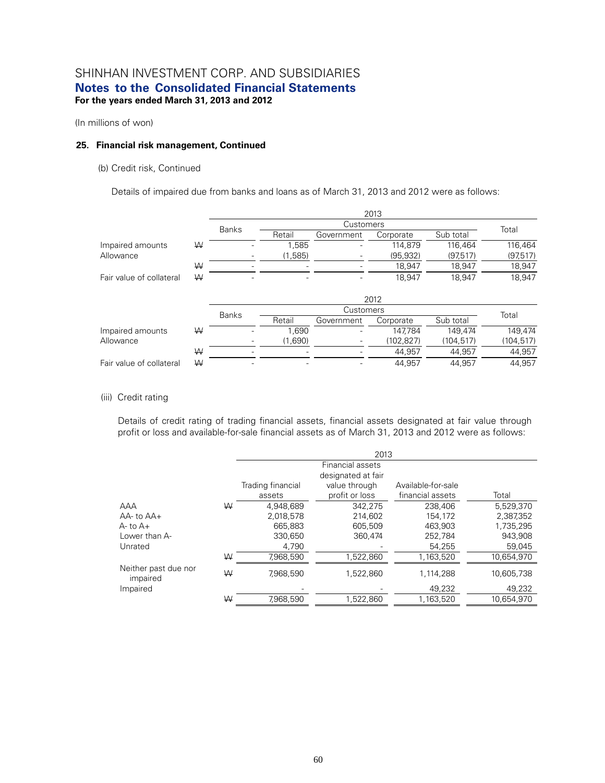(In millions of won)

#### **25. Financial risk management, Continued**

#### (b) Credit risk, Continued

Details of impaired due from banks and loans as of March 31, 2013 and 2012 were as follows:

|                          |   |              | 2013      |            |            |            |            |  |  |
|--------------------------|---|--------------|-----------|------------|------------|------------|------------|--|--|
|                          |   | <b>Banks</b> | Customers |            |            |            |            |  |  |
|                          |   |              | Retail    | Government | Corporate  | Sub total  | Total      |  |  |
| Impaired amounts         | W |              | 1.585     |            | 114.879    | 116.464    | 116,464    |  |  |
| Allowance                |   |              | (1,585)   |            | (95, 932)  | (97, 517)  | (97, 517)  |  |  |
|                          | W |              |           |            | 18,947     | 18,947     | 18,947     |  |  |
| Fair value of collateral | W |              |           |            | 18,947     | 18,947     | 18,947     |  |  |
|                          |   | 2012         |           |            |            |            |            |  |  |
|                          |   | <b>Banks</b> |           | Customers  |            |            |            |  |  |
|                          |   |              | Retail    | Government | Corporate  | Sub total  | Total      |  |  |
| Impaired amounts         | W |              | 1.690     |            | 147.784    | 149.474    | 149,474    |  |  |
| Allowance                |   |              |           |            |            |            |            |  |  |
|                          |   |              | (1,690)   |            | (102, 827) | (104, 517) | (104, 517) |  |  |
|                          | W |              |           |            | 44,957     | 44,957     | 44,957     |  |  |

#### (iii) Credit rating

Details of credit rating of trading financial assets, financial assets designated at fair value through profit or loss and available-for-sale financial assets as of March 31, 2013 and 2012 were as follows:

|                                  |   | 2013              |                |                    |            |  |  |  |
|----------------------------------|---|-------------------|----------------|--------------------|------------|--|--|--|
|                                  |   |                   |                |                    |            |  |  |  |
|                                  |   | Trading financial | value through  | Available-for-sale |            |  |  |  |
|                                  |   | assets            | profit or loss | financial assets   | Total      |  |  |  |
| AAA                              | ₩ | 4.948.689         | 342.275        | 238,406            | 5,529,370  |  |  |  |
| $AA$ - to $AA$ +                 |   | 2.018.578         | 214.602        | 154.172            | 2,387,352  |  |  |  |
| A- to A+                         |   | 665.883           | 605.509        | 463.903            | 1.735.295  |  |  |  |
| Lower than A-                    |   | 330,650           | 360,474        | 252,784            | 943,908    |  |  |  |
| Unrated                          |   | 4,790             |                | 54,255             | 59,045     |  |  |  |
|                                  | ₩ | 7,968,590         | 1,522,860      | 1,163,520          | 10,654,970 |  |  |  |
| Neither past due nor<br>impaired | W | 7,968,590         | 1,522,860      | 1,114,288          | 10,605,738 |  |  |  |
| Impaired                         |   |                   |                | 49,232             | 49,232     |  |  |  |
|                                  | ₩ | 7,968,590         | 1,522,860      | 1,163,520          | 10.654.970 |  |  |  |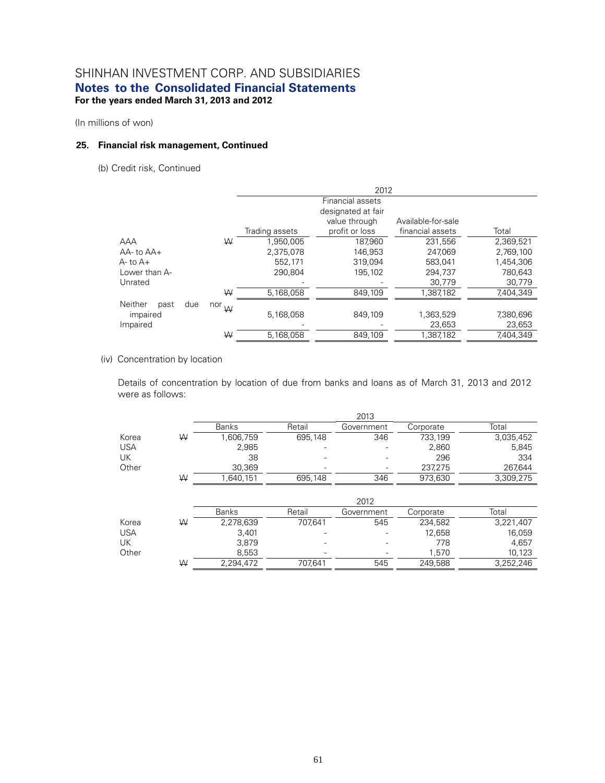(In millions of won)

#### **25. Financial risk management, Continued**

(b) Credit risk, Continued

|                        |         | 2012           |                                        |                    |           |  |  |  |
|------------------------|---------|----------------|----------------------------------------|--------------------|-----------|--|--|--|
|                        |         |                | Financial assets<br>designated at fair |                    |           |  |  |  |
|                        |         |                | value through                          | Available-for-sale |           |  |  |  |
|                        |         | Trading assets | profit or loss                         | financial assets   | Total     |  |  |  |
| AAA                    | ₩       | 1,950,005      | 187,960                                | 231,556            | 2,369,521 |  |  |  |
| $AA$ - to $AA$ +       |         | 2.375.078      | 146.953                                | 247.069            | 2.769.100 |  |  |  |
| $A$ - to $A$ +         |         | 552.171        | 319,094                                | 583.041            | 1,454,306 |  |  |  |
| Lower than A-          |         | 290.804        | 195.102                                | 294.737            | 780.643   |  |  |  |
| Unrated                |         |                |                                        | 30,779             | 30,779    |  |  |  |
|                        | ₩       | 5,168,058      | 849,109                                | 1,387,182          | 7,404,349 |  |  |  |
| Neither<br>due<br>past | nor $W$ |                |                                        |                    |           |  |  |  |
| impaired               |         | 5,168,058      | 849,109                                | 1,363,529          | 7,380,696 |  |  |  |
| Impaired               |         |                |                                        | 23,653             | 23,653    |  |  |  |
|                        | W       | 5.168.058      | 849.109                                | 1.387.182          | 7.404.349 |  |  |  |

### (iv) Concentration by location

Details of concentration by location of due from banks and loans as of March 31, 2013 and 2012 were as follows:

|       |   | 2013         |                          |            |           |           |  |  |  |  |  |
|-------|---|--------------|--------------------------|------------|-----------|-----------|--|--|--|--|--|
|       |   | <b>Banks</b> | Retail                   | Government | Corporate | Total     |  |  |  |  |  |
| Korea | W | 1,606,759    | 695,148                  | 346        | 733,199   | 3,035,452 |  |  |  |  |  |
| USA   |   | 2,985        | -                        |            | 2,860     | 5,845     |  |  |  |  |  |
| UK    |   | 38           |                          |            | 296       | 334       |  |  |  |  |  |
| Other |   | 30,369       | $\overline{\phantom{a}}$ |            | 237,275   | 267,644   |  |  |  |  |  |
|       | W | .640,151     | 695,148                  | 346        | 973,630   | 3,309,275 |  |  |  |  |  |

|            |   | <b>Banks</b> | Retail  | Government | Corporate | Total     |
|------------|---|--------------|---------|------------|-----------|-----------|
| Korea      | W | 2,278,639    | 707.641 | 545        | 234,582   | 3,221,407 |
| <b>USA</b> |   | 3,401        | -       |            | 12,658    | 16,059    |
| UK         |   | 3.879        |         |            | 778       | 4.657     |
| Other      |   | 8.553        | -       | -          | 1.570     | 10.123    |
|            | ₩ | 2.294.472    | 707,641 | 545        | 249,588   | 3,252,246 |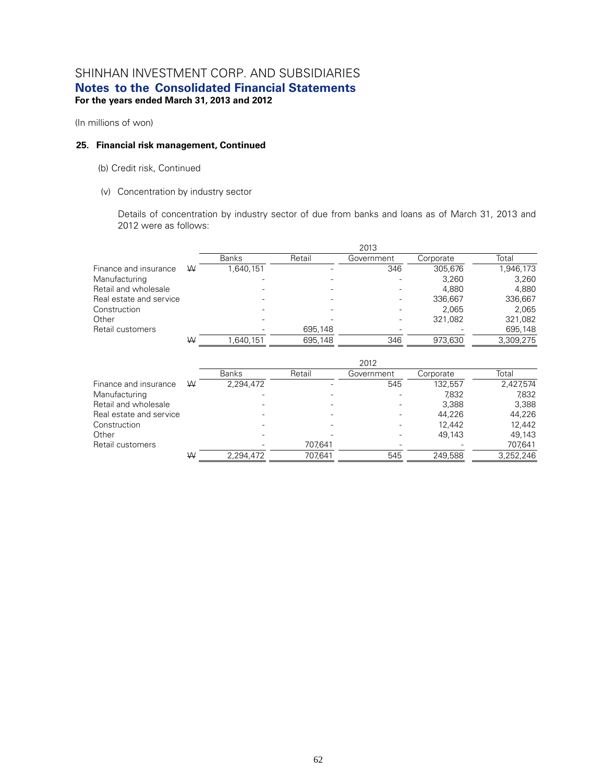(In millions of won)

#### **25. Financial risk management, Continued**

- (b) Credit risk, Continued
- (v) Concentration by industry sector

Details of concentration by industry sector of due from banks and loans as of March 31, 2013 and 2012 were as follows:

|                         |   |              |         | 2013       |           |           |
|-------------------------|---|--------------|---------|------------|-----------|-----------|
|                         |   | <b>Banks</b> | Retail  | Government | Corporate | Total     |
| Finance and insurance   | W | 1.640.151    |         | 346        | 305.676   | 1,946,173 |
| Manufacturing           |   |              |         |            | 3,260     | 3,260     |
| Retail and wholesale    |   |              |         |            | 4.880     | 4.880     |
| Real estate and service |   |              |         |            | 336.667   | 336,667   |
| Construction            |   |              |         |            | 2.065     | 2.065     |
| Other                   |   |              |         |            | 321.082   | 321,082   |
| Retail customers        |   |              | 695.148 |            |           | 695,148   |
|                         | W | 1.640.151    | 695.148 | 346        | 973.630   | 3.309.275 |

|                         |   | 2012         |         |            |           |           |  |  |  |
|-------------------------|---|--------------|---------|------------|-----------|-----------|--|--|--|
|                         |   | <b>Banks</b> | Retail  | Government | Corporate | Total     |  |  |  |
| Finance and insurance   | W | 2,294,472    |         | 545        | 132.557   | 2,427,574 |  |  |  |
| Manufacturing           |   |              |         |            | 7,832     | 7,832     |  |  |  |
| Retail and wholesale    |   |              |         |            | 3.388     | 3.388     |  |  |  |
| Real estate and service |   |              |         |            | 44.226    | 44,226    |  |  |  |
| Construction            |   |              |         |            | 12.442    | 12.442    |  |  |  |
| Other                   |   |              |         |            | 49.143    | 49.143    |  |  |  |
| Retail customers        |   |              | 707.641 |            |           | 707,641   |  |  |  |
|                         | W | 2,294,472    | 707.641 | 545        | 249.588   | 3,252,246 |  |  |  |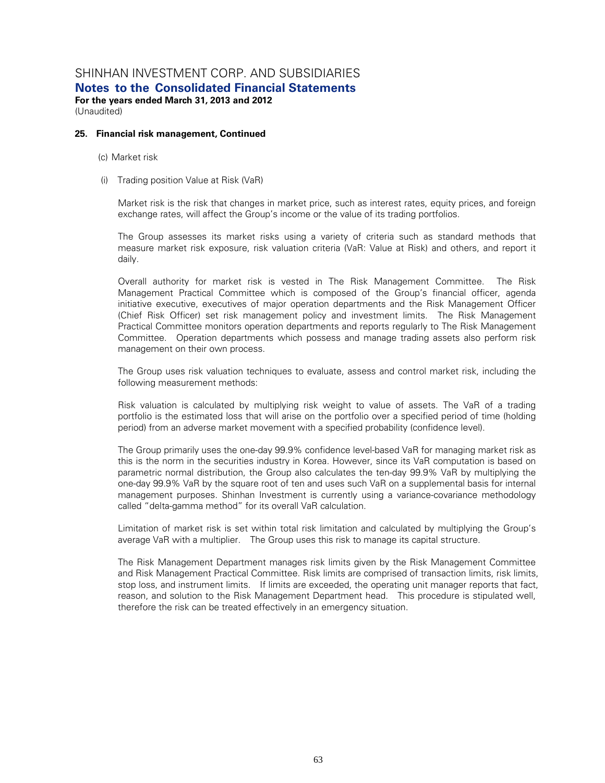## SHINHAN INVESTMENT CORP. AND SUBSIDIARIES

**Notes to the Consolidated Financial Statements** 

**For the years ended March 31, 2013 and 2012**  (Unaudited)

#### **25. Financial risk management, Continued**

(c) Market risk

(i) Trading position Value at Risk (VaR)

Market risk is the risk that changes in market price, such as interest rates, equity prices, and foreign exchange rates, will affect the Group's income or the value of its trading portfolios.

The Group assesses its market risks using a variety of criteria such as standard methods that measure market risk exposure, risk valuation criteria (VaR: Value at Risk) and others, and report it daily.

Overall authority for market risk is vested in The Risk Management Committee. The Risk Management Practical Committee which is composed of the Group's financial officer, agenda initiative executive, executives of major operation departments and the Risk Management Officer (Chief Risk Officer) set risk management policy and investment limits. The Risk Management Practical Committee monitors operation departments and reports regularly to The Risk Management Committee. Operation departments which possess and manage trading assets also perform risk management on their own process.

The Group uses risk valuation techniques to evaluate, assess and control market risk, including the following measurement methods:

Risk valuation is calculated by multiplying risk weight to value of assets. The VaR of a trading portfolio is the estimated loss that will arise on the portfolio over a specified period of time (holding period) from an adverse market movement with a specified probability (confidence level).

The Group primarily uses the one-day 99.9% confidence level-based VaR for managing market risk as this is the norm in the securities industry in Korea. However, since its VaR computation is based on parametric normal distribution, the Group also calculates the ten-day 99.9% VaR by multiplying the one-day 99.9% VaR by the square root of ten and uses such VaR on a supplemental basis for internal management purposes. Shinhan Investment is currently using a variance-covariance methodology called "delta-gamma method" for its overall VaR calculation.

Limitation of market risk is set within total risk limitation and calculated by multiplying the Group's average VaR with a multiplier. The Group uses this risk to manage its capital structure.

The Risk Management Department manages risk limits given by the Risk Management Committee and Risk Management Practical Committee. Risk limits are comprised of transaction limits, risk limits, stop loss, and instrument limits. If limits are exceeded, the operating unit manager reports that fact, reason, and solution to the Risk Management Department head. This procedure is stipulated well, therefore the risk can be treated effectively in an emergency situation.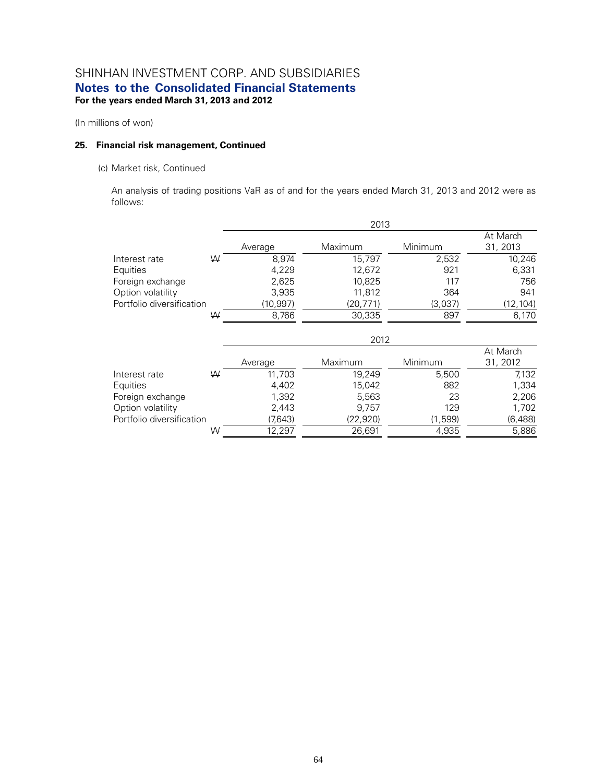(In millions of won)

#### **25. Financial risk management, Continued**

#### (c) Market risk, Continued

An analysis of trading positions VaR as of and for the years ended March 31, 2013 and 2012 were as follows:

|                           |   |           | 2013      |         |                      |
|---------------------------|---|-----------|-----------|---------|----------------------|
|                           |   | Average   | Maximum   | Minimum | At March<br>31, 2013 |
| Interest rate             | ₩ | 8.974     | 15,797    | 2,532   | 10,246               |
| Equities                  |   | 4,229     | 12,672    | 921     | 6,331                |
| Foreign exchange          |   | 2,625     | 10,825    | 117     | 756                  |
| Option volatility         |   | 3,935     | 11,812    | 364     | 941                  |
| Portfolio diversification |   | (10, 997) | (20, 771) | (3,037) | (12, 104)            |
|                           | ₩ | 8,766     | 30,335    | 897     | 6,170                |
|                           |   |           | 2012      |         |                      |
|                           |   |           |           |         | At March             |
|                           |   | Average   | Maximum   | Minimum | 31, 2012             |
| Interest rate             | W | 11,703    | 19,249    | 5,500   | 7,132                |
| Equities                  |   | 4,402     | 15,042    | 882     | 1,334                |
| Foreign exchange          |   | 1,392     | 5,563     | 23      | 2,206                |
| Option volatility         |   | 2,443     | 9,757     | 129     | 1,702                |
| Portfolio diversification |   | (7,643)   | (22, 920) | (1,599) | (6, 488)             |
|                           | ₩ | 12,297    | 26,691    | 4,935   | 5,886                |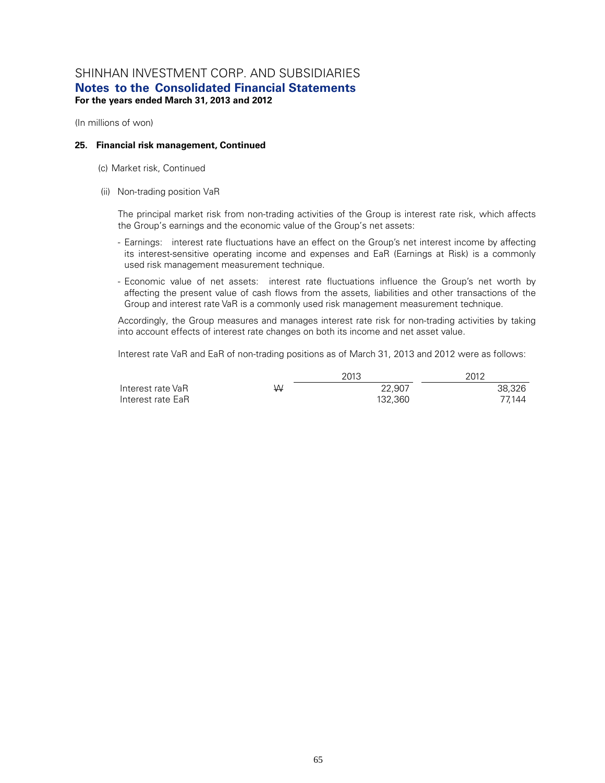(In millions of won)

#### **25. Financial risk management, Continued**

- (c) Market risk, Continued
- (ii) Non-trading position VaR

The principal market risk from non-trading activities of the Group is interest rate risk, which affects the Group's earnings and the economic value of the Group's net assets:

- Earnings: interest rate fluctuations have an effect on the Group's net interest income by affecting its interest-sensitive operating income and expenses and EaR (Earnings at Risk) is a commonly used risk management measurement technique.
- Economic value of net assets: interest rate fluctuations influence the Group's net worth by affecting the present value of cash flows from the assets, liabilities and other transactions of the Group and interest rate VaR is a commonly used risk management measurement technique.

Accordingly, the Group measures and manages interest rate risk for non-trading activities by taking into account effects of interest rate changes on both its income and net asset value.

Interest rate VaR and EaR of non-trading positions as of March 31, 2013 and 2012 were as follows:

|                   |   | 2013    | 2012   |
|-------------------|---|---------|--------|
| Interest rate VaR | ₩ | 22.907  | 38.326 |
| Interest rate EaR |   | 132.360 | 77.144 |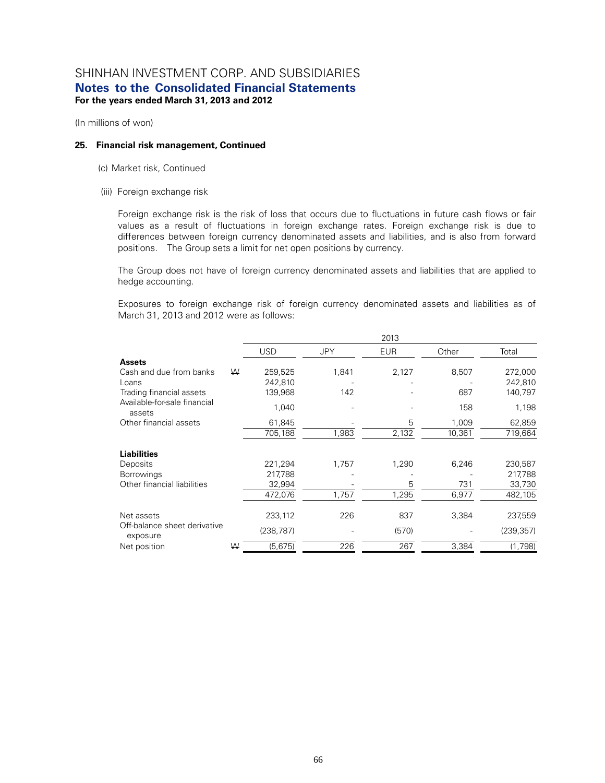(In millions of won)

#### **25. Financial risk management, Continued**

- (c) Market risk, Continued
- (iii) Foreign exchange risk

Foreign exchange risk is the risk of loss that occurs due to fluctuations in future cash flows or fair values as a result of fluctuations in foreign exchange rates. Foreign exchange risk is due to differences between foreign currency denominated assets and liabilities, and is also from forward positions. The Group sets a limit for net open positions by currency.

The Group does not have of foreign currency denominated assets and liabilities that are applied to hedge accounting.

Exposures to foreign exchange risk of foreign currency denominated assets and liabilities as of March 31, 2013 and 2012 were as follows:

|                                          |   |            |            | 2013       |        |            |
|------------------------------------------|---|------------|------------|------------|--------|------------|
|                                          |   | <b>USD</b> | <b>JPY</b> | <b>EUR</b> | Other  | Total      |
| <b>Assets</b>                            |   |            |            |            |        |            |
| Cash and due from banks                  | W | 259,525    | 1,841      | 2,127      | 8,507  | 272,000    |
| Loans                                    |   | 242,810    |            |            |        | 242,810    |
| Trading financial assets                 |   | 139,968    | 142        |            | 687    | 140,797    |
| Available-for-sale financial<br>assets   |   | 1,040      |            |            | 158    | 1,198      |
| Other financial assets                   |   | 61,845     |            | 5          | 1,009  | 62,859     |
|                                          |   | 705,188    | 1,983      | 2,132      | 10,361 | 719,664    |
| <b>Liabilities</b>                       |   |            |            |            |        |            |
| Deposits                                 |   | 221,294    | 1,757      | 1,290      | 6,246  | 230,587    |
| <b>Borrowings</b>                        |   | 217,788    |            |            |        | 217,788    |
| Other financial liabilities              |   | 32,994     |            | 5          | 731    | 33,730     |
|                                          |   | 472,076    | 1,757      | 1,295      | 6,977  | 482,105    |
| Net assets                               |   | 233,112    | 226        | 837        | 3,384  | 237,559    |
| Off-balance sheet derivative<br>exposure |   | (238, 787) |            | (570)      |        | (239, 357) |
| Net position                             | W | (5,675)    | 226        | 267        | 3,384  | (1,798)    |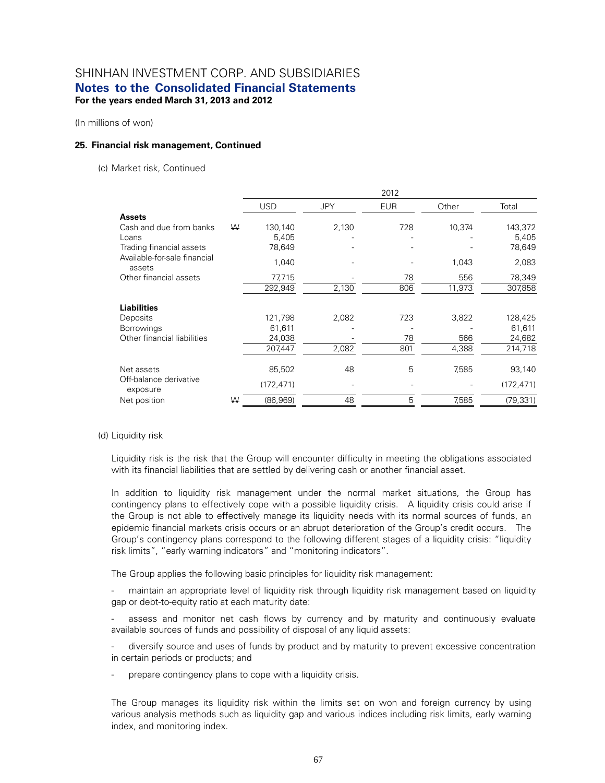(In millions of won)

#### **25. Financial risk management, Continued**

(c) Market risk, Continued

|                                        |   |            |            | 2012       |        |            |
|----------------------------------------|---|------------|------------|------------|--------|------------|
|                                        |   | <b>USD</b> | <b>JPY</b> | <b>EUR</b> | Other  | Total      |
| <b>Assets</b>                          |   |            |            |            |        |            |
| Cash and due from banks                | W | 130,140    | 2,130      | 728        | 10,374 | 143,372    |
| Loans                                  |   | 5,405      |            |            |        | 5,405      |
| Trading financial assets               |   | 78,649     |            |            |        | 78,649     |
| Available-for-sale financial<br>assets |   | 1,040      |            |            | 1,043  | 2,083      |
| Other financial assets                 |   | 77,715     |            | 78         | 556    | 78,349     |
|                                        |   | 292,949    | 2,130      | 806        | 11,973 | 307,858    |
| <b>Liabilities</b>                     |   |            |            |            |        |            |
| Deposits                               |   | 121,798    | 2,082      | 723        | 3,822  | 128,425    |
| <b>Borrowings</b>                      |   | 61,611     |            |            |        | 61,611     |
| Other financial liabilities            |   | 24,038     |            | 78         | 566    | 24,682     |
|                                        |   | 207,447    | 2,082      | 801        | 4,388  | 214,718    |
| Net assets                             |   | 85,502     | 48         | 5          | 7,585  | 93,140     |
| Off-balance derivative<br>exposure     |   | (172, 471) |            |            |        | (172, 471) |
| Net position                           | W | (86,969)   | 48         | 5          | 7,585  | (79, 331)  |

#### (d) Liquidity risk

Liquidity risk is the risk that the Group will encounter difficulty in meeting the obligations associated with its financial liabilities that are settled by delivering cash or another financial asset.

In addition to liquidity risk management under the normal market situations, the Group has contingency plans to effectively cope with a possible liquidity crisis. A liquidity crisis could arise if the Group is not able to effectively manage its liquidity needs with its normal sources of funds, an epidemic financial markets crisis occurs or an abrupt deterioration of the Group's credit occurs. The Group's contingency plans correspond to the following different stages of a liquidity crisis: "liquidity risk limits", "early warning indicators" and "monitoring indicators".

The Group applies the following basic principles for liquidity risk management:

maintain an appropriate level of liquidity risk through liquidity risk management based on liquidity gap or debt-to-equity ratio at each maturity date:

assess and monitor net cash flows by currency and by maturity and continuously evaluate available sources of funds and possibility of disposal of any liquid assets:

diversify source and uses of funds by product and by maturity to prevent excessive concentration in certain periods or products; and

prepare contingency plans to cope with a liquidity crisis.

The Group manages its liquidity risk within the limits set on won and foreign currency by using various analysis methods such as liquidity gap and various indices including risk limits, early warning index, and monitoring index.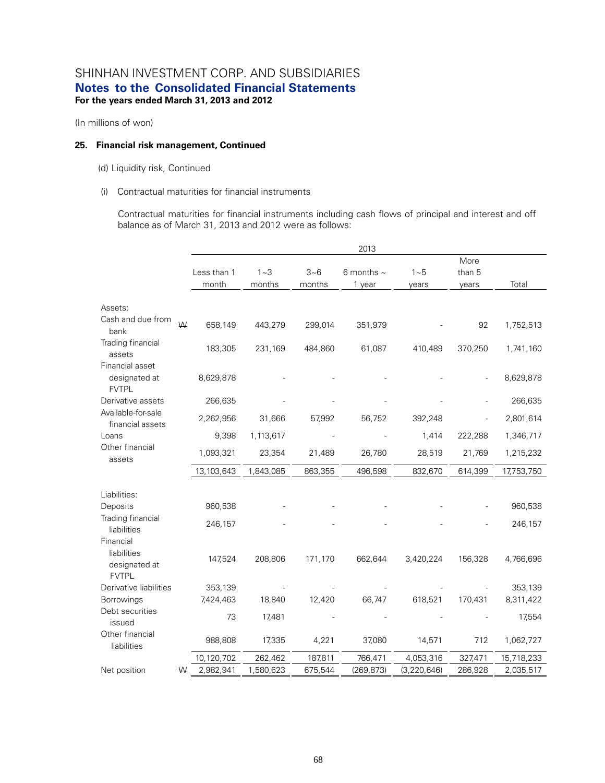(In millions of won)

#### **25. Financial risk management, Continued**

(d) Liquidity risk, Continued

#### (i) Contractual maturities for financial instruments

Contractual maturities for financial instruments including cash flows of principal and interest and off balance as of March 31, 2013 and 2012 were as follows:

|                                                  |   |             |           |         | 2013            |               |         |            |
|--------------------------------------------------|---|-------------|-----------|---------|-----------------|---------------|---------|------------|
|                                                  |   |             |           |         |                 |               | More    |            |
|                                                  |   | Less than 1 | $1 - 3$   | $3 - 6$ | 6 months $\sim$ | $1 - 5$       | than 5  |            |
|                                                  |   | month       | months    | months  | 1 year          | years         | years   | Total      |
| Assets:                                          |   |             |           |         |                 |               |         |            |
| Cash and due from<br>bank                        | W | 658,149     | 443,279   | 299,014 | 351,979         |               | 92      | 1,752,513  |
| Trading financial<br>assets                      |   | 183,305     | 231,169   | 484,860 | 61,087          | 410,489       | 370,250 | 1,741,160  |
| Financial asset<br>designated at<br><b>FVTPL</b> |   | 8,629,878   |           |         |                 |               |         | 8,629,878  |
| Derivative assets                                |   | 266,635     |           |         |                 |               |         | 266,635    |
| Available-for-sale<br>financial assets           |   | 2,262,956   | 31,666    | 57,992  | 56,752          | 392,248       |         | 2,801,614  |
| Loans                                            |   | 9,398       | 1,113,617 |         |                 | 1,414         | 222,288 | 1,346,717  |
| Other financial<br>assets                        |   | 1,093,321   | 23,354    | 21,489  | 26,780          | 28,519        | 21,769  | 1,215,232  |
|                                                  |   | 13,103,643  | 1,843,085 | 863,355 | 496,598         | 832,670       | 614,399 | 17,753,750 |
|                                                  |   |             |           |         |                 |               |         |            |
| Liabilities:<br>Deposits                         |   | 960,538     |           |         |                 |               |         | 960,538    |
| Trading financial<br>liabilities                 |   | 246,157     |           |         |                 |               |         | 246,157    |
| Financial                                        |   |             |           |         |                 |               |         |            |
| liabilities<br>designated at<br><b>FVTPL</b>     |   | 147,524     | 208,806   | 171,170 | 662,644         | 3,420,224     | 156,328 | 4,766,696  |
| Derivative liabilities                           |   | 353,139     |           |         |                 |               |         | 353,139    |
| Borrowings                                       |   | 7,424,463   | 18,840    | 12,420  | 66,747          | 618,521       | 170,431 | 8,311,422  |
| Debt securities<br>issued                        |   | 73          | 17,481    |         |                 |               |         | 17,554     |
| Other financial<br>liabilities                   |   | 988,808     | 17,335    | 4,221   | 37,080          | 14,571        | 712     | 1,062,727  |
|                                                  |   | 10,120,702  | 262,462   | 187,811 | 766,471         | 4,053,316     | 327,471 | 15,718,233 |
| Net position                                     | ₩ | 2,982,941   | 1,580,623 | 675,544 | (269, 873)      | (3, 220, 646) | 286,928 | 2,035,517  |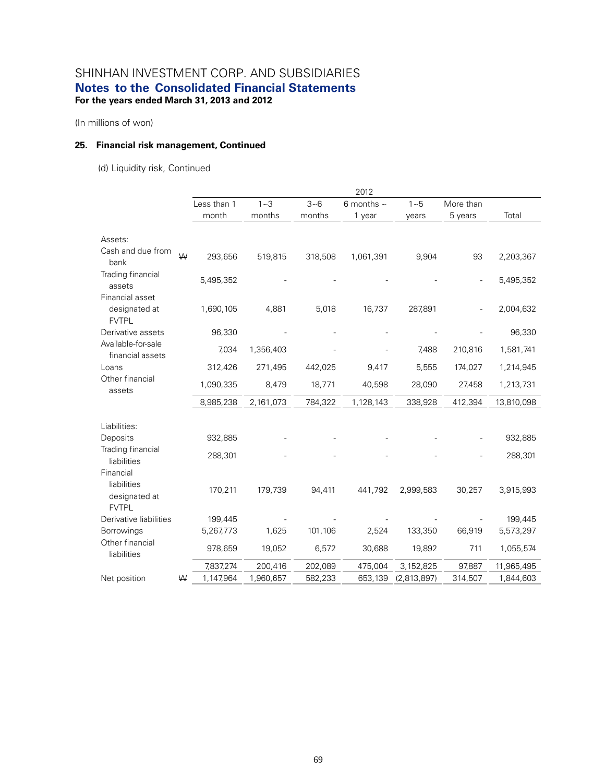(In millions of won)

### **25. Financial risk management, Continued**

(d) Liquidity risk, Continued

|                                                           |   |             |           |         | 2012            |             |           |            |
|-----------------------------------------------------------|---|-------------|-----------|---------|-----------------|-------------|-----------|------------|
|                                                           |   | Less than 1 | $1 - 3$   | $3 - 6$ | 6 months $\sim$ | $1 - 5$     | More than |            |
|                                                           |   | month       | months    | months  | 1 year          | years       | 5 years   | Total      |
|                                                           |   |             |           |         |                 |             |           |            |
| Assets:                                                   |   |             |           |         |                 |             |           |            |
| Cash and due from<br>bank                                 | ₩ | 293,656     | 519,815   | 318,508 | 1,061,391       | 9,904       | 93        | 2,203,367  |
| Trading financial<br>assets                               |   | 5,495,352   |           |         |                 |             |           | 5,495,352  |
| Financial asset<br>designated at                          |   | 1,690,105   | 4,881     | 5,018   | 16,737          | 287,891     |           | 2,004,632  |
| <b>FVTPL</b><br>Derivative assets                         |   | 96,330      |           |         |                 |             |           | 96,330     |
| Available-for-sale<br>financial assets                    |   | 7,034       | 1,356,403 |         |                 | 7,488       | 210,816   | 1,581,741  |
| Loans                                                     |   | 312,426     | 271,495   | 442,025 | 9,417           | 5,555       | 174,027   | 1,214,945  |
| Other financial<br>assets                                 |   | 1,090,335   | 8,479     | 18,771  | 40,598          | 28,090      | 27,458    | 1,213,731  |
|                                                           |   | 8,985,238   | 2,161,073 | 784,322 | 1,128,143       | 338,928     | 412,394   | 13,810,098 |
|                                                           |   |             |           |         |                 |             |           |            |
| Liabilities:                                              |   |             |           |         |                 |             |           |            |
| Deposits                                                  |   | 932,885     |           |         |                 |             |           | 932,885    |
| Trading financial<br>liabilities                          |   | 288,301     |           |         |                 |             |           | 288,301    |
| Financial<br>liabilities<br>designated at<br><b>FVTPL</b> |   | 170,211     | 179,739   | 94,411  | 441,792         | 2,999,583   | 30,257    | 3,915,993  |
| Derivative liabilities                                    |   | 199,445     |           |         |                 |             |           | 199,445    |
| Borrowings                                                |   | 5,267,773   | 1,625     | 101,106 | 2,524           | 133,350     | 66,919    | 5,573,297  |
| Other financial<br>liabilities                            |   | 978,659     | 19,052    | 6,572   | 30,688          | 19,892      | 711       | 1,055,574  |
|                                                           |   | 7,837,274   | 200,416   | 202,089 | 475,004         | 3,152,825   | 97,887    | 11,965,495 |
| Net position                                              | W | 1,147,964   | 1,960,657 | 582,233 | 653,139         | (2,813,897) | 314,507   | 1,844,603  |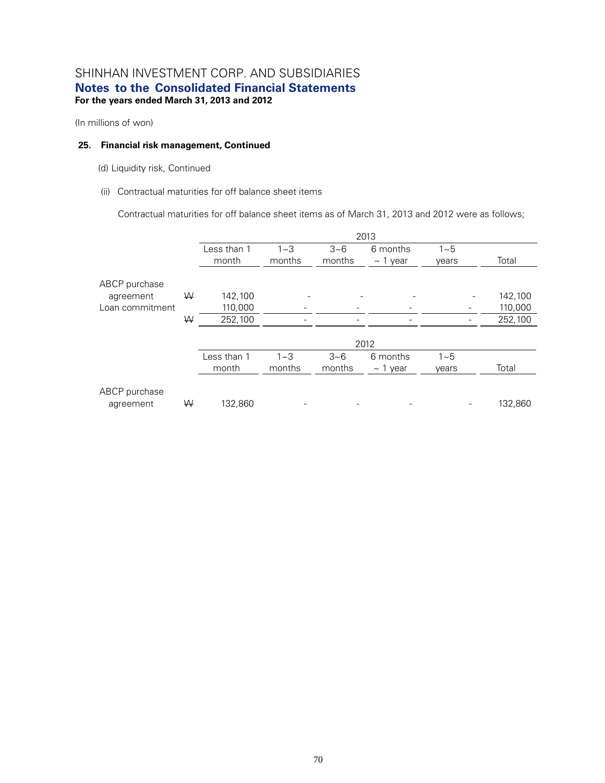(In millions of won)

#### **25. Financial risk management, Continued**

(d) Liquidity risk, Continued

(ii) Contractual maturities for off balance sheet items

Contractual maturities for off balance sheet items as of March 31, 2013 and 2012 were as follows;

|                            |   |             |         |         | 2013          |         |         |
|----------------------------|---|-------------|---------|---------|---------------|---------|---------|
|                            |   | Less than 1 | $1 - 3$ | $3 - 6$ | 6 months      | $1 - 5$ |         |
|                            |   | month       | months  | months  | $\sim$ 1 year | vears   | Total   |
| ABCP purchase              |   |             |         |         |               |         |         |
| agreement                  | ₩ | 142,100     |         |         |               |         | 142,100 |
| Loan commitment            |   | 110,000     |         |         |               |         | 110,000 |
|                            | ₩ | 252,100     |         |         |               |         | 252,100 |
|                            |   |             |         |         | 2012          |         |         |
|                            |   | Less than 1 | $1 - 3$ | $3 - 6$ | 6 months      | $1 - 5$ |         |
|                            |   | month       | months  | months  | $\sim$ 1 year | years   | Total   |
| ABCP purchase<br>agreement | W | 132,860     |         |         |               |         | 132,860 |
|                            |   |             |         |         |               |         |         |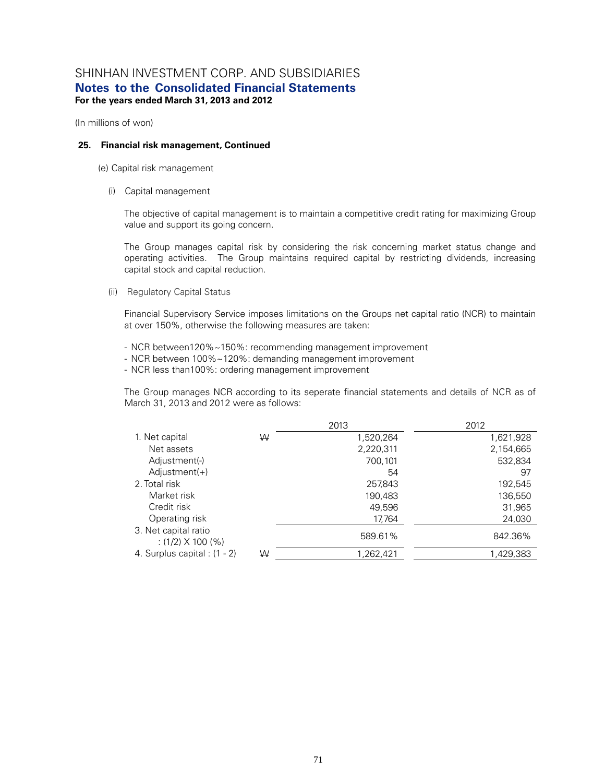(In millions of won)

#### **25. Financial risk management, Continued**

(e) Capital risk management

(i) Capital management

The objective of capital management is to maintain a competitive credit rating for maximizing Group value and support its going concern.

The Group manages capital risk by considering the risk concerning market status change and operating activities. The Group maintains required capital by restricting dividends, increasing capital stock and capital reduction.

(ii) Regulatory Capital Status

Financial Supervisory Service imposes limitations on the Groups net capital ratio (NCR) to maintain at over 150%, otherwise the following measures are taken:

- NCR between120%~150%: recommending management improvement
- NCR between 100%~120%: demanding management improvement
- NCR less than100%: ordering management improvement

The Group manages NCR according to its seperate financial statements and details of NCR as of March 31, 2013 and 2012 were as follows:

|                                           |   | 2013      | 2012      |
|-------------------------------------------|---|-----------|-----------|
| 1. Net capital                            | W | 1,520,264 | 1,621,928 |
| Net assets                                |   | 2,220,311 | 2,154,665 |
| Adjustment(-)                             |   | 700,101   | 532,834   |
| $Adjustment(+)$                           |   | 54        | 97        |
| 2. Total risk                             |   | 257,843   | 192,545   |
| Market risk                               |   | 190,483   | 136,550   |
| Credit risk                               |   | 49,596    | 31,965    |
| Operating risk                            |   | 17,764    | 24,030    |
| 3. Net capital ratio<br>$(1/2)$ X 100 (%) |   | 589.61%   | 842.36%   |
| 4. Surplus capital : (1 - 2)              | W | 1,262,421 | 1,429,383 |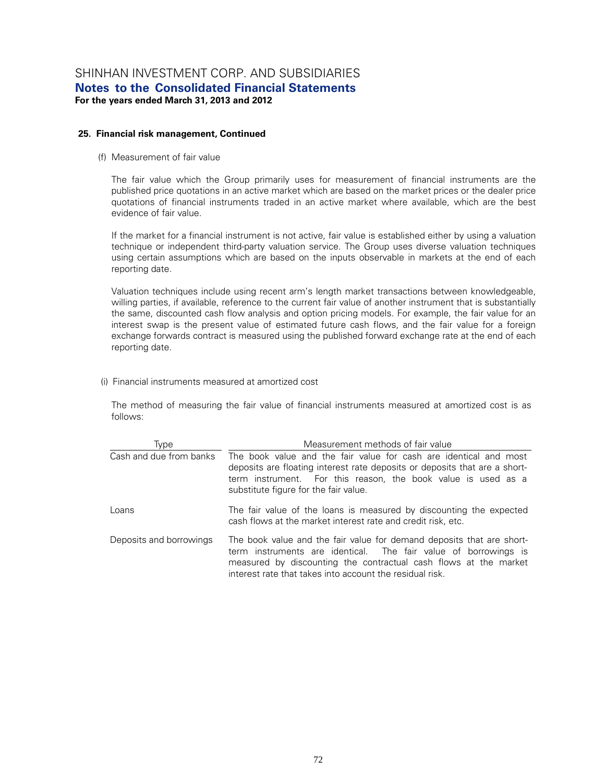### **25. Financial risk management, Continued**

(f) Measurement of fair value

The fair value which the Group primarily uses for measurement of financial instruments are the published price quotations in an active market which are based on the market prices or the dealer price quotations of financial instruments traded in an active market where available, which are the best evidence of fair value.

If the market for a financial instrument is not active, fair value is established either by using a valuation technique or independent third-party valuation service. The Group uses diverse valuation techniques using certain assumptions which are based on the inputs observable in markets at the end of each reporting date.

Valuation techniques include using recent arm's length market transactions between knowledgeable, willing parties, if available, reference to the current fair value of another instrument that is substantially the same, discounted cash flow analysis and option pricing models. For example, the fair value for an interest swap is the present value of estimated future cash flows, and the fair value for a foreign exchange forwards contract is measured using the published forward exchange rate at the end of each reporting date.

(i) Financial instruments measured at amortized cost

The method of measuring the fair value of financial instruments measured at amortized cost is as follows:

| Type                    | Measurement methods of fair value                                                                                                                                                                                                                                        |
|-------------------------|--------------------------------------------------------------------------------------------------------------------------------------------------------------------------------------------------------------------------------------------------------------------------|
| Cash and due from banks | The book value and the fair value for cash are identical and most<br>deposits are floating interest rate deposits or deposits that are a short-<br>term instrument. For this reason, the book value is used as a<br>substitute figure for the fair value.                |
| Loans                   | The fair value of the loans is measured by discounting the expected<br>cash flows at the market interest rate and credit risk, etc.                                                                                                                                      |
| Deposits and borrowings | The book value and the fair value for demand deposits that are short-<br>term instruments are identical. The fair value of borrowings is<br>measured by discounting the contractual cash flows at the market<br>interest rate that takes into account the residual risk. |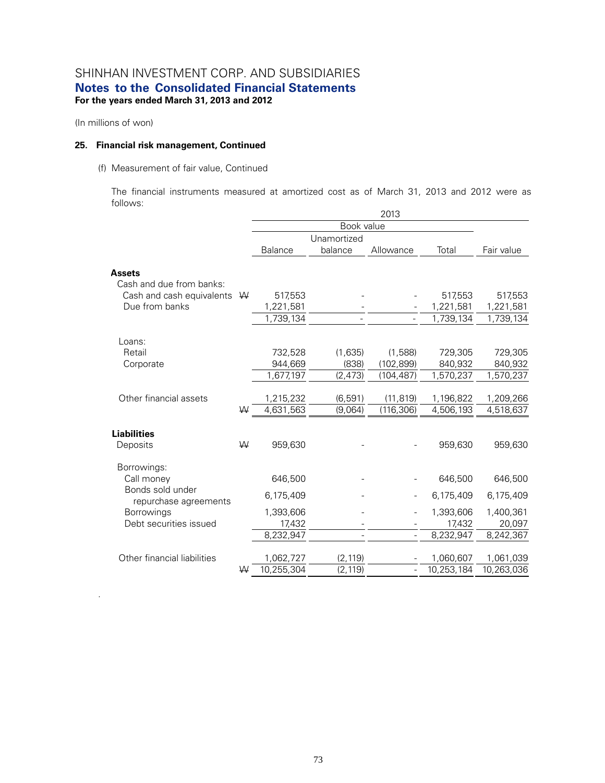(In millions of won)

.

#### **25. Financial risk management, Continued**

#### (f) Measurement of fair value, Continued

The financial instruments measured at amortized cost as of March 31, 2013 and 2012 were as follows:

|                                           |   |                         |                      | 2013           |                         |                         |
|-------------------------------------------|---|-------------------------|----------------------|----------------|-------------------------|-------------------------|
|                                           |   |                         | Book value           |                |                         |                         |
|                                           |   |                         | Unamortized          |                |                         |                         |
|                                           |   | <b>Balance</b>          | balance              | Allowance      | Total                   | Fair value              |
| <b>Assets</b>                             |   |                         |                      |                |                         |                         |
| Cash and due from banks:                  |   |                         |                      |                |                         |                         |
| Cash and cash equivalents                 | W | 517,553                 |                      |                | 517,553                 | 517,553                 |
| Due from banks                            |   | 1,221,581               |                      |                | 1,221,581               | 1,221,581               |
|                                           |   | 1,739,134               |                      |                | 1,739,134               | 1,739,134               |
| Loans:                                    |   |                         |                      |                |                         |                         |
| Retail                                    |   | 732,528                 | (1,635)              | (1,588)        | 729,305                 | 729,305                 |
| Corporate                                 |   | 944,669                 | (838)                | (102, 899)     | 840,932                 | 840,932                 |
|                                           |   | 1,677,197               | (2, 473)             | (104, 487)     | 1,570,237               | 1,570,237               |
|                                           |   |                         |                      |                |                         |                         |
| Other financial assets                    |   | 1,215,232               | (6, 591)             | (11, 819)      | 1,196,822               | 1,209,266               |
|                                           | W | 4,631,563               | (9,064)              | (116, 306)     | 4,506,193               | 4,518,637               |
| <b>Liabilities</b>                        |   |                         |                      |                |                         |                         |
| Deposits                                  | ₩ | 959,630                 |                      |                | 959,630                 | 959,630                 |
| Borrowings:                               |   |                         |                      |                |                         |                         |
| Call money                                |   | 646,500                 |                      |                | 646,500                 | 646,500                 |
| Bonds sold under<br>repurchase agreements |   | 6,175,409               |                      |                | 6,175,409               | 6,175,409               |
| <b>Borrowings</b>                         |   | 1,393,606               |                      |                | 1,393,606               | 1,400,361               |
| Debt securities issued                    |   | 17,432                  |                      |                | 17,432                  | 20,097                  |
|                                           |   | 8,232,947               |                      |                | 8,232,947               | 8,242,367               |
| Other financial liabilities               |   |                         |                      |                |                         |                         |
|                                           | W | 1,062,727<br>10,255,304 | (2, 119)<br>(2, 119) | $\overline{a}$ | 1,060,607<br>10,253,184 | 1,061,039<br>10,263,036 |
|                                           |   |                         |                      |                |                         |                         |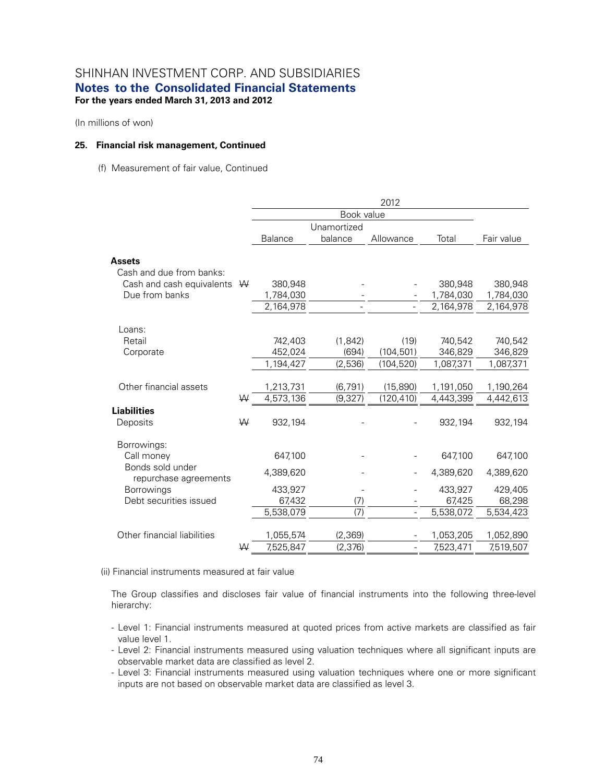(In millions of won)

#### **25. Financial risk management, Continued**

(f) Measurement of fair value, Continued

|                                           |   | 2012           |             |                          |           |            |  |  |  |
|-------------------------------------------|---|----------------|-------------|--------------------------|-----------|------------|--|--|--|
|                                           |   |                | Book value  |                          |           |            |  |  |  |
|                                           |   |                | Unamortized |                          |           |            |  |  |  |
|                                           |   | <b>Balance</b> | balance     | Allowance                | Total     | Fair value |  |  |  |
| <b>Assets</b><br>Cash and due from banks: |   |                |             |                          |           |            |  |  |  |
| Cash and cash equivalents $W$             |   | 380,948        |             |                          | 380,948   | 380,948    |  |  |  |
| Due from banks                            |   | 1,784,030      |             |                          | 1,784,030 | 1,784,030  |  |  |  |
|                                           |   | 2,164,978      |             |                          | 2,164,978 | 2,164,978  |  |  |  |
| Loans:                                    |   |                |             |                          |           |            |  |  |  |
| Retail                                    |   | 742,403        | (1, 842)    | (19)                     | 740,542   | 740,542    |  |  |  |
| Corporate                                 |   | 452,024        | (694)       | (104, 501)               | 346,829   | 346,829    |  |  |  |
|                                           |   | 1,194,427      | (2,536)     | (104, 520)               | 1,087,371 | 1,087,371  |  |  |  |
| Other financial assets                    |   | 1,213,731      | (6, 791)    | (15, 890)                | 1,191,050 | 1,190,264  |  |  |  |
|                                           | W | 4,573,136      | (9, 327)    | (120, 410)               | 4,443,399 | 4,442,613  |  |  |  |
| <b>Liabilities</b><br>Deposits            | W | 932,194        |             |                          | 932,194   | 932,194    |  |  |  |
| Borrowings:<br>Call money                 |   | 647,100        |             |                          | 647,100   | 647,100    |  |  |  |
| Bonds sold under<br>repurchase agreements |   | 4,389,620      |             |                          | 4,389,620 | 4,389,620  |  |  |  |
| <b>Borrowings</b>                         |   | 433,927        |             |                          | 433,927   | 429,405    |  |  |  |
| Debt securities issued                    |   | 67,432         | (7)         |                          | 67,425    | 68,298     |  |  |  |
|                                           |   | 5,538,079      | (7)         |                          | 5,538,072 | 5,534,423  |  |  |  |
| Other financial liabilities               |   | 1,055,574      | (2, 369)    |                          | 1,053,205 | 1,052,890  |  |  |  |
|                                           | W | 7,525,847      | (2, 376)    | $\overline{\phantom{a}}$ | 7,523,471 | 7,519,507  |  |  |  |

(ii) Financial instruments measured at fair value

The Group classifies and discloses fair value of financial instruments into the following three-level hierarchy:

- Level 1: Financial instruments measured at quoted prices from active markets are classified as fair value level 1.
- Level 2: Financial instruments measured using valuation techniques where all significant inputs are observable market data are classified as level 2.
- Level 3: Financial instruments measured using valuation techniques where one or more significant inputs are not based on observable market data are classified as level 3.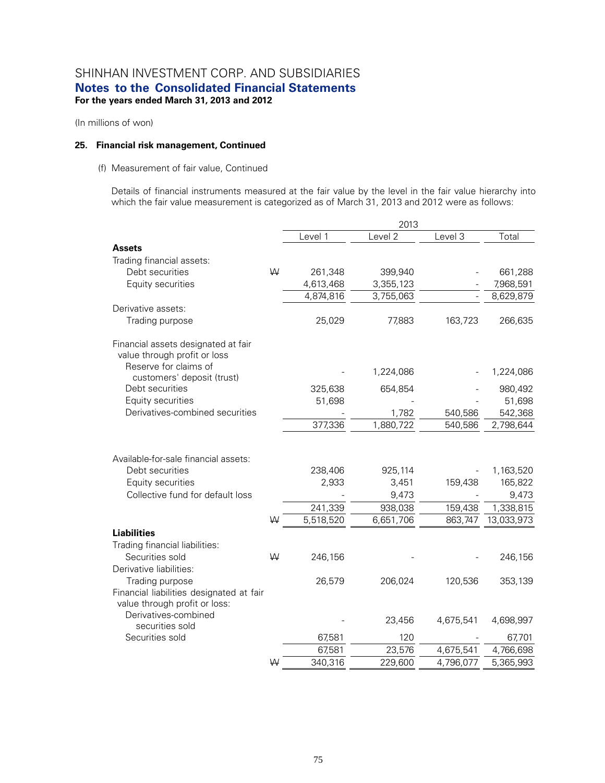(In millions of won)

#### **25. Financial risk management, Continued**

#### (f) Measurement of fair value, Continued

Details of financial instruments measured at the fair value by the level in the fair value hierarchy into which the fair value measurement is categorized as of March 31, 2013 and 2012 were as follows:

|                                                                                                                  |   |                  | 2013                      |           |                               |
|------------------------------------------------------------------------------------------------------------------|---|------------------|---------------------------|-----------|-------------------------------|
|                                                                                                                  |   | Level 1          | Level 2                   | Level 3   | Total                         |
| <b>Assets</b>                                                                                                    |   |                  |                           |           |                               |
| Trading financial assets:                                                                                        |   |                  |                           |           |                               |
| Debt securities                                                                                                  | W | 261,348          | 399,940                   |           | 661,288                       |
| Equity securities                                                                                                |   | 4,613,468        | 3,355,123                 |           | 7,968,591                     |
|                                                                                                                  |   | 4,874,816        | 3,755,063                 |           | 8,629,879                     |
| Derivative assets:                                                                                               |   |                  |                           |           |                               |
| Trading purpose                                                                                                  |   | 25,029           | 77,883                    | 163,723   | 266,635                       |
| Financial assets designated at fair<br>value through profit or loss<br>Reserve for claims of                     |   |                  |                           |           |                               |
| customers' deposit (trust)                                                                                       |   |                  | 1,224,086                 |           | 1,224,086                     |
| Debt securities                                                                                                  |   | 325,638          | 654,854                   |           | 980,492                       |
| Equity securities                                                                                                |   | 51,698           |                           |           | 51,698                        |
| Derivatives-combined securities                                                                                  |   |                  | 1,782                     | 540,586   | 542,368                       |
|                                                                                                                  |   | 377,336          | 1,880,722                 | 540,586   | 2,798,644                     |
| Available-for-sale financial assets:<br>Debt securities<br>Equity securities<br>Collective fund for default loss |   | 238,406<br>2,933 | 925,114<br>3,451<br>9,473 | 159,438   | 1,163,520<br>165,822<br>9,473 |
|                                                                                                                  |   | 241,339          | 938,038                   | 159,438   | 1,338,815                     |
| <b>Liabilities</b>                                                                                               | W | 5,518,520        | 6,651,706                 | 863,747   | 13,033,973                    |
| Trading financial liabilities:<br>Securities sold<br>Derivative liabilities:                                     | W | 246,156          |                           |           | 246,156                       |
| Trading purpose<br>Financial liabilities designated at fair<br>value through profit or loss:                     |   | 26,579           | 206,024                   | 120,536   | 353,139                       |
| Derivatives-combined<br>securities sold                                                                          |   |                  | 23,456                    | 4,675,541 | 4,698,997                     |
| Securities sold                                                                                                  |   | 67,581           | 120                       |           | 67,701                        |
|                                                                                                                  |   | 67,581           | 23,576                    | 4,675,541 | 4,766,698                     |
|                                                                                                                  | W | 340,316          | 229,600                   | 4,796,077 | 5,365,993                     |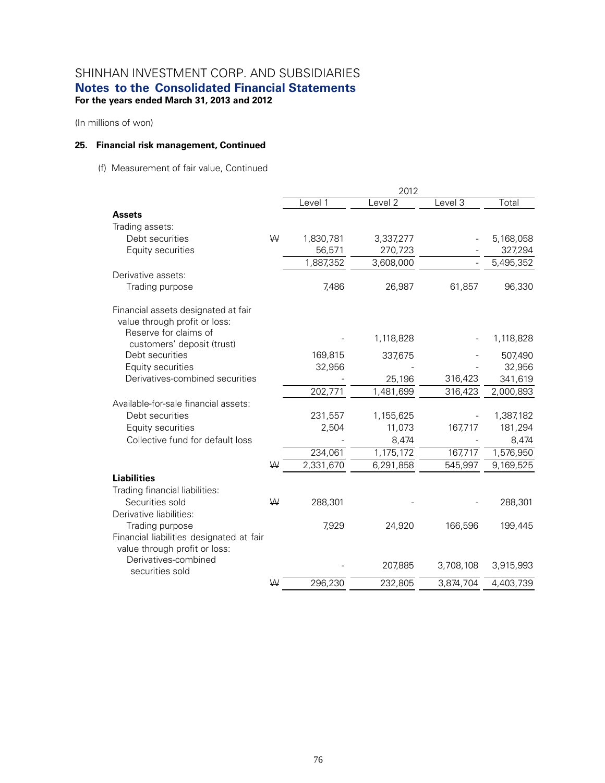(In millions of won)

### **25. Financial risk management, Continued**

(f) Measurement of fair value, Continued

|                                                                           |   |                  | 2012      |                |                      |
|---------------------------------------------------------------------------|---|------------------|-----------|----------------|----------------------|
|                                                                           |   | Level 1          | Level 2   | Level 3        | Total                |
| <b>Assets</b>                                                             |   |                  |           |                |                      |
| Trading assets:                                                           |   |                  |           |                |                      |
| Debt securities                                                           | W | 1,830,781        | 3,337,277 |                | 5,168,058            |
| Equity securities                                                         |   | 56,571           | 270,723   |                | 327,294              |
|                                                                           |   | 1,887,352        | 3,608,000 | $\overline{a}$ | 5,495,352            |
| Derivative assets:                                                        |   |                  |           |                |                      |
| Trading purpose                                                           |   | 7,486            | 26,987    | 61,857         | 96,330               |
| Financial assets designated at fair                                       |   |                  |           |                |                      |
| value through profit or loss:                                             |   |                  |           |                |                      |
| Reserve for claims of                                                     |   |                  | 1,118,828 |                | 1,118,828            |
| customers' deposit (trust)                                                |   |                  |           |                |                      |
| Debt securities                                                           |   | 169,815          | 337,675   |                | 507,490              |
| Equity securities                                                         |   | 32,956           |           |                | 32,956               |
| Derivatives-combined securities                                           |   |                  | 25,196    | 316,423        | 341,619              |
|                                                                           |   | 202,771          | 1,481,699 | 316,423        | 2,000,893            |
| Available-for-sale financial assets:                                      |   |                  |           |                |                      |
| Debt securities                                                           |   | 231,557<br>2,504 | 1,155,625 |                | 1,387,182<br>181,294 |
| Equity securities<br>Collective fund for default loss                     |   |                  | 11,073    | 167,717        |                      |
|                                                                           |   |                  | 8,474     |                | 8,474                |
|                                                                           |   | 234,061          | 1,175,172 | 167,717        | 1,576,950            |
|                                                                           | W | 2,331,670        | 6,291,858 | 545,997        | 9,169,525            |
| <b>Liabilities</b>                                                        |   |                  |           |                |                      |
| Trading financial liabilities:                                            |   |                  |           |                |                      |
| Securities sold                                                           | W | 288,301          |           |                | 288,301              |
| Derivative liabilities:                                                   |   |                  |           |                |                      |
| Trading purpose                                                           |   | 7,929            | 24,920    | 166,596        | 199,445              |
| Financial liabilities designated at fair<br>value through profit or loss: |   |                  |           |                |                      |
| Derivatives-combined                                                      |   |                  |           |                |                      |
| securities sold                                                           |   |                  | 207,885   | 3,708,108      | 3,915,993            |
|                                                                           | W | 296,230          | 232,805   | 3,874,704      | 4,403,739            |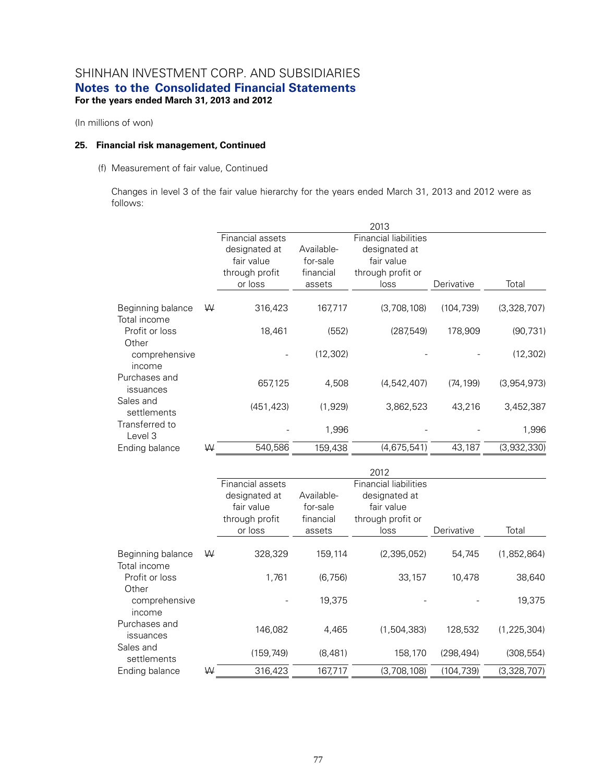(In millions of won)

#### **25. Financial risk management, Continued**

#### (f) Measurement of fair value, Continued

Changes in level 3 of the fair value hierarchy for the years ended March 31, 2013 and 2012 were as follows:

|                                   |   |                  |            | 2013                         |            |             |
|-----------------------------------|---|------------------|------------|------------------------------|------------|-------------|
|                                   |   | Financial assets |            | <b>Financial liabilities</b> |            |             |
|                                   |   | designated at    | Available- | designated at                |            |             |
|                                   |   | fair value       | for-sale   | fair value                   |            |             |
|                                   |   | through profit   | financial  | through profit or            |            |             |
|                                   |   | or loss          | assets     | loss                         | Derivative | Total       |
| Beginning balance<br>Total income | W | 316,423          | 167,717    | (3,708,108)                  | (104, 739) | (3,328,707) |
| Profit or loss                    |   | 18,461           | (552)      | (287,549)                    | 178,909    | (90, 731)   |
| Other<br>comprehensive<br>income  |   |                  | (12, 302)  |                              |            | (12, 302)   |
| Purchases and<br>issuances        |   | 657,125          | 4,508      | (4,542,407)                  | (74, 199)  | (3,954,973) |
| Sales and<br>settlements          |   | (451, 423)       | (1,929)    | 3,862,523                    | 43,216     | 3,452,387   |
| Transferred to<br>Level 3         |   |                  | 1,996      |                              |            | 1,996       |
| Ending balance                    | ₩ | 540,586          | 159,438    | (4,675,541)                  | 43,187     | (3,932,330) |

|                                   |   |                  |            | 2012                         |            |               |
|-----------------------------------|---|------------------|------------|------------------------------|------------|---------------|
|                                   |   | Financial assets |            | <b>Financial liabilities</b> |            |               |
|                                   |   | designated at    | Available- | designated at                |            |               |
|                                   |   | fair value       | for-sale   | fair value                   |            |               |
|                                   |   | through profit   | financial  | through profit or            |            |               |
|                                   |   | or loss          | assets     | loss                         | Derivative | Total         |
| Beginning balance<br>Total income | W | 328,329          | 159,114    | (2,395,052)                  | 54,745     | (1,852,864)   |
| Profit or loss<br>Other           |   | 1.761            | (6, 756)   | 33,157                       | 10,478     | 38,640        |
| comprehensive<br>income           |   |                  | 19,375     |                              |            | 19,375        |
| Purchases and<br>issuances        |   | 146,082          | 4,465      | (1,504,383)                  | 128,532    | (1, 225, 304) |
| Sales and<br>settlements          |   | (159,749)        | (8,481)    | 158,170                      | (298, 494) | (308, 554)    |
| Ending balance                    | ₩ | 316,423          | 167,717    | (3,708,108)                  | (104, 739) | (3,328,707)   |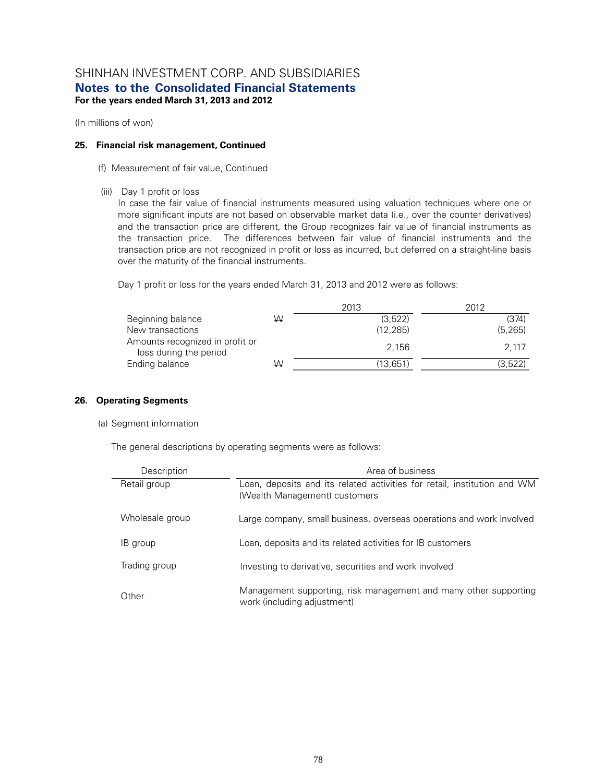(In millions of won)

### **25. Financial risk management, Continued**

- (f) Measurement of fair value, Continued
- (iii) Day 1 profit or loss

In case the fair value of financial instruments measured using valuation techniques where one or more significant inputs are not based on observable market data (i.e., over the counter derivatives) and the transaction price are different, the Group recognizes fair value of financial instruments as the transaction price. The differences between fair value of financial instruments and the transaction price are not recognized in profit or loss as incurred, but deferred on a straight-line basis over the maturity of the financial instruments.

Day 1 profit or loss for the years ended March 31, 2013 and 2012 were as follows:

|                                                           |   | 2013     | 2012     |
|-----------------------------------------------------------|---|----------|----------|
| Beginning balance                                         | W | (3,522)  | (374)    |
| New transactions                                          |   | (12.285) | (5, 265) |
| Amounts recognized in profit or<br>loss during the period |   | 2.156    | 2.117    |
| Ending balance                                            | W | (13,651) | (3,522)  |

### **26. Operating Segments**

#### (a) Segment information

The general descriptions by operating segments were as follows:

| Description     | Area of business                                                                                          |
|-----------------|-----------------------------------------------------------------------------------------------------------|
| Retail group    | Loan, deposits and its related activities for retail, institution and WM<br>(Wealth Management) customers |
| Wholesale group | Large company, small business, overseas operations and work involved                                      |
| IB group        | Loan, deposits and its related activities for IB customers                                                |
| Trading group   | Investing to derivative, securities and work involved                                                     |
| Other           | Management supporting, risk management and many other supporting<br>work (including adjustment)           |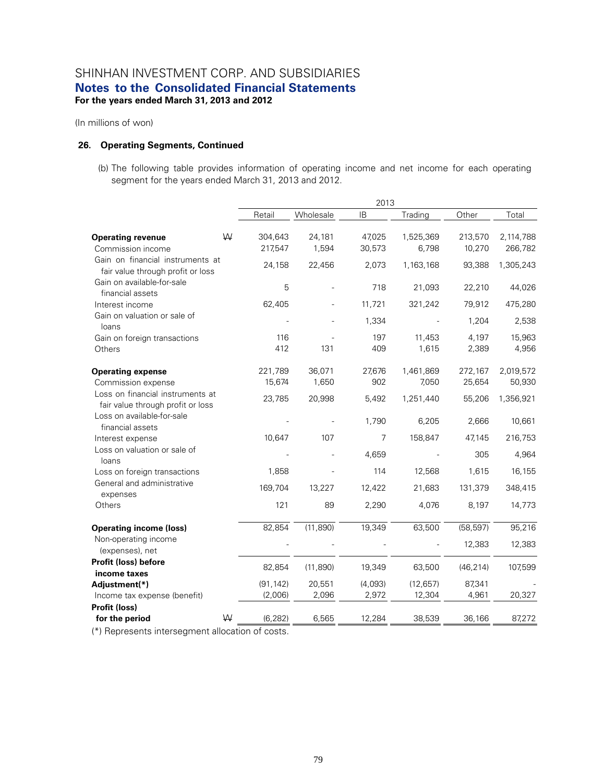(In millions of won)

#### **26. Operating Segments, Continued**

(b) The following table provides information of operating income and net income for each operating segment for the years ended March 31, 2013 and 2012.

|                                                                       |   | 2013               |                 |                  |                    |                   |                      |
|-----------------------------------------------------------------------|---|--------------------|-----------------|------------------|--------------------|-------------------|----------------------|
|                                                                       |   | Retail             | Wholesale       | IB               | Trading            | Other             | Total                |
| <b>Operating revenue</b><br>Commission income                         | W | 304,643<br>217,547 | 24,181<br>1,594 | 47,025<br>30,573 | 1,525,369<br>6,798 | 213,570<br>10,270 | 2,114,788<br>266,782 |
| Gain on financial instruments at<br>fair value through profit or loss |   | 24,158             | 22,456          | 2,073            | 1,163,168          | 93,388            | 1,305,243            |
| Gain on available-for-sale<br>financial assets                        |   | 5                  |                 | 718              | 21,093             | 22,210            | 44,026               |
| Interest income                                                       |   | 62,405             |                 | 11,721           | 321,242            | 79,912            | 475,280              |
| Gain on valuation or sale of<br>loans                                 |   |                    |                 | 1,334            |                    | 1,204             | 2,538                |
| Gain on foreign transactions                                          |   | 116                |                 | 197              | 11,453             | 4,197             | 15,963               |
| Others                                                                |   | 412                | 131             | 409              | 1,615              | 2,389             | 4,956                |
| <b>Operating expense</b>                                              |   | 221,789            | 36,071          | 27,676           | 1,461,869          | 272,167           | 2,019,572            |
| Commission expense                                                    |   | 15,674             | 1,650           | 902              | 7,050              | 25,654            | 50,930               |
| Loss on financial instruments at<br>fair value through profit or loss |   | 23,785             | 20,998          | 5,492            | 1,251,440          | 55,206            | 1,356,921            |
| Loss on available-for-sale<br>financial assets                        |   |                    |                 | 1,790            | 6,205              | 2,666             | 10,661               |
| Interest expense                                                      |   | 10,647             | 107             | $\overline{7}$   | 158,847            | 47,145            | 216,753              |
| Loss on valuation or sale of<br>loans                                 |   |                    |                 | 4,659            |                    | 305               | 4,964                |
| Loss on foreign transactions                                          |   | 1,858              |                 | 114              | 12,568             | 1,615             | 16,155               |
| General and administrative<br>expenses                                |   | 169,704            | 13,227          | 12,422           | 21,683             | 131,379           | 348,415              |
| Others                                                                |   | 121                | 89              | 2,290            | 4,076              | 8,197             | 14,773               |
| <b>Operating income (loss)</b>                                        |   | 82,854             | (11, 890)       | 19,349           | 63,500             | (58, 597)         | 95,216               |
| Non-operating income<br>(expenses), net                               |   |                    |                 |                  |                    | 12,383            | 12,383               |
| <b>Profit (loss) before</b><br>income taxes                           |   | 82,854             | (11, 890)       | 19,349           | 63,500             | (46, 214)         | 107,599              |
| Adjustment(*)                                                         |   | (91, 142)          | 20,551          | (4,093)          | (12, 657)          | 87,341            |                      |
| Income tax expense (benefit)                                          |   | (2,006)            | 2,096           | 2,972            | 12,304             | 4,961             | 20,327               |
| Profit (loss)                                                         | W |                    |                 |                  |                    |                   |                      |
| for the period                                                        |   | (6, 282)           | 6,565           | 12,284           | 38,539             | 36,166            | 87,272               |

(\*) Represents intersegment allocation of costs.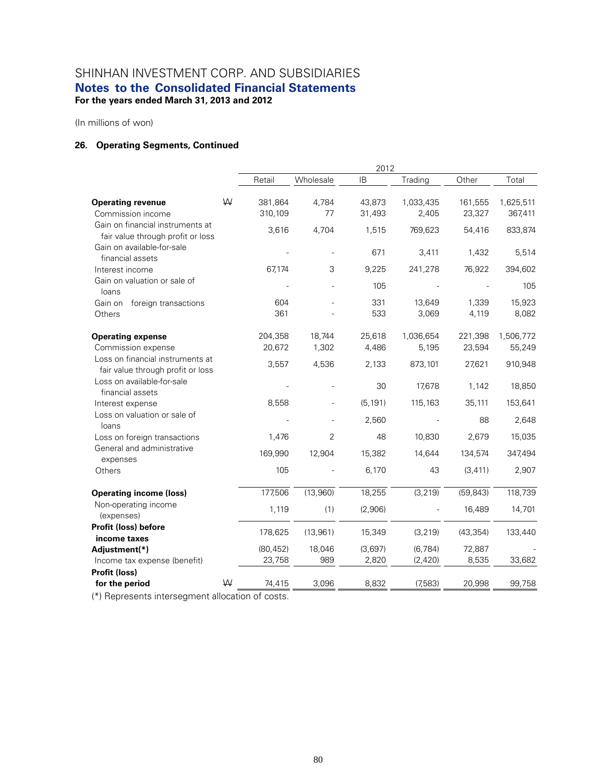(In millions of won)

### **26. Operating Segments, Continued**

|                                                                       |   | 2012               |             |                  |                    |                   |                      |
|-----------------------------------------------------------------------|---|--------------------|-------------|------------------|--------------------|-------------------|----------------------|
|                                                                       |   | Retail             | Wholesale   | <b>IB</b>        | Trading            | Other             | Total                |
| <b>Operating revenue</b><br>Commission income                         | W | 381,864<br>310,109 | 4,784<br>77 | 43,873<br>31,493 | 1,033,435<br>2,405 | 161,555<br>23,327 | 1,625,511<br>367,411 |
| Gain on financial instruments at<br>fair value through profit or loss |   | 3,616              | 4,704       | 1,515            | 769,623            | 54,416            | 833,874              |
| Gain on available-for-sale<br>financial assets                        |   |                    |             | 671              | 3,411              | 1,432             | 5,514                |
| Interest income                                                       |   | 67,174             | 3           | 9,225            | 241,278            | 76,922            | 394,602              |
| Gain on valuation or sale of<br>loans                                 |   |                    |             | 105              |                    |                   | 105                  |
| Gain on<br>foreign transactions                                       |   | 604                |             | 331              | 13,649             | 1,339             | 15,923               |
| Others                                                                |   | 361                |             | 533              | 3,069              | 4,119             | 8,082                |
| <b>Operating expense</b>                                              |   | 204,358            | 18,744      | 25,618           | 1,036,654          | 221,398           | 1,506,772            |
| Commission expense                                                    |   | 20,672             | 1,302       | 4,486            | 5,195              | 23,594            | 55,249               |
| Loss on financial instruments at<br>fair value through profit or loss |   | 3,557              | 4,536       | 2,133            | 873,101            | 27,621            | 910,948              |
| Loss on available-for-sale<br>financial assets                        |   |                    |             | 30               | 17,678             | 1,142             | 18,850               |
| Interest expense                                                      |   | 8,558              |             | (5, 191)         | 115,163            | 35,111            | 153,641              |
| Loss on valuation or sale of<br>loans                                 |   |                    |             | 2,560            |                    | 88                | 2,648                |
| Loss on foreign transactions                                          |   | 1,476              | 2           | 48               | 10,830             | 2,679             | 15,035               |
| General and administrative<br>expenses                                |   | 169,990            | 12,904      | 15,382           | 14,644             | 134,574           | 347,494              |
| Others                                                                |   | 105                |             | 6,170            | 43                 | (3, 411)          | 2,907                |
| <b>Operating income (loss)</b>                                        |   | 177,506            | (13,960)    | 18,255           | (3, 219)           | (59, 843)         | 118,739              |
| Non-operating income<br>(expenses)                                    |   | 1,119              | (1)         | (2,906)          |                    | 16,489            | 14,701               |
| Profit (loss) before<br>income taxes                                  |   | 178,625            | (13,961)    | 15,349           | (3, 219)           | (43, 354)         | 133,440              |
| Adjustment(*)                                                         |   | (80, 452)          | 18,046      | (3,697)          | (6, 784)           | 72,887            |                      |
| Income tax expense (benefit)                                          |   | 23,758             | 989         | 2,820            | (2,420)            | 8,535             | 33,682               |
| Profit (loss)                                                         |   |                    |             |                  |                    |                   |                      |
| for the period                                                        | W | 74,415             | 3,096       | 8,832            | (7,583)            | 20,998            | 99,758               |

(\*) Represents intersegment allocation of costs.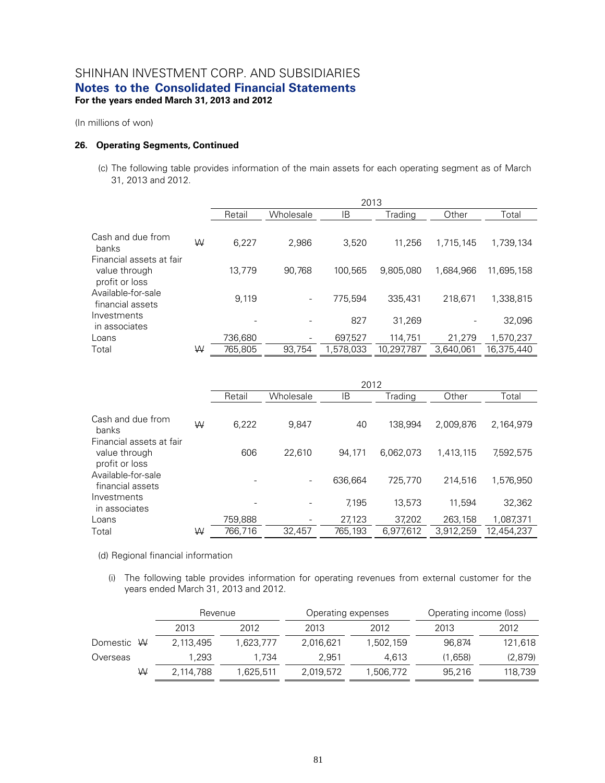(In millions of won)

### **26. Operating Segments, Continued**

(c) The following table provides information of the main assets for each operating segment as of March 31, 2013 and 2012.

|                                                             |   |         |           | 2013      |            |           |            |
|-------------------------------------------------------------|---|---------|-----------|-----------|------------|-----------|------------|
|                                                             |   | Retail  | Wholesale | ΙB        | Trading    | Other     | Total      |
| Cash and due from<br>banks                                  | W | 6,227   | 2.986     | 3.520     | 11.256     | 1.715.145 | 1.739.134  |
| Financial assets at fair<br>value through<br>profit or loss |   | 13.779  | 90.768    | 100.565   | 9.805.080  | 1.684.966 | 11.695.158 |
| Available-for-sale<br>financial assets                      |   | 9,119   |           | 775.594   | 335.431    | 218.671   | 1,338,815  |
| Investments<br>in associates                                |   |         |           | 827       | 31.269     | -         | 32,096     |
| Loans                                                       |   | 736,680 |           | 697,527   | 114,751    | 21,279    | 1,570,237  |
| Total                                                       | W | 765.805 | 93.754    | 1.578.033 | 10.297.787 | 3.640.061 | 16.375.440 |

|                                                             |   |         |           | 2012    |           |           |            |
|-------------------------------------------------------------|---|---------|-----------|---------|-----------|-----------|------------|
|                                                             |   | Retail  | Wholesale | IB      | Trading   | Other     | Total      |
| Cash and due from<br>banks                                  | W | 6,222   | 9.847     | 40      | 138.994   | 2.009.876 | 2,164,979  |
| Financial assets at fair<br>value through<br>profit or loss |   | 606     | 22.610    | 94,171  | 6.062.073 | 1.413.115 | 7,592,575  |
| Available-for-sale<br>financial assets                      |   |         |           | 636.664 | 725.770   | 214.516   | 1.576.950  |
| Investments<br>in associates                                |   |         |           | 7.195   | 13.573    | 11.594    | 32,362     |
| Loans                                                       |   | 759,888 |           | 27,123  | 37,202    | 263,158   | 1,087,371  |
| Total                                                       | W | 766.716 | 32.457    | 765.193 | 6,977,612 | 3.912.259 | 12.454.237 |

(d) Regional financial information

(i) The following table provides information for operating revenues from external customer for the years ended March 31, 2013 and 2012.

|            |           | Revenue   |           | Operating expenses | Operating income (loss) |         |  |
|------------|-----------|-----------|-----------|--------------------|-------------------------|---------|--|
|            | 2013      | 2012      | 2013      | 2012               | 2013                    | 2012    |  |
| Domestic W | 2,113,495 | 1.623.777 | 2.016.621 | 1,502,159          | 96.874                  | 121,618 |  |
| Overseas   | 1.293     | 1.734     | 2.951     | 4.613              | (1,658)                 | (2,879) |  |
| ₩          | 2.114.788 | 1.625.511 | 2,019,572 | 1,506,772          | 95.216                  | 118,739 |  |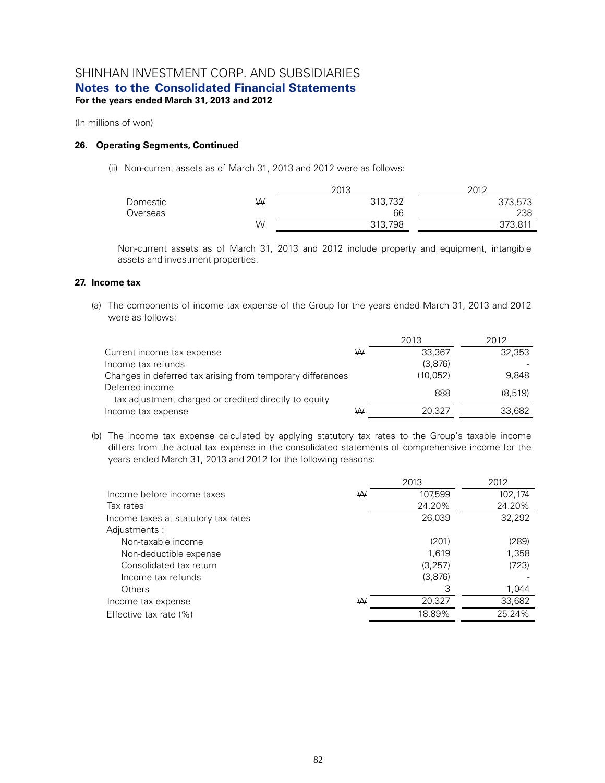(In millions of won)

### **26. Operating Segments, Continued**

(ii) Non-current assets as of March 31, 2013 and 2012 were as follows:

|          |   | 2013    | 2012    |
|----------|---|---------|---------|
| Domestic | W | 313,732 | 373,573 |
| Overseas |   | 66      | 238     |
|          | W | 313,798 | 373,811 |

Non-current assets as of March 31, 2013 and 2012 include property and equipment, intangible assets and investment properties.

### **27. Income tax**

(a) The components of income tax expense of the Group for the years ended March 31, 2013 and 2012 were as follows:

|                                                                          |   | 2013      | 2012    |
|--------------------------------------------------------------------------|---|-----------|---------|
| Current income tax expense                                               | W | 33.367    | 32,353  |
| Income tax refunds                                                       |   | (3.876)   |         |
| Changes in deferred tax arising from temporary differences               |   | (10, 052) | 9.848   |
| Deferred income<br>tax adjustment charged or credited directly to equity |   | 888       | (8.519) |
| Income tax expense                                                       | W | 20.327    | 33,682  |

(b) The income tax expense calculated by applying statutory tax rates to the Group's taxable income differs from the actual tax expense in the consolidated statements of comprehensive income for the years ended March 31, 2013 and 2012 for the following reasons:

|                                     |   | 2013     | 2012    |
|-------------------------------------|---|----------|---------|
| Income before income taxes          | W | 107,599  | 102,174 |
| Tax rates                           |   | 24.20%   | 24.20%  |
| Income taxes at statutory tax rates |   | 26,039   | 32.292  |
| Adjustments:                        |   |          |         |
| Non-taxable income                  |   | (201)    | (289)   |
| Non-deductible expense              |   | 1.619    | 1,358   |
| Consolidated tax return             |   | (3, 257) | (723)   |
| Income tax refunds                  |   | (3,876)  |         |
| Others                              |   | 3        | 1,044   |
| Income tax expense                  | W | 20,327   | 33,682  |
| Effective tax rate $(\%)$           |   | 18.89%   | 25.24%  |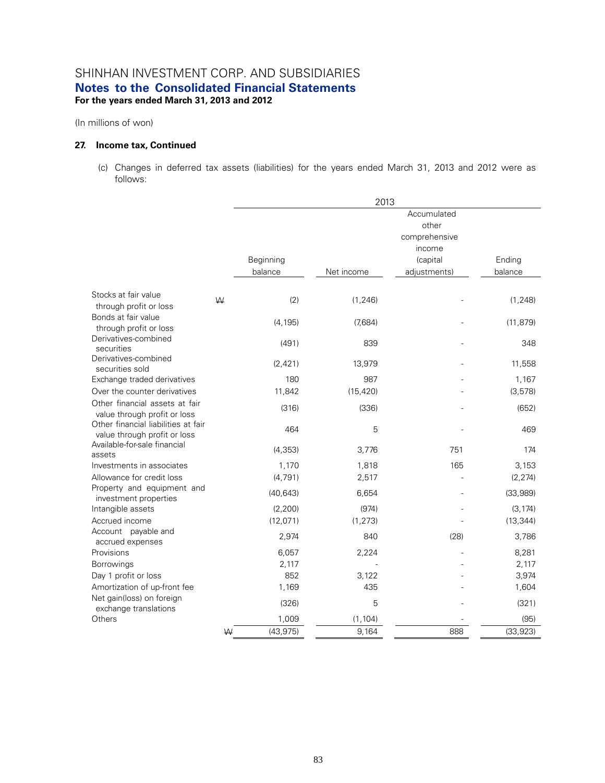(In millions of won)

### **27. Income tax, Continued**

(c) Changes in deferred tax assets (liabilities) for the years ended March 31, 2013 and 2012 were as follows:

|                                                                     |   |           | 2013       |               |           |
|---------------------------------------------------------------------|---|-----------|------------|---------------|-----------|
|                                                                     |   |           |            | Accumulated   |           |
|                                                                     |   |           |            | other         |           |
|                                                                     |   |           |            | comprehensive |           |
|                                                                     |   |           |            | income        |           |
|                                                                     |   | Beginning |            | (capital      | Ending    |
|                                                                     |   | balance   | Net income | adjustments)  | balance   |
| Stocks at fair value                                                |   |           |            |               |           |
| through profit or loss                                              | W | (2)       | (1, 246)   |               | (1, 248)  |
| Bonds at fair value<br>through profit or loss                       |   | (4, 195)  | (7,684)    |               | (11, 879) |
| Derivatives-combined<br>securities                                  |   | (491)     | 839        |               | 348       |
| Derivatives-combined<br>securities sold                             |   | (2,421)   | 13,979     |               | 11,558    |
| Exchange traded derivatives                                         |   | 180       | 987        |               | 1,167     |
| Over the counter derivatives                                        |   | 11,842    | (15, 420)  |               | (3, 578)  |
| Other financial assets at fair<br>value through profit or loss      |   | (316)     | (336)      |               | (652)     |
| Other financial liabilities at fair<br>value through profit or loss |   | 464       | 5          |               | 469       |
| Available-for-sale financial<br>assets                              |   | (4,353)   | 3,776      | 751           | 174       |
| Investments in associates                                           |   | 1,170     | 1,818      | 165           | 3,153     |
| Allowance for credit loss                                           |   | (4, 791)  | 2,517      |               | (2, 274)  |
| Property and equipment and<br>investment properties                 |   | (40, 643) | 6,654      |               | (33,989)  |
| Intangible assets                                                   |   | (2, 200)  | (974)      |               | (3, 174)  |
| Accrued income                                                      |   | (12,071)  | (1, 273)   |               | (13, 344) |
| Account payable and<br>accrued expenses                             |   | 2,974     | 840        | (28)          | 3,786     |
| Provisions                                                          |   | 6,057     | 2,224      |               | 8,281     |
| Borrowings                                                          |   | 2,117     |            |               | 2,117     |
| Day 1 profit or loss                                                |   | 852       | 3,122      |               | 3,974     |
| Amortization of up-front fee                                        |   | 1,169     | 435        |               | 1,604     |
| Net gain(loss) on foreign<br>exchange translations                  |   | (326)     | 5          |               | (321)     |
| Others                                                              |   | 1,009     | (1, 104)   |               | (95)      |
|                                                                     | W | (43, 975) | 9,164      | 888           | (33, 923) |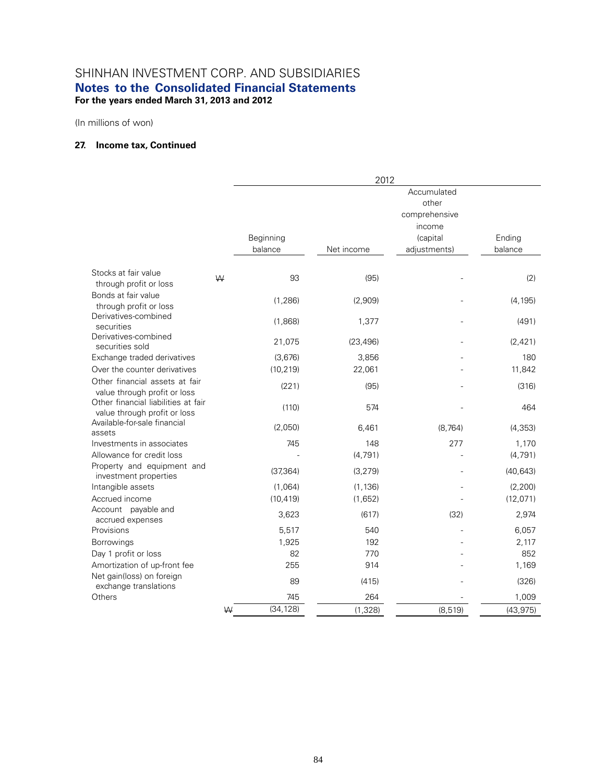(In millions of won)

### **27. Income tax, Continued**

|                                                                                                |   |                      | 2012                |                                       |                     |
|------------------------------------------------------------------------------------------------|---|----------------------|---------------------|---------------------------------------|---------------------|
|                                                                                                |   |                      |                     | Accumulated<br>other<br>comprehensive |                     |
|                                                                                                |   | Beginning<br>balance | Net income          | income<br>(capital<br>adjustments)    | Ending<br>balance   |
| Stocks at fair value<br>through profit or loss                                                 | W | 93                   | (95)                |                                       | (2)                 |
| Bonds at fair value<br>through profit or loss                                                  |   | (1, 286)             | (2,909)             |                                       | (4, 195)            |
| Derivatives-combined<br>securities                                                             |   | (1,868)              | 1,377               |                                       | (491)               |
| Derivatives-combined<br>securities sold                                                        |   | 21,075               | (23, 496)           |                                       | (2, 421)            |
| Exchange traded derivatives                                                                    |   | (3,676)              | 3,856               |                                       | 180                 |
| Over the counter derivatives<br>Other financial assets at fair<br>value through profit or loss |   | (10, 219)<br>(221)   | 22,061<br>(95)      |                                       | 11,842<br>(316)     |
| Other financial liabilities at fair<br>value through profit or loss                            |   | (110)                | 574                 |                                       | 464                 |
| Available-for-sale financial<br>assets                                                         |   | (2,050)              | 6,461               | (8, 764)                              | (4, 353)            |
| Investments in associates<br>Allowance for credit loss                                         |   | 745                  | 148<br>(4, 791)     | 277                                   | 1,170<br>(4, 791)   |
| Property and equipment and<br>investment properties                                            |   | (37, 364)            | (3, 279)            |                                       | (40, 643)           |
| Intangible assets<br>Accrued income                                                            |   | (1,064)<br>(10, 419) | (1, 136)<br>(1,652) |                                       | (2,200)<br>(12,071) |
| Account payable and<br>accrued expenses                                                        |   | 3,623                | (617)               | (32)                                  | 2,974               |
| Provisions                                                                                     |   | 5,517                | 540                 |                                       | 6,057               |
| Borrowings                                                                                     |   | 1,925                | 192                 |                                       | 2,117               |
| Day 1 profit or loss                                                                           |   | 82                   | 770                 |                                       | 852                 |
| Amortization of up-front fee<br>Net gain(loss) on foreign<br>exchange translations             |   | 255<br>89            | 914<br>(415)        |                                       | 1,169<br>(326)      |
| Others                                                                                         |   | 745                  | 264                 |                                       | 1,009               |
|                                                                                                | W | (34, 128)            | (1, 328)            | (8, 519)                              | (43, 975)           |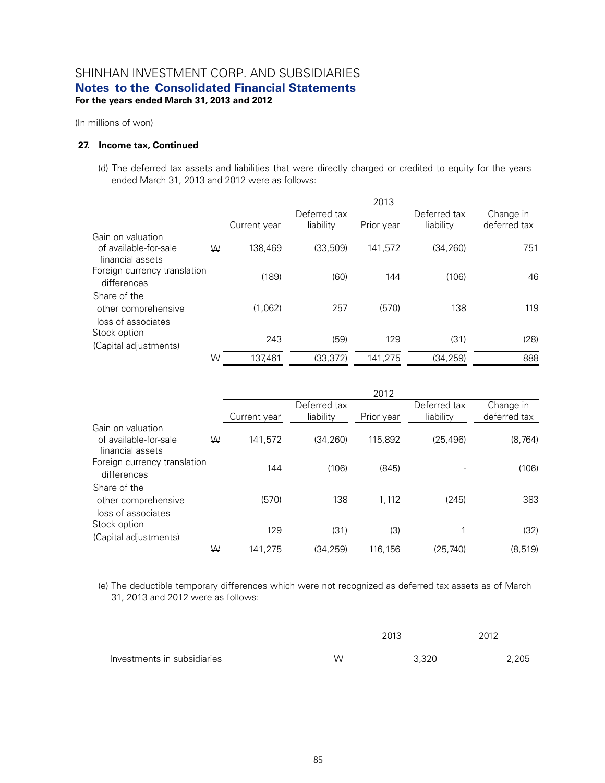(In millions of won)

#### **27. Income tax, Continued**

(d) The deferred tax assets and liabilities that were directly charged or credited to equity for the years ended March 31, 2013 and 2012 were as follows:

|                                            |   |              |              | 2013       |              |              |
|--------------------------------------------|---|--------------|--------------|------------|--------------|--------------|
|                                            |   |              | Deferred tax |            | Deferred tax | Change in    |
|                                            |   | Current year | liability    | Prior year | liability    | deferred tax |
| Gain on valuation<br>of available-for-sale | W | 138.469      | (33, 509)    | 141.572    | (34, 260)    | 751          |
| financial assets                           |   |              |              |            |              |              |
| Foreign currency translation               |   | (189)        | (60)         | 144        | (106)        | 46           |
| differences                                |   |              |              |            |              |              |
| Share of the                               |   |              |              |            |              |              |
| other comprehensive<br>loss of associates  |   | (1,062)      | 257          | (570)      | 138          | 119          |
| Stock option                               |   | 243          | (59)         | 129        | (31)         |              |
| (Capital adjustments)                      |   |              |              |            |              | (28)         |
|                                            | ₩ | 137.461      | (33.372)     | 141,275    | (34, 259)    | 888          |

|                              |   |              |              | 2012       |              |              |
|------------------------------|---|--------------|--------------|------------|--------------|--------------|
|                              |   |              | Deferred tax |            | Deferred tax | Change in    |
|                              |   | Current year | liability    | Prior year | liability    | deferred tax |
| Gain on valuation            |   |              |              |            |              |              |
| of available-for-sale        | W | 141,572      | (34.260)     | 115,892    | (25, 496)    | (8, 764)     |
| financial assets             |   |              |              |            |              |              |
| Foreign currency translation |   | 144          | (106)        | (845)      |              | (106)        |
| differences                  |   |              |              |            |              |              |
| Share of the                 |   |              |              |            |              |              |
| other comprehensive          |   | (570)        | 138          | 1.112      | (245)        | 383          |
| loss of associates           |   |              |              |            |              |              |
| Stock option                 |   |              |              |            |              |              |
| (Capital adjustments)        |   | 129          | (31)         | (3)        |              | (32)         |
|                              | W | 141,275      | (34.259)     | 116,156    | (25.740)     | (8, 519)     |

(e) The deductible temporary differences which were not recognized as deferred tax assets as of March 31, 2013 and 2012 were as follows:

|                             |   | 2013  | 2012  |  |
|-----------------------------|---|-------|-------|--|
| Investments in subsidiaries | W | 3,320 | 2,205 |  |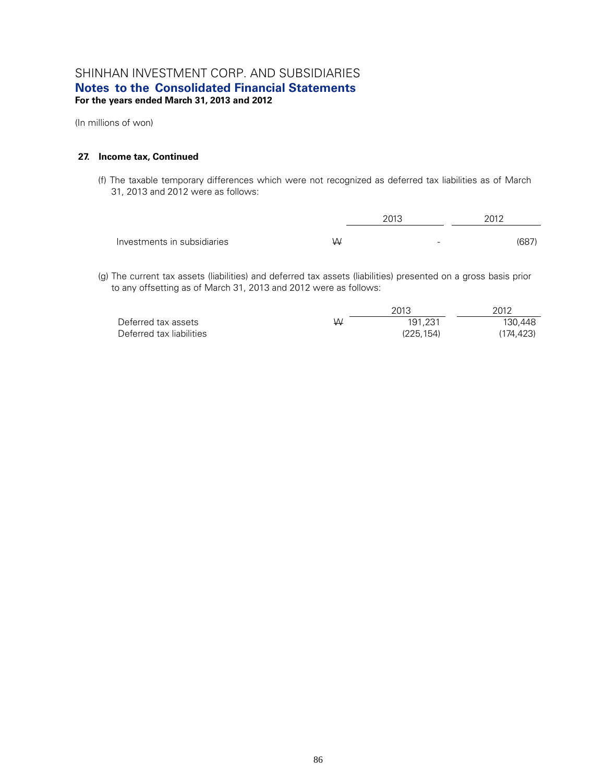(In millions of won)

#### **27. Income tax, Continued**

(f) The taxable temporary differences which were not recognized as deferred tax liabilities as of March 31, 2013 and 2012 were as follows:

|                             |   | 2013 | 2012 |       |
|-----------------------------|---|------|------|-------|
| Investments in subsidiaries | W | -    |      | (687) |

(g) The current tax assets (liabilities) and deferred tax assets (liabilities) presented on a gross basis prior to any offsetting as of March 31, 2013 and 2012 were as follows:

|                          |   | 2013      | 2012      |
|--------------------------|---|-----------|-----------|
| Deferred tax assets      | W | 191.231   | 130.448   |
| Deferred tax liabilities |   | (225.154) | (174.423) |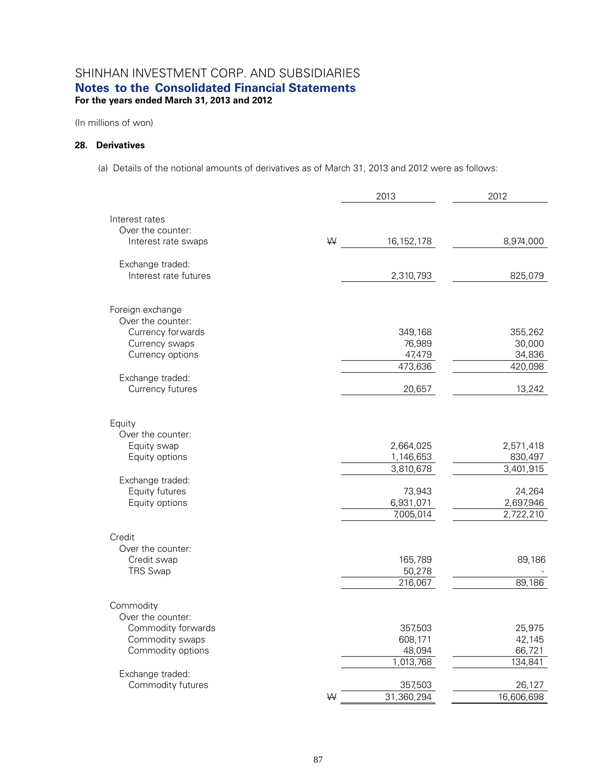(In millions of won)

### **28. Derivatives**

(a) Details of the notional amounts of derivatives as of March 31, 2013 and 2012 were as follows:

|                                  |   | 2013                  | 2012                 |
|----------------------------------|---|-----------------------|----------------------|
| Interest rates                   |   |                       |                      |
| Over the counter:                |   |                       |                      |
| Interest rate swaps              | W | 16, 152, 178          | 8,974,000            |
| Exchange traded:                 |   |                       |                      |
| Interest rate futures            |   | 2,310,793             | 825,079              |
| Foreign exchange                 |   |                       |                      |
| Over the counter:                |   |                       |                      |
| Currency forwards                |   | 349,168               | 355,262              |
| Currency swaps                   |   | 76,989                | 30,000               |
| Currency options                 |   | 47,479                | 34,836               |
|                                  |   | 473,636               | 420,098              |
| Exchange traded:                 |   |                       |                      |
| Currency futures                 |   | 20,657                | 13,242               |
| Equity                           |   |                       |                      |
| Over the counter:                |   |                       |                      |
| Equity swap                      |   | 2,664,025             | 2,571,418            |
| Equity options                   |   | 1,146,653             | 830,497              |
|                                  |   | 3,810,678             | 3,401,915            |
| Exchange traded:                 |   |                       |                      |
| Equity futures<br>Equity options |   | 73,943<br>6,931,071   | 24,264<br>2,697,946  |
|                                  |   | 7,005,014             | 2,722,210            |
|                                  |   |                       |                      |
| Credit                           |   |                       |                      |
| Over the counter:                |   |                       |                      |
| Credit swap                      |   | 165,789               | 89,186               |
| <b>TRS Swap</b>                  |   | 50,278                |                      |
|                                  |   | 216,067               | 89,186               |
| Commodity                        |   |                       |                      |
| Over the counter:                |   |                       |                      |
| Commodity forwards               |   | 357,503               | 25,975               |
| Commodity swaps                  |   | 608,171               | 42,145               |
| Commodity options                |   | 48,094                | 66,721               |
|                                  |   | 1,013,768             | 134,841              |
| Exchange traded:                 |   |                       |                      |
| Commodity futures                | W | 357,503<br>31,360,294 | 26,127<br>16,606,698 |
|                                  |   |                       |                      |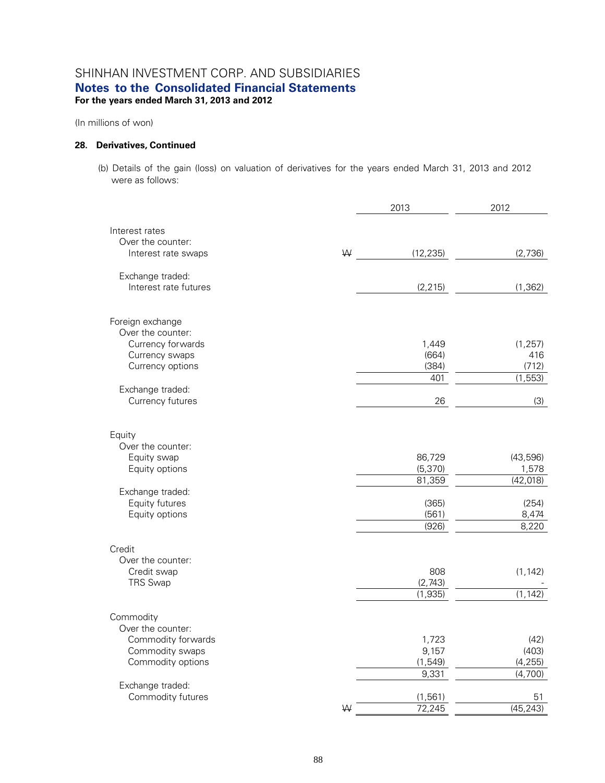(In millions of won)

### **28. Derivatives, Continued**

(b) Details of the gain (loss) on valuation of derivatives for the years ended March 31, 2013 and 2012 were as follows:

|                                       |   | 2013      | 2012                |
|---------------------------------------|---|-----------|---------------------|
| Interest rates                        |   |           |                     |
| Over the counter:                     |   |           |                     |
| Interest rate swaps                   | W | (12, 235) | (2,736)             |
| Exchange traded:                      |   |           |                     |
| Interest rate futures                 |   | (2, 215)  | (1, 362)            |
| Foreign exchange                      |   |           |                     |
| Over the counter:                     |   |           |                     |
| Currency forwards                     |   | 1,449     | (1, 257)            |
| Currency swaps                        |   | (664)     | 416                 |
| Currency options                      |   | (384)     | (712)               |
|                                       |   | 401       | (1, 553)            |
| Exchange traded:                      |   |           |                     |
| Currency futures                      |   | 26        | (3)                 |
| Equity                                |   |           |                     |
| Over the counter:                     |   |           |                     |
| Equity swap                           |   | 86,729    | (43,596)            |
| Equity options                        |   | (5,370)   | 1,578               |
|                                       |   | 81,359    | (42, 018)           |
| Exchange traded:                      |   |           |                     |
| Equity futures                        |   | (365)     | (254)               |
| Equity options                        |   | (561)     | 8,474               |
|                                       |   | (926)     | 8,220               |
| Credit                                |   |           |                     |
| Over the counter:                     |   |           |                     |
| Credit swap                           |   | 808       | (1, 142)            |
| <b>TRS Swap</b>                       |   | (2,743)   |                     |
|                                       |   | (1,935)   | (1, 142)            |
| Commodity                             |   |           |                     |
| Over the counter:                     |   |           |                     |
| Commodity forwards                    |   | 1,723     | (42)                |
| Commodity swaps                       |   | 9,157     | (403)               |
| Commodity options                     |   | (1, 549)  | (4, 255)<br>(4,700) |
|                                       |   | 9,331     |                     |
| Exchange traded:<br>Commodity futures |   | (1, 561)  | 51                  |
|                                       | W | 72,245    | (45, 243)           |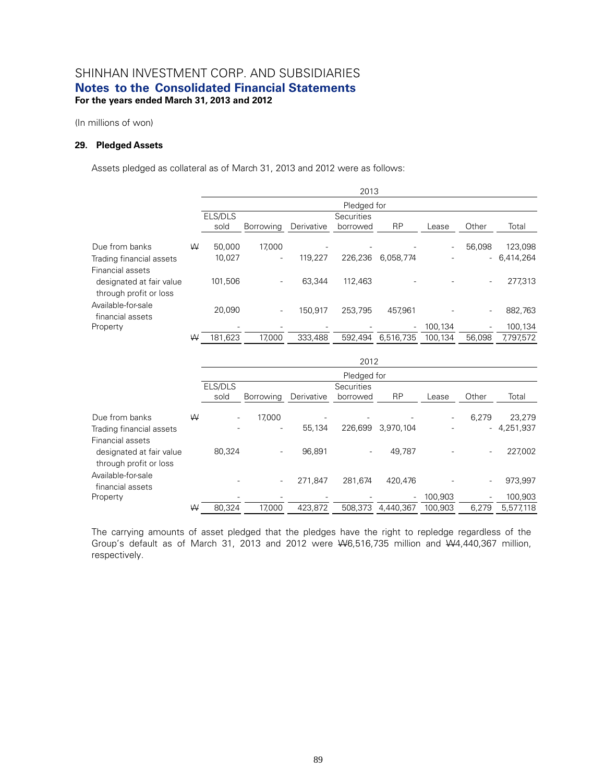(In millions of won)

#### **29. Pledged Assets**

Assets pledged as collateral as of March 31, 2013 and 2012 were as follows:

|                                                                        |   | 2013            |                  |            |                               |           |                          |        |              |
|------------------------------------------------------------------------|---|-----------------|------------------|------------|-------------------------------|-----------|--------------------------|--------|--------------|
|                                                                        |   |                 |                  |            | Pledged for                   |           |                          |        |              |
|                                                                        |   | ELS/DLS<br>sold | <b>Borrowing</b> | Derivative | <b>Securities</b><br>borrowed | <b>RP</b> | Lease                    | Other  | Total        |
| Due from banks                                                         | W | 50.000          | 17.000           |            |                               |           | $\overline{\phantom{a}}$ | 56.098 | 123,098      |
| Trading financial assets                                               |   | 10.027          | -                | 119.227    | 226.236                       | 6.058.774 |                          |        | $-6.414.264$ |
| Financial assets<br>designated at fair value<br>through profit or loss |   | 101.506         |                  | 63.344     | 112.463                       |           |                          | ٠      | 277,313      |
| Available-for-sale<br>financial assets                                 |   | 20.090          | ٠                | 150.917    | 253.795                       | 457.961   |                          | ٠      | 882,763      |
| Property                                                               |   |                 |                  |            |                               | ٠         | 100,134                  |        | 100,134      |
|                                                                        | W | 181,623         | 17.000           | 333,488    | 592.494                       | 6,516,735 | 100.134                  | 56.098 | 7,797,572    |

|                                                                        |   |         | 2012        |            |                          |           |                          |       |              |  |
|------------------------------------------------------------------------|---|---------|-------------|------------|--------------------------|-----------|--------------------------|-------|--------------|--|
|                                                                        |   |         | Pledged for |            |                          |           |                          |       |              |  |
|                                                                        |   | ELS/DLS |             |            | <b>Securities</b>        |           |                          |       |              |  |
|                                                                        |   | sold    | Borrowing   | Derivative | borrowed                 | <b>RP</b> | Lease                    | Other | Total        |  |
| Due from banks                                                         | ₩ | ۰.      | 17.000      | -          |                          |           | $\overline{\phantom{a}}$ | 6,279 | 23,279       |  |
| Trading financial assets                                               |   |         | ۰           | 55,134     | 226.699                  | 3.970.104 |                          |       | $-4,251,937$ |  |
| Financial assets<br>designated at fair value<br>through profit or loss |   | 80,324  | ٠           | 96.891     | $\overline{\phantom{a}}$ | 49.787    |                          | ٠     | 227,002      |  |
| Available-for-sale<br>financial assets                                 |   |         | $\sim$      | 271.847    | 281.674                  | 420.476   |                          | ۰.    | 973,997      |  |
| Property                                                               |   |         |             |            |                          | ۰.        | 100,903                  | ٠     | 100,903      |  |
|                                                                        | W | 80.324  | 17.000      | 423.872    | 508.373                  | 4.440.367 | 100.903                  | 6.279 | 5,577,118    |  |

The carrying amounts of asset pledged that the pledges have the right to repledge regardless of the Group's default as of March 31, 2013 and 2012 were W6,516,735 million and W4,440,367 million, respectively.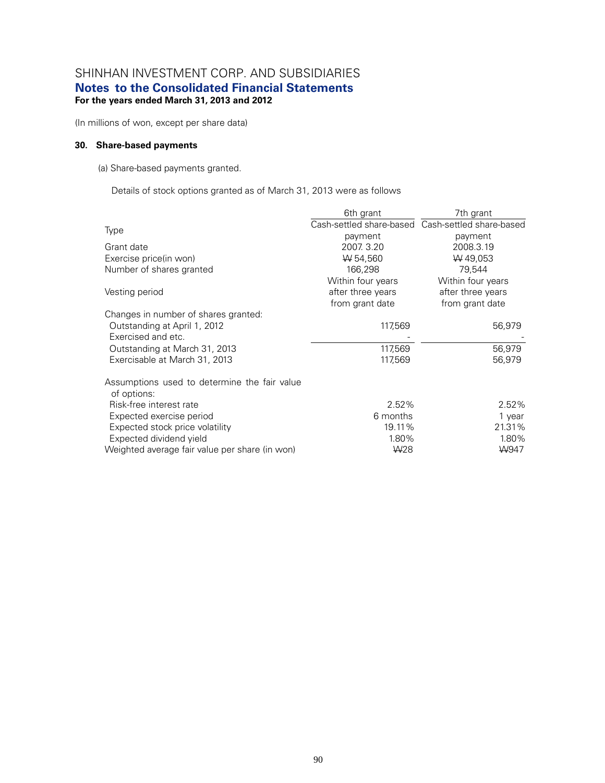# SHINHAN INVESTMENT CORP. AND SUBSIDIARIES

# **Notes to the Consolidated Financial Statements**

# **For the years ended March 31, 2013 and 2012**

(In millions of won, except per share data)

### **30. Share-based payments**

(a) Share-based payments granted.

Details of stock options granted as of March 31, 2013 were as follows

|                                                             | 6th grant         | 7th grant                                         |
|-------------------------------------------------------------|-------------------|---------------------------------------------------|
|                                                             |                   | Cash-settled share-based Cash-settled share-based |
| Type                                                        | payment           | payment                                           |
| Grant date                                                  | 2007. 3.20        | 2008.3.19                                         |
| Exercise price(in won)                                      | W 54,560          | W 49,053                                          |
| Number of shares granted                                    | 166,298           | 79,544                                            |
|                                                             | Within four years | Within four years                                 |
| Vesting period                                              | after three years | after three years                                 |
|                                                             | from grant date   | from grant date                                   |
| Changes in number of shares granted:                        |                   |                                                   |
| Outstanding at April 1, 2012                                | 117,569           | 56,979                                            |
| Exercised and etc.                                          |                   |                                                   |
| Outstanding at March 31, 2013                               | 117,569           | 56,979                                            |
| Exercisable at March 31, 2013                               | 117,569           | 56,979                                            |
| Assumptions used to determine the fair value<br>of options: |                   |                                                   |
| Risk-free interest rate                                     | 2.52%             | 2.52%                                             |
| Expected exercise period                                    | 6 months          | 1 year                                            |
| Expected stock price volatility                             | 19.11%            | 21.31%                                            |
| Expected dividend yield                                     | 1.80%             | 1.80%                                             |
| Weighted average fair value per share (in won)              | W <sub>28</sub>   | W947                                              |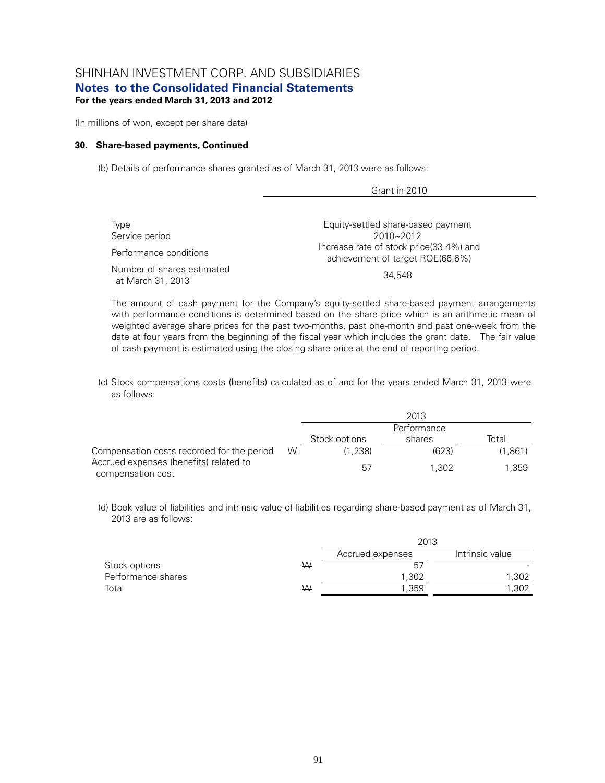(In millions of won, except per share data)

#### **30. Share-based payments, Continued**

(b) Details of performance shares granted as of March 31, 2013 were as follows:

| Type<br>Service period                          | Equity-settled share-based payment<br>$2010 - 2012$                         |
|-------------------------------------------------|-----------------------------------------------------------------------------|
| Performance conditions                          | Increase rate of stock price(33.4%) and<br>achievement of target ROE(66.6%) |
| Number of shares estimated<br>at March 31, 2013 | 34.548                                                                      |

Grant in 2010

The amount of cash payment for the Company's equity-settled share-based payment arrangements with performance conditions is determined based on the share price which is an arithmetic mean of weighted average share prices for the past two-months, past one-month and past one-week from the date at four years from the beginning of the fiscal year which includes the grant date. The fair value of cash payment is estimated using the closing share price at the end of reporting period.

(c) Stock compensations costs (benefits) calculated as of and for the years ended March 31, 2013 were as follows:

|                                                             |   |               | 2013        |         |
|-------------------------------------------------------------|---|---------------|-------------|---------|
|                                                             |   |               | Performance |         |
|                                                             |   | Stock options | shares      | Total   |
| Compensation costs recorded for the period                  | W | (1.238)       | (623)       | (1,861) |
| Accrued expenses (benefits) related to<br>compensation cost |   | 57            | 1.302       | 1.359   |

(d) Book value of liabilities and intrinsic value of liabilities regarding share-based payment as of March 31, 2013 are as follows:

|                    |   | 2013             |                 |
|--------------------|---|------------------|-----------------|
|                    |   | Accrued expenses | Intrinsic value |
| Stock options      | W | 5.               |                 |
| Performance shares |   | 1,302            | 1,302           |
| Total              | W | 1.359            | 1,302           |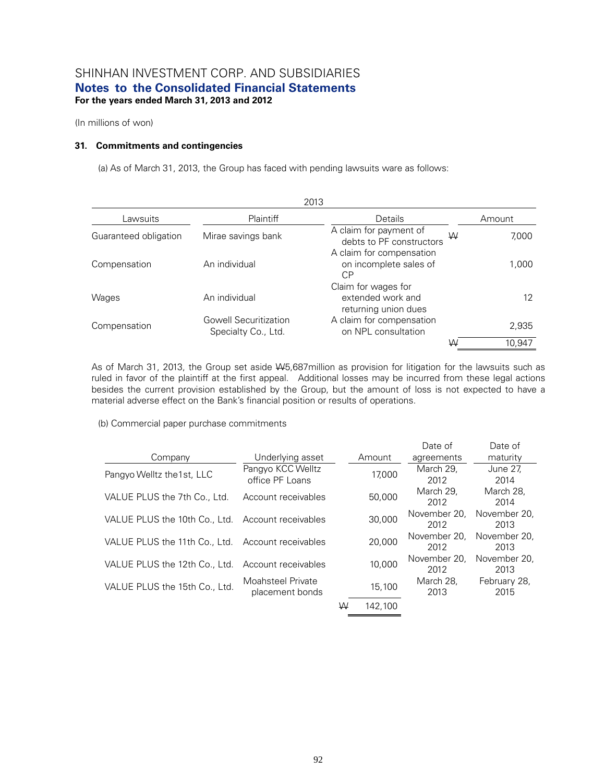(In millions of won)

### **31. Commitments and contingencies**

(a) As of March 31, 2013, the Group has faced with pending lawsuits ware as follows:

| 2013                  |                                                     |                                                                  |  |        |  |
|-----------------------|-----------------------------------------------------|------------------------------------------------------------------|--|--------|--|
| Lawsuits              | Plaintiff                                           | Details                                                          |  | Amount |  |
| Guaranteed obligation | Mirae savings bank                                  | A claim for payment of<br>W<br>debts to PF constructors          |  | 7,000  |  |
| Compensation          | An individual                                       | A claim for compensation<br>on incomplete sales of<br>СP         |  | 1,000  |  |
| Wages                 | An individual                                       | Claim for wages for<br>extended work and<br>returning union dues |  | 12     |  |
| Compensation          | <b>Gowell Securitization</b><br>Specialty Co., Ltd. | A claim for compensation<br>on NPL consultation                  |  | 2,935  |  |
|                       |                                                     | W                                                                |  | 10.947 |  |

As of March 31, 2013, the Group set aside W5,687million as provision for litigation for the lawsuits such as ruled in favor of the plaintiff at the first appeal. Additional losses may be incurred from these legal actions besides the current provision established by the Group, but the amount of loss is not expected to have a material adverse effect on the Bank's financial position or results of operations.

(b) Commercial paper purchase commitments

|                                                   |                     |        |         | Date of      | Date of      |
|---------------------------------------------------|---------------------|--------|---------|--------------|--------------|
| Company                                           | Underlying asset    |        | Amount  | agreements   | maturity     |
| Pangyo Welltz the 1st, LLC                        | Pangyo KCC Welltz   |        | 17,000  | March 29,    | June 27,     |
|                                                   | office PF Loans     |        |         | 2012         | 2014         |
| VALUE PLUS the 7th Co., Ltd.                      | Account receivables |        | 50,000  | March 29.    | March 28.    |
|                                                   |                     |        |         | 2012         | 2014         |
|                                                   |                     |        |         | November 20. | November 20, |
| VALUE PLUS the 10th Co., Ltd.                     | Account receivables | 30,000 |         | 2012         | 2013         |
|                                                   |                     |        | 20,000  | November 20. | November 20, |
| VALUE PLUS the 11th Co., Ltd. Account receivables |                     |        |         | 2012         | 2013         |
|                                                   |                     |        |         | November 20, | November 20, |
| VALUE PLUS the 12th Co., Ltd.                     | Account receivables |        | 10,000  | 2012         | 2013         |
|                                                   | Moahsteel Private   |        |         | March 28,    | February 28, |
| VALUE PLUS the 15th Co., Ltd.                     | placement bonds     |        | 15,100  | 2013         | 2015         |
|                                                   |                     | W      | 142.100 |              |              |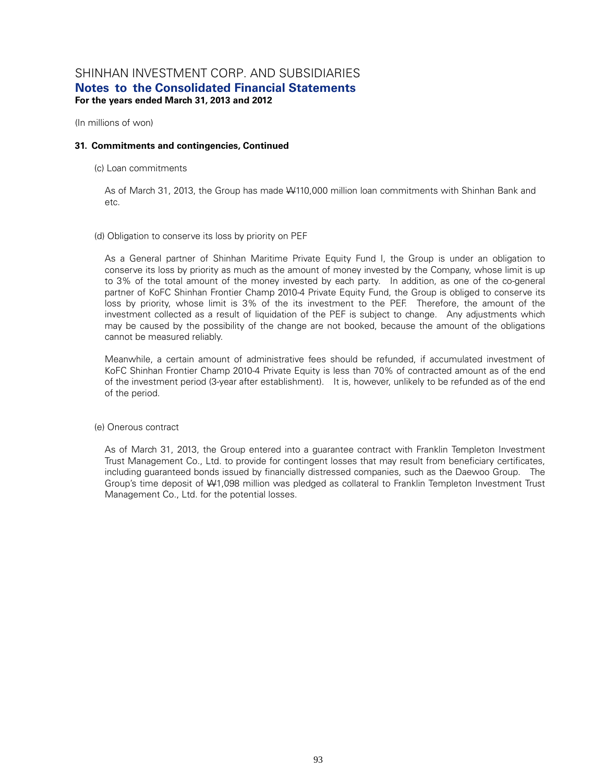(In millions of won)

### **31. Commitments and contingencies, Continued**

(c) Loan commitments

As of March 31, 2013, the Group has made W110,000 million loan commitments with Shinhan Bank and etc.

#### (d) Obligation to conserve its loss by priority on PEF

As a General partner of Shinhan Maritime Private Equity Fund I, the Group is under an obligation to conserve its loss by priority as much as the amount of money invested by the Company, whose limit is up to 3% of the total amount of the money invested by each party. In addition, as one of the co-general partner of KoFC Shinhan Frontier Champ 2010-4 Private Equity Fund, the Group is obliged to conserve its loss by priority, whose limit is 3% of the its investment to the PEF. Therefore, the amount of the investment collected as a result of liquidation of the PEF is subject to change. Any adjustments which may be caused by the possibility of the change are not booked, because the amount of the obligations cannot be measured reliably.

Meanwhile, a certain amount of administrative fees should be refunded, if accumulated investment of KoFC Shinhan Frontier Champ 2010-4 Private Equity is less than 70% of contracted amount as of the end of the investment period (3-year after establishment). It is, however, unlikely to be refunded as of the end of the period.

### (e) Onerous contract

As of March 31, 2013, the Group entered into a guarantee contract with Franklin Templeton Investment Trust Management Co., Ltd. to provide for contingent losses that may result from beneficiary certificates, including guaranteed bonds issued by financially distressed companies, such as the Daewoo Group. The Group's time deposit of W1,098 million was pledged as collateral to Franklin Templeton Investment Trust Management Co., Ltd. for the potential losses.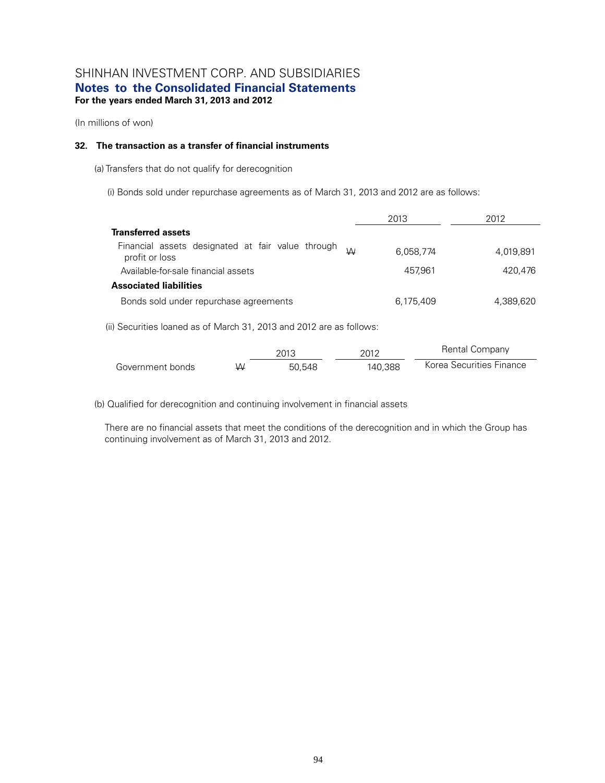(In millions of won)

### **32. The transaction as a transfer of financial instruments**

(a) Transfers that do not qualify for derecognition

(i) Bonds sold under repurchase agreements as of March 31, 2013 and 2012 are as follows:

|                                                                          | 2013      | 2012      |
|--------------------------------------------------------------------------|-----------|-----------|
| <b>Transferred assets</b>                                                |           |           |
| Financial assets designated at fair value through<br>W<br>profit or loss | 6,058,774 | 4.019.891 |
| Available-for-sale financial assets                                      | 457.961   | 420.476   |
| <b>Associated liabilities</b>                                            |           |           |
| Bonds sold under repurchase agreements                                   | 6.175.409 | 4.389.620 |

(ii) Securities loaned as of March 31, 2013 and 2012 are as follows:

|                  |   | 2013   | 2012    | Rental Company           |
|------------------|---|--------|---------|--------------------------|
| Government bonds | W | 50.548 | 140.388 | Korea Securities Finance |

(b) Qualified for derecognition and continuing involvement in financial assets

There are no financial assets that meet the conditions of the derecognition and in which the Group has continuing involvement as of March 31, 2013 and 2012.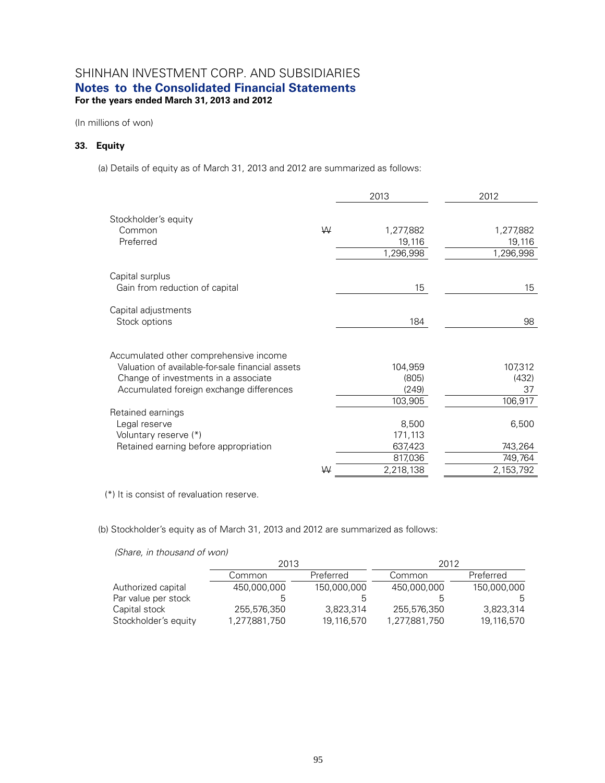(In millions of won)

### **33. Equity**

(a) Details of equity as of March 31, 2013 and 2012 are summarized as follows:

|                                                  |   | 2013      | 2012             |
|--------------------------------------------------|---|-----------|------------------|
| Stockholder's equity                             |   |           |                  |
| Common                                           | W | 1,277,882 | 1,277,882        |
| Preferred                                        |   | 19,116    | 19,116           |
|                                                  |   | 1,296,998 | 1,296,998        |
| Capital surplus                                  |   |           |                  |
| Gain from reduction of capital                   |   | 15        | 15 <sup>15</sup> |
| Capital adjustments                              |   |           |                  |
| Stock options                                    |   | 184       | 98               |
|                                                  |   |           |                  |
| Accumulated other comprehensive income           |   |           |                  |
| Valuation of available-for-sale financial assets |   | 104,959   | 107,312          |
| Change of investments in a associate             |   | (805)     | (432)            |
| Accumulated foreign exchange differences         |   | (249)     | 37               |
|                                                  |   | 103,905   | 106,917          |
| Retained earnings                                |   |           |                  |
| Legal reserve                                    |   | 8,500     | 6,500            |
| Voluntary reserve (*)                            |   | 171,113   |                  |
| Retained earning before appropriation            |   | 637,423   | 743,264          |
|                                                  |   | 817,036   | 749,764          |
|                                                  | W | 2,218,138 | 2,153,792        |

(\*) It is consist of revaluation reserve.

(b) Stockholder's equity as of March 31, 2013 and 2012 are summarized as follows:

*(Share, in thousand of won)*

|                      | 2013          |             | 2012          |             |
|----------------------|---------------|-------------|---------------|-------------|
|                      | Common        | Preferred   | Common        | Preferred   |
| Authorized capital   | 450,000,000   | 150,000,000 | 450,000,000   | 150,000,000 |
| Par value per stock  |               | .n          |               | 5           |
| Capital stock        | 255,576,350   | 3,823,314   | 255,576,350   | 3,823,314   |
| Stockholder's equity | 1,277,881,750 | 19,116,570  | 1,277,881,750 | 19,116,570  |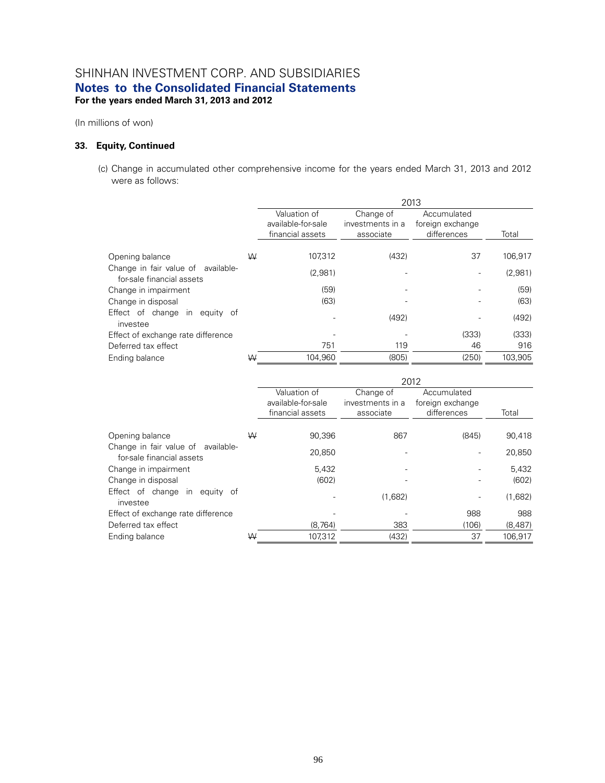(In millions of won)

### **33. Equity, Continued**

(c) Change in accumulated other comprehensive income for the years ended March 31, 2013 and 2012 were as follows:

|                                                                    |   | 2013                                                   |                                            |                                                |         |
|--------------------------------------------------------------------|---|--------------------------------------------------------|--------------------------------------------|------------------------------------------------|---------|
|                                                                    |   | Valuation of<br>available-for-sale<br>financial assets | Change of<br>investments in a<br>associate | Accumulated<br>foreign exchange<br>differences | Total   |
| Opening balance                                                    | W | 107.312                                                | (432)                                      | 37                                             | 106,917 |
| Change in fair value of<br>available-<br>for-sale financial assets |   | (2,981)                                                |                                            |                                                | (2,981) |
| Change in impairment                                               |   | (59)                                                   |                                            |                                                | (59)    |
| Change in disposal                                                 |   | (63)                                                   |                                            |                                                | (63)    |
| Effect of change<br>in<br>equity of<br>investee                    |   |                                                        | (492)                                      |                                                | (492)   |
| Effect of exchange rate difference                                 |   |                                                        |                                            | (333)                                          | (333)   |
| Deferred tax effect                                                |   | 751                                                    | 119                                        | 46                                             | 916     |
| Ending balance                                                     | ₩ | 104,960                                                | (805)                                      | (250)                                          | 103,905 |

|                                                                 |   | 2012                                                   |                                            |                                                |         |
|-----------------------------------------------------------------|---|--------------------------------------------------------|--------------------------------------------|------------------------------------------------|---------|
|                                                                 |   | Valuation of<br>available-for-sale<br>financial assets | Change of<br>investments in a<br>associate | Accumulated<br>foreign exchange<br>differences | Total   |
| Opening balance                                                 | W | 90.396                                                 | 867                                        | (845)                                          | 90,418  |
| Change in fair value of available-<br>for-sale financial assets |   | 20,850                                                 |                                            |                                                | 20,850  |
| Change in impairment                                            |   | 5,432                                                  |                                            |                                                | 5,432   |
| Change in disposal                                              |   | (602)                                                  |                                            |                                                | (602)   |
| Effect of change<br>in equity of<br>investee                    |   |                                                        | (1,682)                                    |                                                | (1,682) |
| Effect of exchange rate difference                              |   |                                                        |                                            | 988                                            | 988     |
| Deferred tax effect                                             |   | (8, 764)                                               | 383                                        | (106)                                          | (8,487) |
| Ending balance                                                  | W | 107.312                                                | (432)                                      | 37                                             | 106.917 |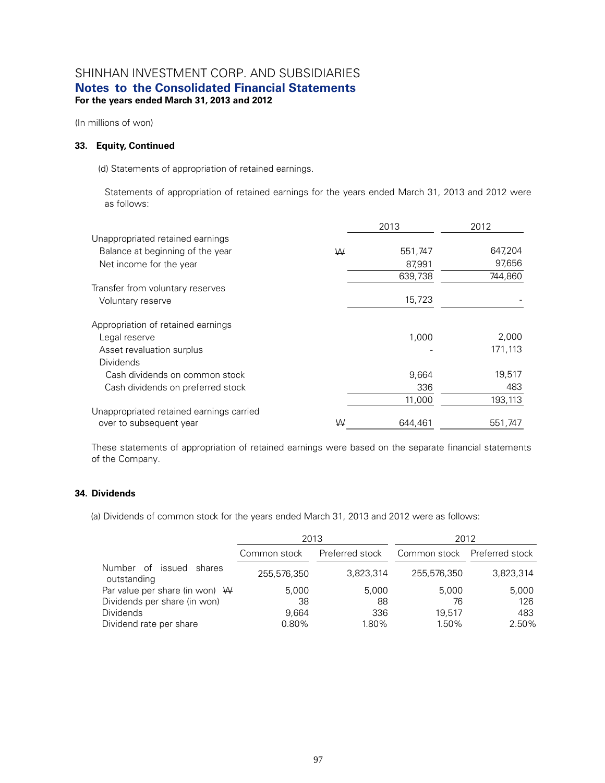(In millions of won)

### **33. Equity, Continued**

(d) Statements of appropriation of retained earnings.

Statements of appropriation of retained earnings for the years ended March 31, 2013 and 2012 were as follows:

|                                          |   | 2013    | 2012    |
|------------------------------------------|---|---------|---------|
| Unappropriated retained earnings         |   |         |         |
| Balance at beginning of the year         | W | 551,747 | 647,204 |
| Net income for the year                  |   | 87,991  | 97,656  |
|                                          |   | 639,738 | 744,860 |
| Transfer from voluntary reserves         |   |         |         |
| Voluntary reserve                        |   | 15,723  |         |
| Appropriation of retained earnings       |   |         |         |
| Legal reserve                            |   | 1,000   | 2,000   |
| Asset revaluation surplus                |   |         | 171,113 |
| Dividends                                |   |         |         |
| Cash dividends on common stock           |   | 9,664   | 19,517  |
| Cash dividends on preferred stock        |   | 336     | 483     |
|                                          |   | 11,000  | 193,113 |
| Unappropriated retained earnings carried |   |         |         |
| over to subsequent year                  | W | 644.461 | 551,747 |

These statements of appropriation of retained earnings were based on the separate financial statements of the Company.

#### **34. Dividends**

(a) Dividends of common stock for the years ended March 31, 2013 and 2012 were as follows:

|                                              | 2013         |                 | 2012                         |           |  |
|----------------------------------------------|--------------|-----------------|------------------------------|-----------|--|
|                                              | Common stock | Preferred stock | Common stock Preferred stock |           |  |
| Number of<br>issued<br>shares<br>outstanding | 255,576,350  | 3,823,314       | 255.576.350                  | 3,823,314 |  |
| Par value per share (in won) $W$             | 5,000        | 5.000           | 5,000                        | 5,000     |  |
| Dividends per share (in won)                 | 38           | 88              | 76                           | 126       |  |
| <b>Dividends</b>                             | 9.664        | 336             | 19.517                       | 483       |  |
| Dividend rate per share                      | 0.80%        | 1.80%           | 1.50%                        | 2.50%     |  |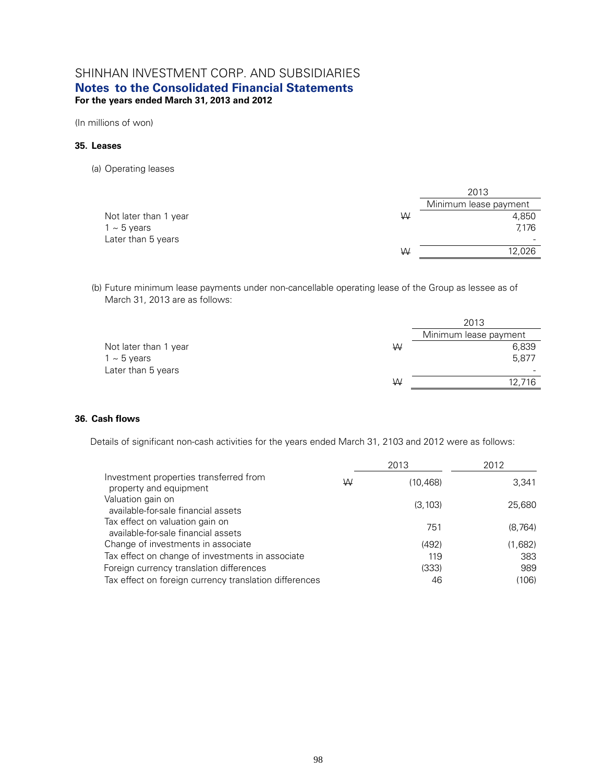(In millions of won)

#### **35. Leases**

(a) Operating leases

|                       |   | 2013                  |
|-----------------------|---|-----------------------|
|                       |   | Minimum lease payment |
| Not later than 1 year | ₩ | 4,850                 |
| $1 \sim 5$ years      |   | 7.176                 |
| Later than 5 years    |   |                       |
|                       | ₩ | 12,026                |
|                       |   |                       |

(b) Future minimum lease payments under non-cancellable operating lease of the Group as lessee as of March 31, 2013 are as follows:

|                       |   | 2013                  |
|-----------------------|---|-----------------------|
|                       |   | Minimum lease payment |
| Not later than 1 year | ₩ | 6,839                 |
| $1 - 5$ years         |   | 5,877                 |
| Later than 5 years    |   |                       |
|                       | W | 12.716                |

### **36. Cash flows**

Details of significant non-cash activities for the years ended March 31, 2103 and 2012 were as follows:

|                                                                        |   | 2013      | 2012    |
|------------------------------------------------------------------------|---|-----------|---------|
| Investment properties transferred from<br>property and equipment       | W | (10, 468) | 3,341   |
| Valuation gain on<br>available-for-sale financial assets               |   | (3, 103)  | 25,680  |
| Tax effect on valuation gain on<br>available-for-sale financial assets |   | 751       | (8,764) |
| Change of investments in associate                                     |   | (492)     | (1,682) |
| Tax effect on change of investments in associate                       |   | 119       | 383     |
| Foreign currency translation differences                               |   | (333)     | 989     |
| Tax effect on foreign currency translation differences                 |   | 46        | (106)   |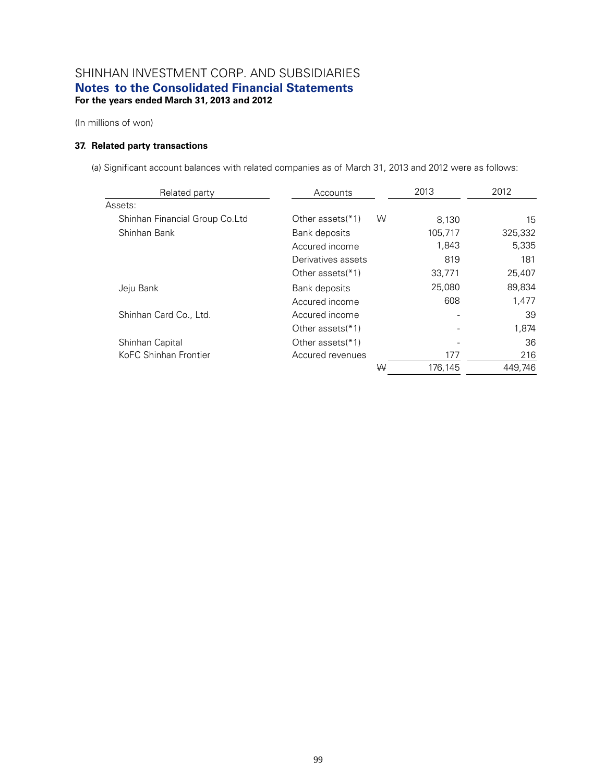(In millions of won)

### **37. Related party transactions**

(a) Significant account balances with related companies as of March 31, 2013 and 2012 were as follows:

| Related party                  | Accounts              | 2013    | 2012    |
|--------------------------------|-----------------------|---------|---------|
| Assets:                        |                       |         |         |
| Shinhan Financial Group Co.Ltd | Other assets(*1)<br>W | 8,130   | 15      |
| Shinhan Bank                   | Bank deposits         | 105,717 | 325,332 |
|                                | Accured income        | 1,843   | 5,335   |
|                                | Derivatives assets    | 819     | 181     |
|                                | Other assets(*1)      | 33,771  | 25,407  |
| Jeju Bank                      | Bank deposits         | 25,080  | 89,834  |
|                                | Accured income        | 608     | 1,477   |
| Shinhan Card Co., Ltd.         | Accured income        |         | 39      |
|                                | Other assets(*1)      |         | 1,874   |
| Shinhan Capital                | Other assets(*1)      |         | 36      |
| KoFC Shinhan Frontier          | Accured revenues      | 177     | 216     |
|                                | W                     | 176.145 | 449.746 |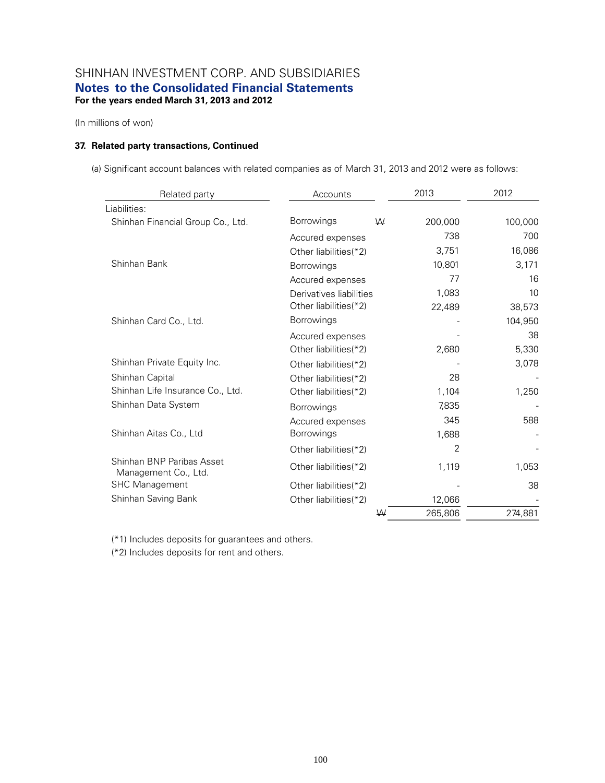(In millions of won)

### **37. Related party transactions, Continued**

(a) Significant account balances with related companies as of March 31, 2013 and 2012 were as follows:

| Related party                                     | Accounts                |   | 2013    | 2012    |
|---------------------------------------------------|-------------------------|---|---------|---------|
| Liabilities:                                      |                         |   |         |         |
| Shinhan Financial Group Co., Ltd.                 | <b>Borrowings</b>       | W | 200,000 | 100,000 |
|                                                   | Accured expenses        |   | 738     | 700     |
|                                                   | Other liabilities(*2)   |   | 3,751   | 16,086  |
| Shinhan Bank                                      | Borrowings              |   | 10,801  | 3,171   |
|                                                   | Accured expenses        |   | 77      | 16      |
|                                                   | Derivatives liabilities |   | 1,083   | 10      |
|                                                   | Other liabilities(*2)   |   | 22,489  | 38,573  |
| Shinhan Card Co., Ltd.                            | Borrowings              |   |         | 104,950 |
|                                                   | Accured expenses        |   |         | 38      |
|                                                   | Other liabilities(*2)   |   | 2,680   | 5,330   |
| Shinhan Private Equity Inc.                       | Other liabilities(*2)   |   |         | 3,078   |
| Shinhan Capital                                   | Other liabilities(*2)   |   | 28      |         |
| Shinhan Life Insurance Co., Ltd.                  | Other liabilities(*2)   |   | 1,104   | 1,250   |
| Shinhan Data System                               | Borrowings              |   | 7,835   |         |
|                                                   | Accured expenses        |   | 345     | 588     |
| Shinhan Aitas Co., Ltd                            | <b>Borrowings</b>       |   | 1,688   |         |
|                                                   | Other liabilities(*2)   |   | 2       |         |
| Shinhan BNP Paribas Asset<br>Management Co., Ltd. | Other liabilities(*2)   |   | 1,119   | 1,053   |
| <b>SHC Management</b>                             | Other liabilities(*2)   |   |         | 38      |
| Shinhan Saving Bank                               | Other liabilities(*2)   |   | 12,066  |         |
|                                                   |                         | W | 265,806 | 274,881 |

(\*1) Includes deposits for guarantees and others.

(\*2) Includes deposits for rent and others.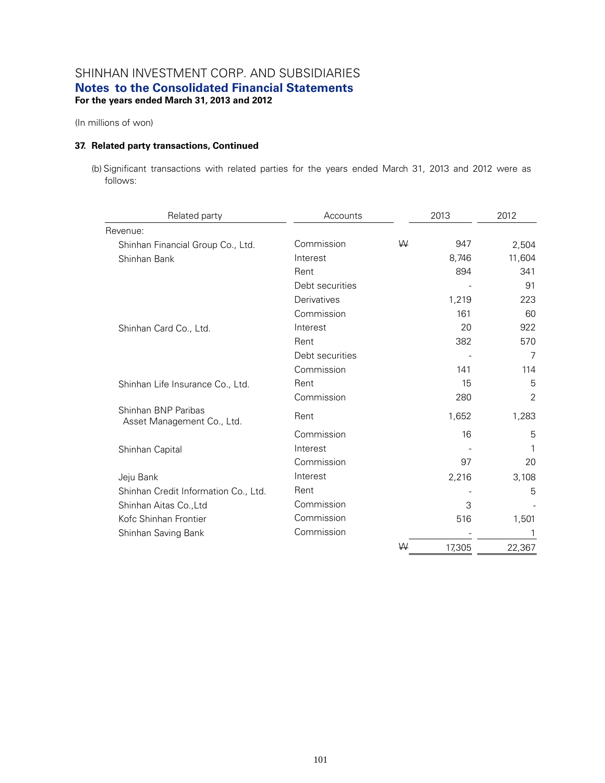(In millions of won)

### **37. Related party transactions, Continued**

(b) Significant transactions with related parties for the years ended March 31, 2013 and 2012 were as follows:

| Related party                                     | Accounts        |   | 2013   | 2012   |
|---------------------------------------------------|-----------------|---|--------|--------|
| Revenue:                                          |                 |   |        |        |
| Shinhan Financial Group Co., Ltd.                 | Commission      | W | 947    | 2,504  |
| Shinhan Bank                                      | Interest        |   | 8,746  | 11,604 |
|                                                   | Rent            |   | 894    | 341    |
|                                                   | Debt securities |   |        | 91     |
|                                                   | Derivatives     |   | 1,219  | 223    |
|                                                   | Commission      |   | 161    | 60     |
| Shinhan Card Co., Ltd.                            | Interest        |   | 20     | 922    |
|                                                   | Rent            |   | 382    | 570    |
|                                                   | Debt securities |   |        | 7      |
|                                                   | Commission      |   | 141    | 114    |
| Shinhan Life Insurance Co., Ltd.                  | Rent            |   | 15     | 5      |
|                                                   | Commission      |   | 280    | 2      |
| Shinhan BNP Paribas<br>Asset Management Co., Ltd. | Rent            |   | 1,652  | 1,283  |
|                                                   | Commission      |   | 16     | 5      |
| Shinhan Capital                                   | Interest        |   |        | 1      |
|                                                   | Commission      |   | 97     | 20     |
| Jeju Bank                                         | Interest        |   | 2,216  | 3,108  |
| Shinhan Credit Information Co., Ltd.              | Rent            |   |        | 5      |
| Shinhan Aitas Co., Ltd                            | Commission      |   | 3      |        |
| Kofc Shinhan Frontier                             | Commission      |   | 516    | 1,501  |
| Shinhan Saving Bank                               | Commission      |   |        | 1      |
|                                                   |                 | W | 17,305 | 22,367 |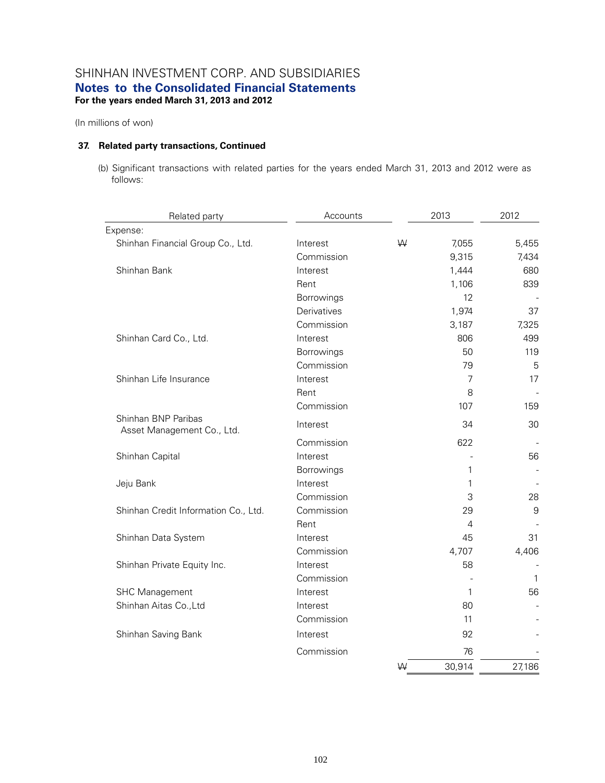(In millions of won)

#### **37. Related party transactions, Continued**

(b) Significant transactions with related parties for the years ended March 31, 2013 and 2012 were as follows:

| Related party                                     | Accounts    |   | 2013   | 2012        |
|---------------------------------------------------|-------------|---|--------|-------------|
| Expense:                                          |             |   |        |             |
| Shinhan Financial Group Co., Ltd.                 | Interest    | W | 7,055  | 5,455       |
|                                                   | Commission  |   | 9,315  | 7,434       |
| Shinhan Bank                                      | Interest    |   | 1,444  | 680         |
|                                                   | Rent        |   | 1,106  | 839         |
|                                                   | Borrowings  |   | 12     |             |
|                                                   | Derivatives |   | 1,974  | 37          |
|                                                   | Commission  |   | 3,187  | 7,325       |
| Shinhan Card Co., Ltd.                            | Interest    |   | 806    | 499         |
|                                                   | Borrowings  |   | 50     | 119         |
|                                                   | Commission  |   | 79     | 5           |
| Shinhan Life Insurance                            | Interest    |   | 7      | 17          |
|                                                   | Rent        |   | 8      |             |
|                                                   | Commission  |   | 107    | 159         |
| Shinhan BNP Paribas<br>Asset Management Co., Ltd. | Interest    |   | 34     | 30          |
|                                                   | Commission  |   | 622    |             |
| Shinhan Capital                                   | Interest    |   |        | 56          |
|                                                   | Borrowings  |   | 1      |             |
| Jeju Bank                                         | Interest    |   | 1      |             |
|                                                   | Commission  |   | 3      | 28          |
| Shinhan Credit Information Co., Ltd.              | Commission  |   | 29     | $\mathsf 9$ |
|                                                   | Rent        |   | 4      |             |
| Shinhan Data System                               | Interest    |   | 45     | 31          |
|                                                   | Commission  |   | 4,707  | 4,406       |
| Shinhan Private Equity Inc.                       | Interest    |   | 58     |             |
|                                                   | Commission  |   |        | 1           |
| <b>SHC Management</b>                             | Interest    |   | 1      | 56          |
| Shinhan Aitas Co., Ltd                            | Interest    |   | 80     |             |
|                                                   | Commission  |   | 11     |             |
| Shinhan Saving Bank                               | Interest    |   | 92     |             |
|                                                   | Commission  |   | 76     |             |
|                                                   |             | W | 30,914 | 27,186      |